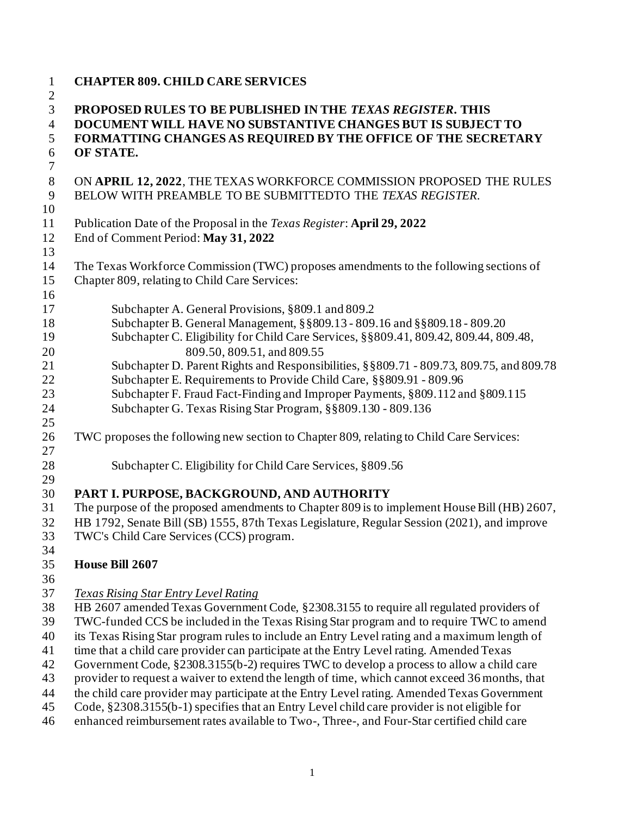| $\mathbf{1}$<br>$\overline{c}$   | <b>CHAPTER 809. CHILD CARE SERVICES</b>                                                                                           |
|----------------------------------|-----------------------------------------------------------------------------------------------------------------------------------|
| $\overline{3}$<br>$\overline{4}$ | PROPOSED RULES TO BE PUBLISHED IN THE TEXAS REGISTER. THIS<br>DOCUMENT WILL HAVE NO SUBSTANTIVE CHANGES BUT IS SUBJECT TO         |
| 5                                | FORMATTING CHANGES AS REQUIRED BY THE OFFICE OF THE SECRETARY                                                                     |
| 6<br>$\tau$                      | OF STATE.                                                                                                                         |
| $8\,$<br>9                       | ON APRIL 12, 2022, THE TEXAS WORKFORCE COMMISSION PROPOSED THE RULES<br>BELOW WITH PREAMBLE TO BE SUBMITTEDTO THE TEXAS REGISTER. |
| 10<br>11                         | Publication Date of the Proposal in the <i>Texas Register</i> : April 29, 2022                                                    |
|                                  |                                                                                                                                   |
| 12                               | End of Comment Period: May 31, 2022                                                                                               |
| 13                               |                                                                                                                                   |
| 14                               | The Texas Workforce Commission (TWC) proposes amendments to the following sections of                                             |
| 15                               | Chapter 809, relating to Child Care Services:                                                                                     |
| 16                               |                                                                                                                                   |
| 17                               | Subchapter A. General Provisions, §809.1 and 809.2                                                                                |
| 18                               | Subchapter B. General Management, § § 809.13 - 809.16 and § § 809.18 - 809.20                                                     |
| 19                               | Subchapter C. Eligibility for Child Care Services, §§809.41, 809.42, 809.44, 809.48,                                              |
| 20                               | 809.50, 809.51, and 809.55                                                                                                        |
| 21                               | Subchapter D. Parent Rights and Responsibilities, §§809.71 - 809.73, 809.75, and 809.78                                           |
| 22                               | Subchapter E. Requirements to Provide Child Care, §§809.91 - 809.96                                                               |
| 23                               | Subchapter F. Fraud Fact-Finding and Improper Payments, §809.112 and §809.115                                                     |
| 24                               | Subchapter G. Texas Rising Star Program, §§809.130 - 809.136                                                                      |
| 25                               |                                                                                                                                   |
| 26                               | TWC proposes the following new section to Chapter 809, relating to Child Care Services:                                           |
| 27                               |                                                                                                                                   |
| 28                               | Subchapter C. Eligibility for Child Care Services, §809.56                                                                        |
| 29                               |                                                                                                                                   |
| 30                               | PART I. PURPOSE, BACKGROUND, AND AUTHORITY                                                                                        |
| 31                               | The purpose of the proposed amendments to Chapter 809 is to implement House Bill (HB) 2607,                                       |
| 32                               | HB 1792, Senate Bill (SB) 1555, 87th Texas Legislature, Regular Session (2021), and improve                                       |
| 33                               | TWC's Child Care Services (CCS) program.                                                                                          |
| 34                               |                                                                                                                                   |
| 35                               | House Bill 2607                                                                                                                   |
| 36                               |                                                                                                                                   |
| 37                               | <b>Texas Rising Star Entry Level Rating</b>                                                                                       |
| 38                               | HB 2607 amended Texas Government Code, §2308.3155 to require all regulated providers of                                           |
| 39                               | TWC-funded CCS be included in the Texas Rising Star program and to require TWC to amend                                           |
| 40                               | its Texas Rising Star program rules to include an Entry Level rating and a maximum length of                                      |
| 41                               | time that a child care provider can participate at the Entry Level rating. Amended Texas                                          |
| 42                               | Government Code, §2308.3155(b-2) requires TWC to develop a process to allow a child care                                          |
| 43                               | provider to request a waiver to extend the length of time, which cannot exceed 36 months, that                                    |
| 44                               | the child care provider may participate at the Entry Level rating. Amended Texas Government                                       |
| 45                               | Code, §2308.3155(b-1) specifies that an Entry Level child care provider is not eligible for                                       |
| 46                               | enhanced reimbursement rates available to Two-, Three-, and Four-Star certified child care                                        |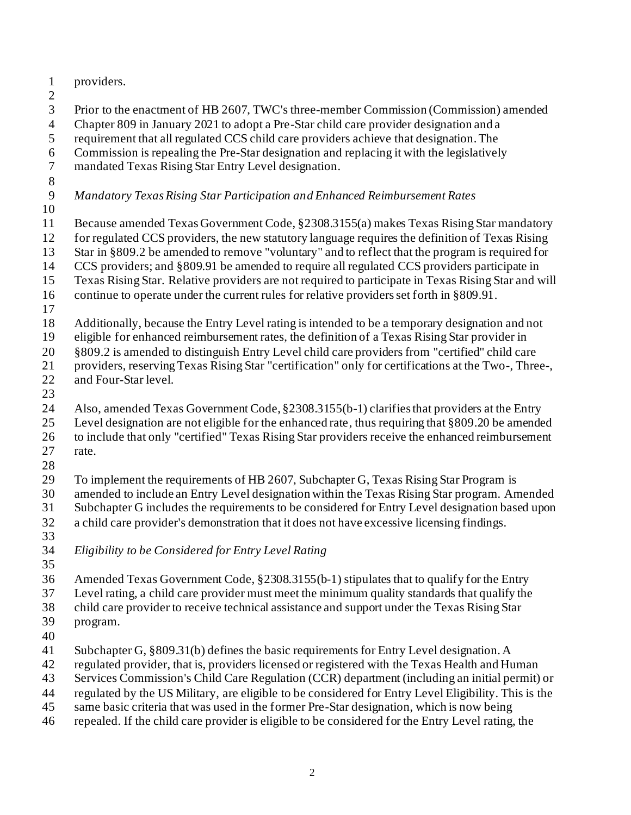providers. Prior to the enactment of HB 2607, TWC's three-member Commission (Commission) amended Chapter 809 in January 2021 to adopt a Pre-Star child care provider designation and a requirement that all regulated CCS child care providers achieve that designation. The Commission is repealing the Pre-Star designation and replacing it with the legislatively mandated Texas Rising Star Entry Level designation. *Mandatory Texas Rising Star Participation and Enhanced Reimbursement Rates* Because amended Texas Government Code, §2308.3155(a) makes Texas Rising Star mandatory for regulated CCS providers, the new statutory language requires the definition of Texas Rising Star in §809.2 be amended to remove "voluntary" and to reflect that the program is required for CCS providers; and §809.91 be amended to require all regulated CCS providers participate in Texas Rising Star. Relative providers are not required to participate in Texas Rising Star and will continue to operate under the current rules for relative providers set forth in §809.91. Additionally, because the Entry Level rating is intended to be a temporary designation and not eligible for enhanced reimbursement rates, the definition of a Texas Rising Star provider in §809.2 is amended to distinguish Entry Level child care providers from "certified" child care providers, reserving Texas Rising Star "certification" only for certifications at the Two-, Three-, and Four-Star level. Also, amended Texas Government Code, §2308.3155(b-1) clarifies that providers at the Entry Level designation are not eligible for the enhanced rate, thus requiring that §809.20 be amended to include that only "certified" Texas Rising Star providers receive the enhanced reimbursement rate. To implement the requirements of HB 2607, Subchapter G, Texas Rising Star Program is amended to include an Entry Level designation within the Texas Rising Star program. Amended Subchapter G includes the requirements to be considered for Entry Level designation based upon a child care provider's demonstration that it does not have excessive licensing findings. *Eligibility to be Considered for Entry Level Rating* Amended Texas Government Code, §2308.3155(b-1) stipulates that to qualify for the Entry Level rating, a child care provider must meet the minimum quality standards that qualify the child care provider to receive technical assistance and support under the Texas Rising Star program. Subchapter G, §809.31(b) defines the basic requirements for Entry Level designation. A regulated provider, that is, providers licensed or registered with the Texas Health and Human Services Commission's Child Care Regulation (CCR) department (including an initial permit) or regulated by the US Military, are eligible to be considered for Entry Level Eligibility. This is the

- same basic criteria that was used in the former Pre-Star designation, which is now being
- repealed. If the child care provider is eligible to be considered for the Entry Level rating, the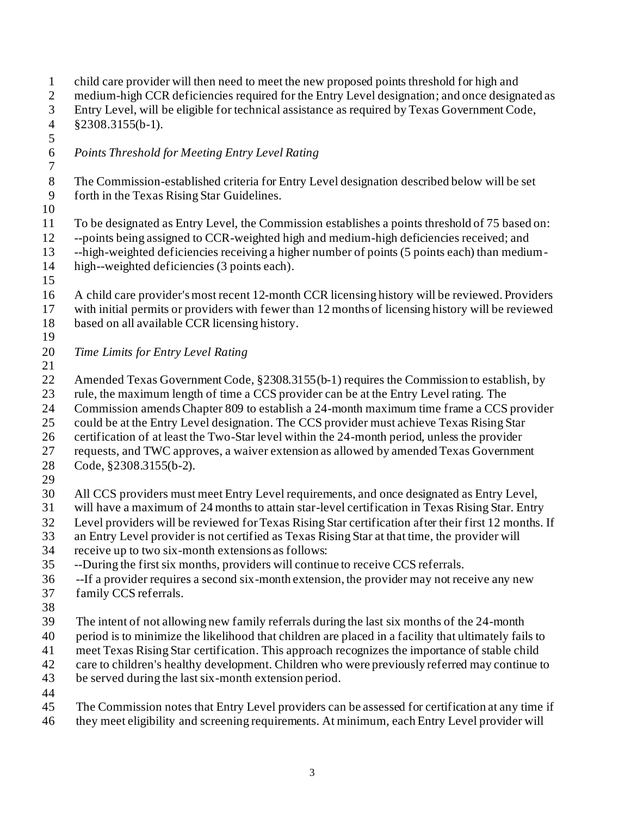child care provider will then need to meet the new proposed points threshold for high and medium-high CCR deficiencies required for the Entry Level designation; and once designated as Entry Level, will be eligible for technical assistance as required by Texas Government Code, §2308.3155(b-1). *Points Threshold for Meeting Entry Level Rating* The Commission-established criteria for Entry Level designation described below will be set forth in the Texas Rising Star Guidelines. To be designated as Entry Level, the Commission establishes a points threshold of 75 based on: --points being assigned to CCR-weighted high and medium-high deficiencies received; and --high-weighted deficiencies receiving a higher number of points (5 points each) than medium- high--weighted deficiencies (3 points each). A child care provider's most recent 12-month CCR licensing history will be reviewed. Providers with initial permits or providers with fewer than 12 months of licensing history will be reviewed based on all available CCR licensing history. *Time Limits for Entry Level Rating*  Amended Texas Government Code, §2308.3155(b-1) requires the Commission to establish, by rule, the maximum length of time a CCS provider can be at the Entry Level rating. The Commission amends Chapter 809 to establish a 24-month maximum time frame a CCS provider could be at the Entry Level designation. The CCS provider must achieve Texas Rising Star certification of at least the Two-Star level within the 24-month period, unless the provider requests, and TWC approves, a waiver extension as allowed by amended Texas Government Code, §2308.3155(b-2). All CCS providers must meet Entry Level requirements, and once designated as Entry Level, will have a maximum of 24 months to attain star-level certification in Texas Rising Star. Entry Level providers will be reviewed for Texas Rising Star certification after their first 12 months. If an Entry Level provider is not certified as Texas Rising Star at that time, the provider will receive up to two six-month extensions as follows: --During the first six months, providers will continue to receive CCS referrals. --If a provider requires a second six-month extension, the provider may not receive any new family CCS referrals. The intent of not allowing new family referrals during the last six months of the 24-month period is to minimize the likelihood that children are placed in a facility that ultimately fails to meet Texas Rising Star certification. This approach recognizes the importance of stable child care to children's healthy development. Children who were previously referred may continue to be served during the last six-month extension period. The Commission notes that Entry Level providers can be assessed for certification at any time if they meet eligibility and screening requirements. At minimum, each Entry Level provider will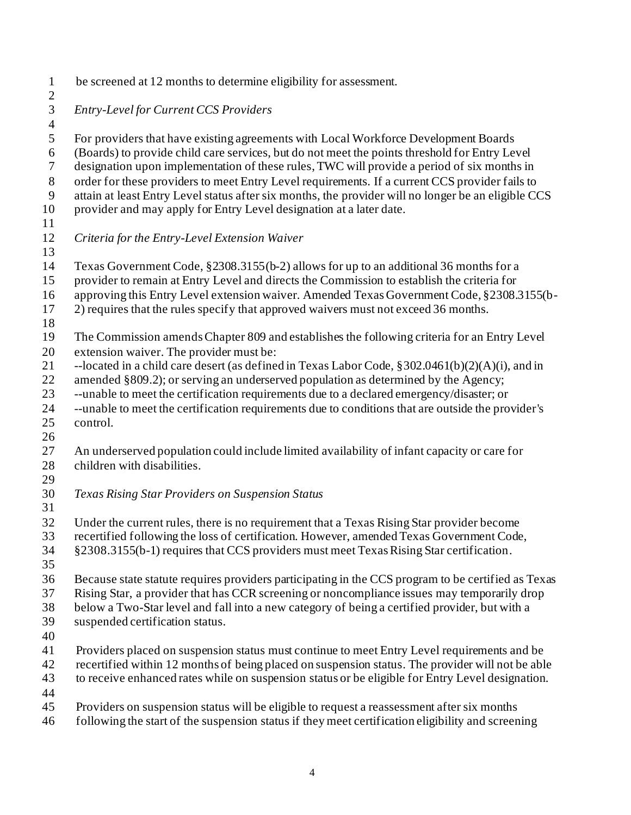- be screened at 12 months to determine eligibility for assessment.  $\frac{2}{3}$  *Entry-Level for Current CCS Providers* For providers that have existing agreements with Local Workforce Development Boards (Boards) to provide child care services, but do not meet the points threshold for Entry Level designation upon implementation of these rules, TWC will provide a period of six months in order for these providers to meet Entry Level requirements. If a current CCS provider fails to attain at least Entry Level status after six months, the provider will no longer be an eligible CCS provider and may apply for Entry Level designation at a later date. *Criteria for the Entry-Level Extension Waiver* Texas Government Code, §2308.3155(b-2) allows for up to an additional 36 months for a provider to remain at Entry Level and directs the Commission to establish the criteria for approving this Entry Level extension waiver. Amended Texas Government Code, §2308.3155(b- 2) requires that the rules specify that approved waivers must not exceed 36 months. The Commission amends Chapter 809 and establishes the following criteria for an Entry Level extension waiver. The provider must be: --located in a child care desert (as defined in Texas Labor Code, §302.0461(b)(2)(A)(i), and in amended §809.2); or serving an underserved population as determined by the Agency; --unable to meet the certification requirements due to a declared emergency/disaster; or --unable to meet the certification requirements due to conditions that are outside the provider's control. An underserved population could include limited availability of infant capacity or care for children with disabilities. *Texas Rising Star Providers on Suspension Status* Under the current rules, there is no requirement that a Texas Rising Star provider become recertified following the loss of certification. However, amended Texas Government Code, §2308.3155(b-1) requires that CCS providers must meet Texas Rising Star certification. Because state statute requires providers participating in the CCS program to be certified as Texas Rising Star, a provider that has CCR screening or noncompliance issues may temporarily drop below a Two-Star level and fall into a new category of being a certified provider, but with a suspended certification status. Providers placed on suspension status must continue to meet Entry Level requirements and be recertified within 12 months of being placed on suspension status. The provider will not be able to receive enhanced rates while on suspension status or be eligible for Entry Level designation. Providers on suspension status will be eligible to request a reassessment after six months
- following the start of the suspension status if they meet certification eligibility and screening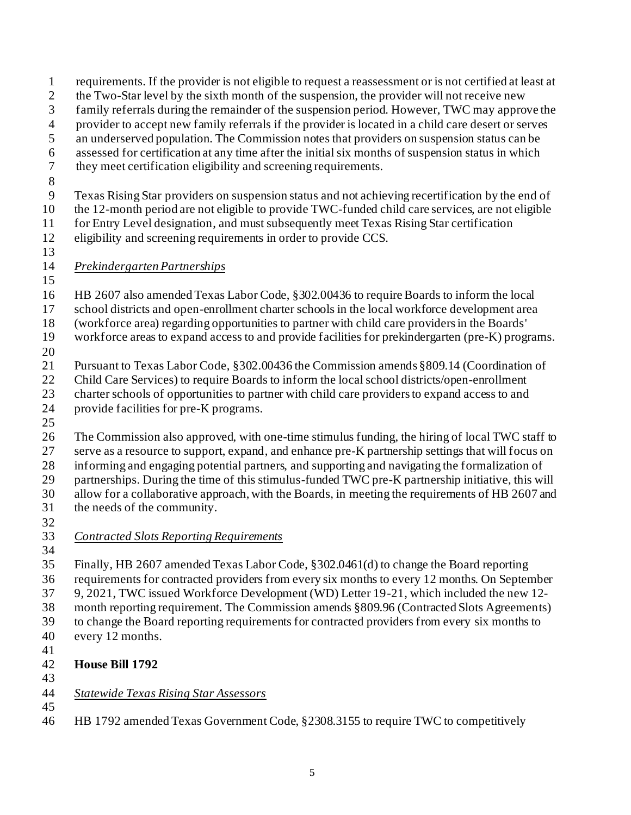requirements. If the provider is not eligible to request a reassessment or is not certified at least at 2 the Two-Star level by the sixth month of the suspension, the provider will not receive new family referrals during the remainder of the suspension period. However, TWC may approve the provider to accept new family referrals if the provider is located in a child care desert or serves an underserved population. The Commission notes that providers on suspension status can be assessed for certification at any time after the initial six months of suspension status in which they meet certification eligibility and screening requirements. Texas Rising Star providers on suspension status and not achieving recertification by the end of the 12-month period are not eligible to provide TWC-funded child care services, are not eligible for Entry Level designation, and must subsequently meet Texas Rising Star certification eligibility and screening requirements in order to provide CCS. *Prekindergarten Partnerships* HB 2607 also amended Texas Labor Code, §302.00436 to require Boards to inform the local school districts and open-enrollment charter schools in the local workforce development area (workforce area) regarding opportunities to partner with child care providers in the Boards' workforce areas to expand access to and provide facilities for prekindergarten (pre-K) programs. Pursuant to Texas Labor Code, §302.00436 the Commission amends §809.14 (Coordination of Child Care Services) to require Boards to inform the local school districts/open-enrollment charter schools of opportunities to partner with child care providers to expand access to and provide facilities for pre-K programs. The Commission also approved, with one-time stimulus funding, the hiring of local TWC staff to serve as a resource to support, expand, and enhance pre-K partnership settings that will focus on informing and engaging potential partners, and supporting and navigating the formalization of partnerships. During the time of this stimulus-funded TWC pre-K partnership initiative, this will allow for a collaborative approach, with the Boards, in meeting the requirements of HB 2607 and the needs of the community. *Contracted Slots Reporting Requirements* Finally, HB 2607 amended Texas Labor Code, §302.0461(d) to change the Board reporting requirements for contracted providers from every six months to every 12 months. On September 9, 2021, TWC issued Workforce Development (WD) Letter 19-21, which included the new 12- month reporting requirement. The Commission amends §809.96 (Contracted Slots Agreements) to change the Board reporting requirements for contracted providers from every six months to every 12 months. **House Bill 1792** *Statewide Texas Rising Star Assessors* HB 1792 amended Texas Government Code, §2308.3155 to require TWC to competitively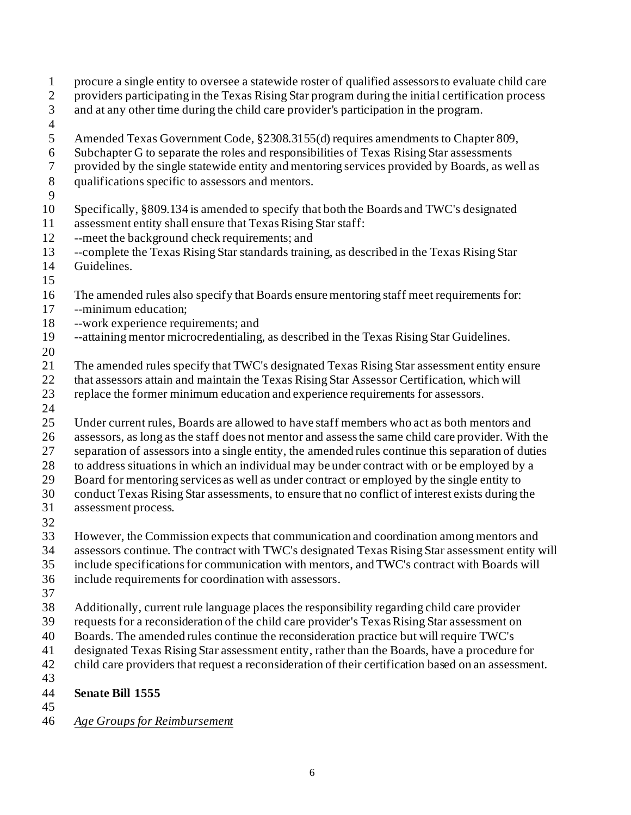- procure a single entity to oversee a statewide roster of qualified assessors to evaluate child care
- providers participating in the Texas Rising Star program during the initial certification process
- and at any other time during the child care provider's participation in the program.
- 
- Amended Texas Government Code, §2308.3155(d) requires amendments to Chapter 809,
- Subchapter G to separate the roles and responsibilities of Texas Rising Star assessments
- provided by the single statewide entity and mentoring services provided by Boards, as well as
- qualifications specific to assessors and mentors.
- 
- Specifically, §809.134 is amended to specify that both the Boards and TWC's designated
- assessment entity shall ensure that Texas Rising Star staff:
- --meet the background check requirements; and
- --complete the Texas Rising Star standards training, as described in the Texas Rising Star Guidelines.
- 
- The amended rules also specify that Boards ensure mentoring staff meet requirements for:
- --minimum education;
- --work experience requirements; and
- --attaining mentor microcredentialing, as described in the Texas Rising Star Guidelines.
- 
- The amended rules specify that TWC's designated Texas Rising Star assessment entity ensure
- that assessors attain and maintain the Texas Rising Star Assessor Certification, which will
- replace the former minimum education and experience requirements for assessors.
- 
- Under current rules, Boards are allowed to have staff members who act as both mentors and assessors, as long as the staff does not mentor and assess the same child care provider. With the separation of assessors into a single entity, the amended rules continue this separation of duties to address situations in which an individual may be under contract with or be employed by a Board for mentoring services as well as under contract or employed by the single entity to conduct Texas Rising Star assessments, to ensure that no conflict of interest exists during the
- assessment process.
- 
- However, the Commission expects that communication and coordination among mentors and
- assessors continue. The contract with TWC's designated Texas Rising Star assessment entity will
- include specifications for communication with mentors, and TWC's contract with Boards will
- include requirements for coordination with assessors.
- 
- Additionally, current rule language places the responsibility regarding child care provider
- requests for a reconsideration of the child care provider's Texas Rising Star assessment on
- Boards. The amended rules continue the reconsideration practice but will require TWC's
- designated Texas Rising Star assessment entity, rather than the Boards, have a procedure for
- child care providers that request a reconsideration of their certification based on an assessment.
- **Senate Bill 1555**
- 
- *Age Groups for Reimbursement*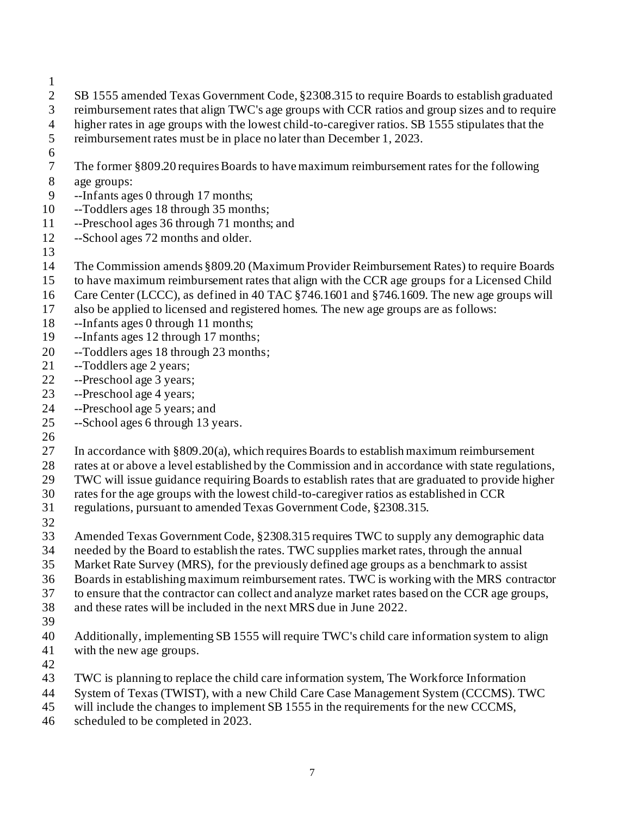- 
- SB 1555 amended Texas Government Code, §2308.315 to require Boards to establish graduated
- reimbursement rates that align TWC's age groups with CCR ratios and group sizes and to require
- higher rates in age groups with the lowest child-to-caregiver ratios. SB 1555 stipulates that the
- reimbursement rates must be in place no later than December 1, 2023.
- 
- The former §809.20 requires Boards to have maximum reimbursement rates for the following
- age groups:
- --Infants ages 0 through 17 months;
- --Toddlers ages 18 through 35 months;
- --Preschool ages 36 through 71 months; and
- --School ages 72 months and older.
- The Commission amends §809.20 (Maximum Provider Reimbursement Rates) to require Boards
- to have maximum reimbursement rates that align with the CCR age groups for a Licensed Child
- Care Center (LCCC), as defined in 40 TAC §746.1601 and §746.1609. The new age groups will
- also be applied to licensed and registered homes. The new age groups are as follows:
- --Infants ages 0 through 11 months;
- --Infants ages 12 through 17 months;
- --Toddlers ages 18 through 23 months;
- --Toddlers age 2 years;
- --Preschool age 3 years;
- --Preschool age 4 years;
- --Preschool age 5 years; and
- --School ages 6 through 13 years.
- 
- In accordance with §809.20(a), which requires Boards to establish maximum reimbursement
- rates at or above a level established by the Commission and in accordance with state regulations,
- TWC will issue guidance requiring Boards to establish rates that are graduated to provide higher
- rates for the age groups with the lowest child-to-caregiver ratios as established in CCR
- regulations, pursuant to amended Texas Government Code, §2308.315.
- 
- Amended Texas Government Code, §2308.315 requires TWC to supply any demographic data
- needed by the Board to establish the rates. TWC supplies market rates, through the annual
- Market Rate Survey (MRS), for the previously defined age groups as a benchmark to assist
- Boards in establishing maximum reimbursement rates. TWC is working with the MRS contractor
- to ensure that the contractor can collect and analyze market rates based on the CCR age groups,
- and these rates will be included in the next MRS due in June 2022.
- 
- Additionally, implementing SB 1555 will require TWC's child care information system to align with the new age groups.
- 
- TWC is planning to replace the child care information system, The Workforce Information
- System of Texas (TWIST), with a new Child Care Case Management System (CCCMS). TWC
- 45 will include the changes to implement SB 1555 in the requirements for the new CCCMS,
- scheduled to be completed in 2023.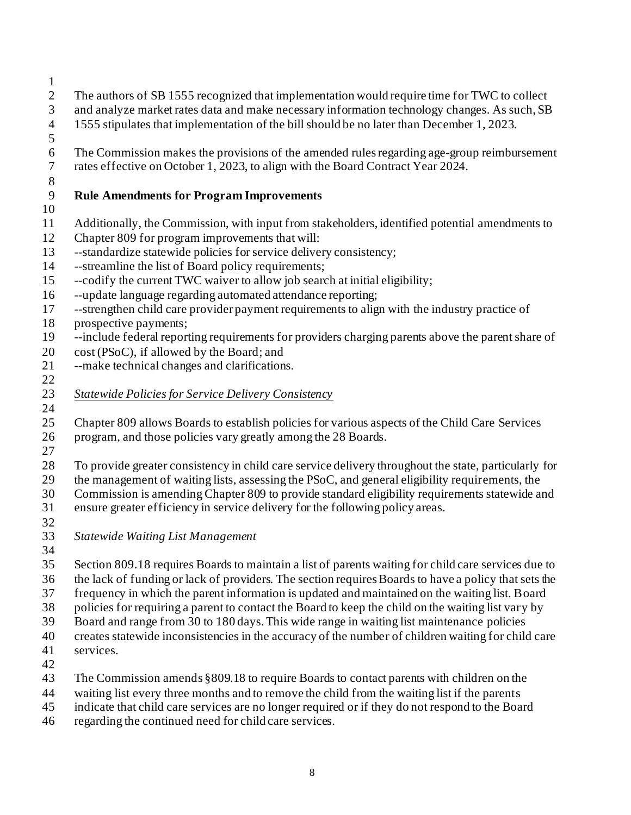- 
- The authors of SB 1555 recognized that implementation would require time for TWC to collect
- and analyze market rates data and make necessary information technology changes. As such, SB
- 1555 stipulates that implementation of the bill should be no later than December 1, 2023.
- 
- The Commission makes the provisions of the amended rules regarding age-group reimbursement rates effective on October 1, 2023, to align with the Board Contract Year 2024.
- 

## **Rule Amendments for Program Improvements**

- 
- Additionally, the Commission, with input from stakeholders, identified potential amendments to
- Chapter 809 for program improvements that will:
- --standardize statewide policies for service delivery consistency;
- --streamline the list of Board policy requirements;
- --codify the current TWC waiver to allow job search at initial eligibility;
- --update language regarding automated attendance reporting;
- --strengthen child care provider payment requirements to align with the industry practice of prospective payments;
- --include federal reporting requirements for providers charging parents above the parent share of
- cost (PSoC), if allowed by the Board; and
- --make technical changes and clarifications.
- 
- *Statewide Policies for Service Delivery Consistency*
- 

 Chapter 809 allows Boards to establish policies for various aspects of the Child Care Services program, and those policies vary greatly among the 28 Boards.

 To provide greater consistency in child care service delivery throughout the state, particularly for the management of waiting lists, assessing the PSoC, and general eligibility requirements, the Commission is amending Chapter 809 to provide standard eligibility requirements statewide and

 ensure greater efficiency in service delivery for the following policy areas. 

*Statewide Waiting List Management*

 Section 809.18 requires Boards to maintain a list of parents waiting for child care services due to the lack of funding or lack of providers. The section requires Boards to have a policy that sets the frequency in which the parent information is updated and maintained on the waiting list. Board policies for requiring a parent to contact the Board to keep the child on the waiting list vary by

- Board and range from 30 to 180 days. This wide range in waiting list maintenance policies
- creates statewide inconsistencies in the accuracy of the number of children waiting for child care
- services.
- The Commission amends §809.18 to require Boards to contact parents with children on the
- waiting list every three months and to remove the child from the waiting list if the parents
- indicate that child care services are no longer required or if they do not respond to the Board
- regarding the continued need for child care services.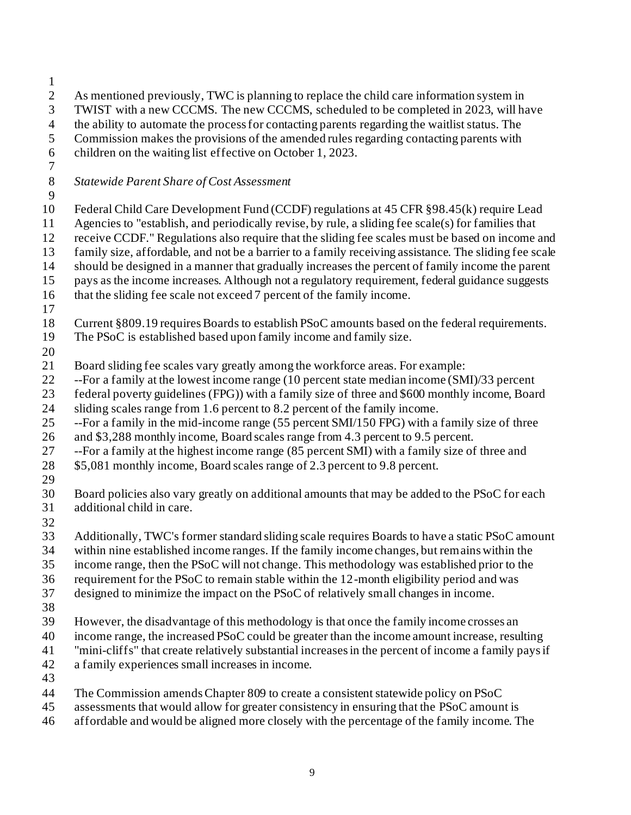As mentioned previously, TWC is planning to replace the child care information system in TWIST with a new CCCMS. The new CCCMS, scheduled to be completed in 2023, will have the ability to automate the process for contacting parents regarding the waitlist status. The Commission makes the provisions of the amended rules regarding contacting parents with children on the waiting list effective on October 1, 2023. *Statewide Parent Share of Cost Assessment* Federal Child Care Development Fund (CCDF) regulations at 45 CFR §98.45(k) require Lead Agencies to "establish, and periodically revise, by rule, a sliding fee scale(s) for families that receive CCDF." Regulations also require that the sliding fee scales must be based on income and family size, affordable, and not be a barrier to a family receiving assistance. The sliding fee scale should be designed in a manner that gradually increases the percent of family income the parent pays as the income increases. Although not a regulatory requirement, federal guidance suggests that the sliding fee scale not exceed 7 percent of the family income. Current §809.19 requires Boards to establish PSoC amounts based on the federal requirements. The PSoC is established based upon family income and family size. Board sliding fee scales vary greatly among the workforce areas. For example: --For a family at the lowest income range (10 percent state median income (SMI)/33 percent federal poverty guidelines (FPG)) with a family size of three and \$600 monthly income, Board sliding scales range from 1.6 percent to 8.2 percent of the family income. --For a family in the mid-income range (55 percent SMI/150 FPG) with a family size of three and \$3,288 monthly income, Board scales range from 4.3 percent to 9.5 percent. --For a family at the highest income range (85 percent SMI) with a family size of three and \$5,081 monthly income, Board scales range of 2.3 percent to 9.8 percent. Board policies also vary greatly on additional amounts that may be added to the PSoC for each additional child in care. Additionally, TWC's former standard sliding scale requires Boards to have a static PSoC amount within nine established income ranges. If the family income changes, but remains within the income range, then the PSoC will not change. This methodology was established prior to the requirement for the PSoC to remain stable within the 12-month eligibility period and was designed to minimize the impact on the PSoC of relatively small changes in income. However, the disadvantage of this methodology is that once the family income crosses an income range, the increased PSoC could be greater than the income amount increase, resulting "mini-cliffs" that create relatively substantial increases in the percent of income a family pays if a family experiences small increases in income. The Commission amendsChapter 809 to create a consistent statewide policy on PSoC assessments that would allow for greater consistency in ensuring that the PSoC amount is affordable and would be aligned more closely with the percentage of the family income. The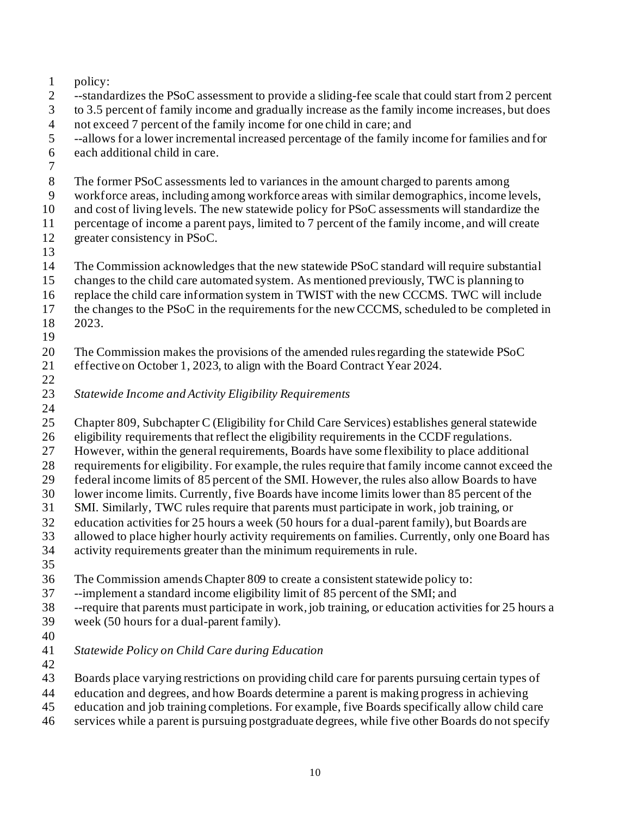|                | policy:                                                                                           |
|----------------|---------------------------------------------------------------------------------------------------|
| 2              | --standardizes the PSoC assessment to provide a sliding-fee scale that could start from 2 percent |
| 3              | to 3.5 percent of family income and gradually increase as the family income increases, but does   |
| $\overline{4}$ | not exceed 7 percent of the family income for one child in care; and                              |
| 5              | --allows for a lower incremental increased percentage of the family income for families and for   |
| 6              | each additional child in care.                                                                    |
| 7              |                                                                                                   |
| 8              | The former PSoC assessments led to variances in the amount charged to parents among               |
| 9              | workforce areas, including among workforce areas with similar demographics, income levels,        |
| 10             | and cost of living levels. The new statewide policy for PSoC assessments will standardize the     |
| 11             | percentage of income a parent pays, limited to 7 percent of the family income, and will create    |
| 12             | greater consistency in PSoC.                                                                      |
| 13             |                                                                                                   |
| 14             | The Commission acknowledges that the new statewide PSoC standard will require substantial         |
| 15             | changes to the child care automated system. As mentioned previously, TWC is planning to           |
| 16             | replace the child care information system in TWIST with the new CCCMS. TWC will include           |
| 17             | the changes to the PSoC in the requirements for the new CCCMS, scheduled to be completed in       |
| 18             | 2023.                                                                                             |
| 19             |                                                                                                   |
| 20             | The Commission makes the provisions of the amended rules regarding the statewide PSoC             |
| 21             | effective on October 1, 2023, to align with the Board Contract Year 2024.                         |

*Statewide Income and Activity Eligibility Requirements*

Chapter 809, Subchapter C (Eligibility for Child Care Services) establishes general statewide

eligibility requirements that reflect the eligibility requirements in the CCDF regulations.

However, within the general requirements, Boards have some flexibility to place additional

requirements for eligibility. For example, the rules require that family income cannot exceed the

federal income limits of 85 percent of the SMI. However, the rules also allow Boards to have

lower income limits. Currently, five Boards have income limits lower than 85 percent of the

SMI. Similarly, TWC rules require that parents must participate in work, job training, or

education activities for 25 hours a week (50 hours for a dual-parent family), but Boards are

allowed to place higher hourly activity requirements on families. Currently, only one Board has

activity requirements greater than the minimum requirements in rule.

The Commission amends Chapter 809 to create a consistent statewide policy to:

--implement a standard income eligibility limit of 85 percent of the SMI; and

--require that parents must participate in work, job training, or education activities for 25 hours a

- week (50 hours for a dual-parent family).
- 

 *Statewide Policy on Child Care during Education* 

- Boards place varying restrictions on providing child care for parents pursuing certain types of
- education and degrees, and how Boards determine a parent is making progress in achieving
- education and job training completions. For example, five Boards specifically allow child care
- services while a parent is pursuing postgraduate degrees, while five other Boards do not specify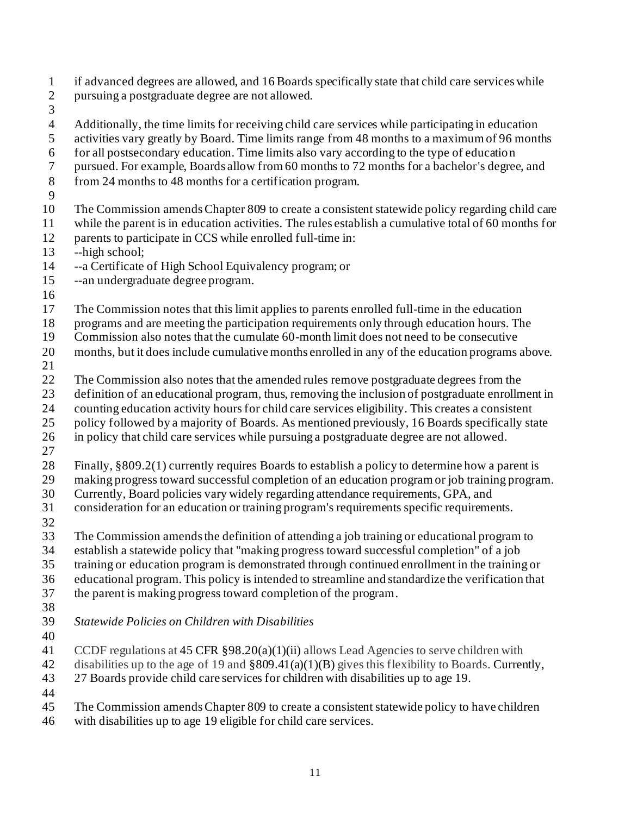- if advanced degrees are allowed, and 16 Boards specifically state that child care services while
- pursuing a postgraduate degree are not allowed.
- 
- Additionally, the time limits for receiving child care services while participating in education activities vary greatly by Board. Time limits range from 48 months to a maximum of 96 months for all postsecondary education. Time limits also vary according to the type of education pursued. For example, Boards allow from 60 months to 72 months for a bachelor's degree, and from 24 months to 48 months for a certification program. The Commission amendsChapter 809 to create a consistent statewide policy regarding child care while the parent is in education activities. The rules establish a cumulative total of 60 months for 12 parents to participate in CCS while enrolled full-time in: --high school; --a Certificate of High School Equivalency program; or --an undergraduate degree program. The Commission notes that this limit applies to parents enrolled full-time in the education programs and are meeting the participation requirements only through education hours. The Commission also notes that the cumulate 60-month limit does not need to be consecutive months, but it does include cumulative months enrolled in any of the education programs above. The Commission also notes that the amended rules remove postgraduate degrees from the definition of an educational program, thus, removing the inclusion of postgraduate enrollment in counting education activity hoursfor child care services eligibility. This creates a consistent policy followed by a majority of Boards. As mentioned previously, 16 Boards specifically state in policy that child care services while pursuing a postgraduate degree are not allowed. Finally, §809.2(1) currently requires Boards to establish a policy to determine how a parent is making progress toward successful completion of an education program or job training program. Currently, Board policies vary widely regarding attendance requirements, GPA, and consideration for an education or training program's requirements specific requirements. The Commission amends the definition of attending a job training or educational program to establish a statewide policy that "making progress toward successful completion" of a job training or education program is demonstrated through continued enrollment in the training or educational program. This policy is intended to streamline and standardize the verification that the parent is making progress toward completion of the program. *Statewide Policies on Children with Disabilities* CCDF regulations at 45 CFR §98.20(a)(1)(ii) allows Lead Agencies to serve children with disabilities up to the age of 19 and §809.41(a)(1)(B) gives this flexibility to Boards. Currently, 27 Boards provide child care services for children with disabilities up to age 19. The Commission amendsChapter 809 to create a consistent statewide policy to have children with disabilities up to age 19 eligible for child care services.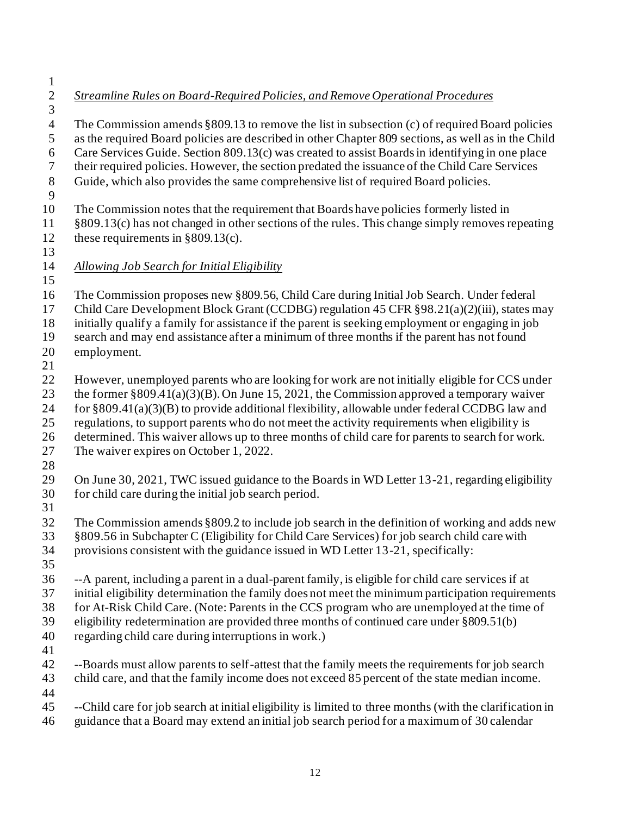*Streamline Rules on Board-Required Policies, and Remove Operational Procedures* The Commission amends §809.13 to remove the list in subsection (c) of required Board policies as the required Board policies are described in other Chapter 809 sections, as well as in the Child Care Services Guide. Section 809.13(c) was created to assist Boards in identifying in one place their required policies. However, the section predated the issuance of the Child Care Services Guide, which also provides the same comprehensive list of required Board policies. The Commission notes that the requirement that Boards have policies formerly listed in §809.13(c) has not changed in other sections of the rules. This change simply removes repeating these requirements in §809.13(c). *Allowing Job Search for Initial Eligibility* The Commission proposes new §809.56, Child Care during Initial Job Search. Under federal Child Care Development Block Grant (CCDBG) regulation 45 CFR §98.21(a)(2)(iii), states may initially qualify a family for assistance if the parent is seeking employment or engaging in job search and may end assistance after a minimum of three months if the parent has not found employment. However, unemployed parents who are looking for work are not initially eligible for CCS under the former §809.41(a)(3)(B). On June 15, 2021, the Commission approved a temporary waiver 24 for  $\S 809.41(a)(3)(B)$  to provide additional flexibility, allowable under federal CCDBG law and regulations, to support parents who do not meet the activity requirements when eligibility is determined. This waiver allows up to three months of child care for parents to search for work. The waiver expires on October 1, 2022. On June 30, 2021, TWC issued guidance to the Boards in WD Letter 13-21, regarding eligibility for child care during the initial job search period. The Commission amends §809.2 to include job search in the definition of working and adds new §809.56 in Subchapter C (Eligibility for Child Care Services) for job search child care with provisions consistent with the guidance issued in WD Letter 13-21, specifically: --A parent, including a parent in a dual-parent family, is eligible for child care services if at initial eligibility determination the family does not meet the minimum participation requirements for At-Risk Child Care. (Note: Parents in the CCS program who are unemployed at the time of eligibility redetermination are provided three months of continued care under §809.51(b) regarding child care during interruptions in work.) 42 --Boards must allow parents to self-attest that the family meets the requirements for job search child care, and that the family income does not exceed 85 percent of the state median income. --Child care for job search at initial eligibility is limited to three months (with the clarification in guidance that a Board may extend an initial job search period for a maximum of 30 calendar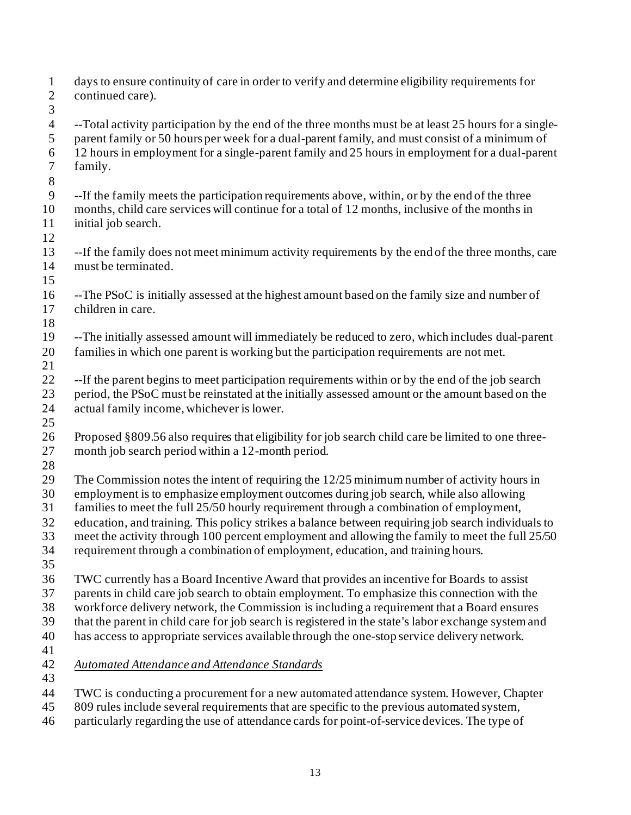| $\mathbf{1}$<br>$\overline{c}$<br>3 | days to ensure continuity of care in order to verify and determine eligibility requirements for<br>continued care). |
|-------------------------------------|---------------------------------------------------------------------------------------------------------------------|
| $\overline{4}$                      | --Total activity participation by the end of the three months must be at least 25 hours for a single-               |
| 5                                   | parent family or 50 hours per week for a dual-parent family, and must consist of a minimum of                       |
| 6                                   | 12 hours in employment for a single-parent family and 25 hours in employment for a dual-parent                      |
| $\tau$                              | family.                                                                                                             |
| $8\,$                               |                                                                                                                     |
| $\overline{9}$                      | --If the family meets the participation requirements above, within, or by the end of the three                      |
| 10                                  | months, child care services will continue for a total of 12 months, inclusive of the months in                      |
| 11                                  | initial job search.                                                                                                 |
| 12                                  |                                                                                                                     |
| 13                                  | --If the family does not meet minimum activity requirements by the end of the three months, care                    |
| 14                                  | must be terminated.                                                                                                 |
| 15                                  |                                                                                                                     |
| 16                                  | --The PSoC is initially assessed at the highest amount based on the family size and number of                       |
| 17                                  | children in care.                                                                                                   |
| 18                                  |                                                                                                                     |
| 19                                  | --The initially assessed amount will immediately be reduced to zero, which includes dual-parent                     |
| 20                                  | families in which one parent is working but the participation requirements are not met.                             |
| 21                                  |                                                                                                                     |
| 22                                  | --If the parent begins to meet participation requirements within or by the end of the job search                    |
| 23                                  | period, the PSoC must be reinstated at the initially assessed amount or the amount based on the                     |
| 24                                  | actual family income, whichever is lower.                                                                           |
| 25                                  |                                                                                                                     |
| 26                                  | Proposed §809.56 also requires that eligibility for job search child care be limited to one three-                  |
| 27                                  | month job search period within a 12-month period.                                                                   |
| 28                                  |                                                                                                                     |
| 29                                  | The Commission notes the intent of requiring the $12/25$ minimum number of activity hours in                        |
| 30                                  | employment is to emphasize employment outcomes during job search, while also allowing                               |
| 31                                  | families to meet the full 25/50 hourly requirement through a combination of employment,                             |
| 32                                  | education, and training. This policy strikes a balance between requiring job search individuals to                  |
| 33                                  | meet the activity through 100 percent employment and allowing the family to meet the full 25/50                     |
| 34                                  | requirement through a combination of employment, education, and training hours.                                     |
| 35                                  |                                                                                                                     |
| 36                                  | TWC currently has a Board Incentive Award that provides an incentive for Boards to assist                           |
| 37                                  | parents in child care job search to obtain employment. To emphasize this connection with the                        |
| 38<br>39                            | workforce delivery network, the Commission is including a requirement that a Board ensures                          |
|                                     | that the parent in child care for job search is registered in the state's labor exchange system and                 |
| 40                                  | has access to appropriate services available through the one-stop service delivery network.                         |
| 41<br>42                            | <b>Automated Attendance and Attendance Standards</b>                                                                |
| 43                                  |                                                                                                                     |
| 44                                  | TWC is conducting a procurement for a new automated attendance system. However, Chapter                             |
| 45                                  | 809 rules include several requirements that are specific to the previous automated system,                          |

particularly regarding the use of attendance cards for point-of-service devices. The type of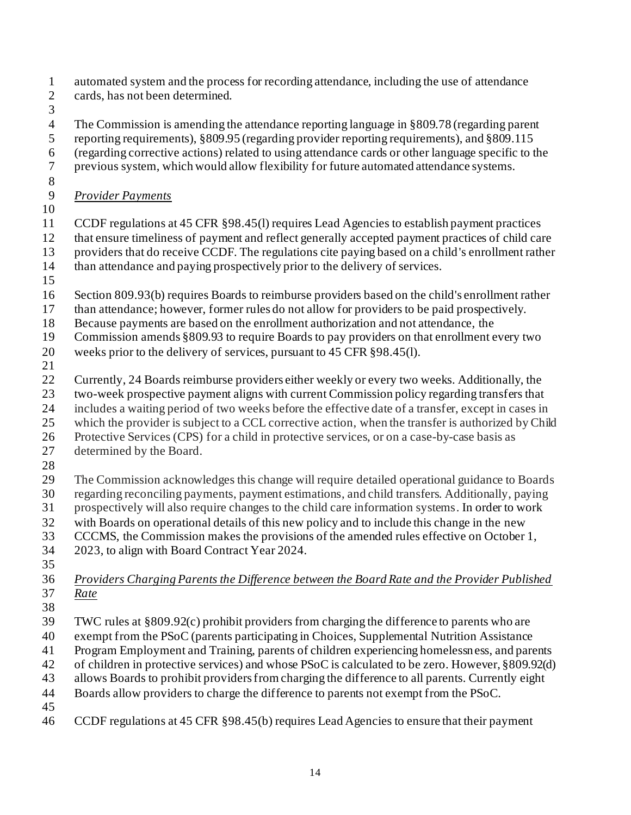- automated system and the process for recording attendance, including the use of attendance cards, has not been determined.
- 

 The Commission is amending the attendance reporting language in §809.78 (regarding parent reporting requirements), §809.95 (regarding provider reporting requirements), and §809.115 (regarding corrective actions) related to using attendance cards or other language specific to the previous system, which would allow flexibility for future automated attendance systems. *Provider Payments* CCDF regulations at 45 CFR §98.45(l) requires Lead Agencies to establish payment practices that ensure timeliness of payment and reflect generally accepted payment practices of child care providers that do receive CCDF. The regulations cite paying based on a child's enrollment rather

- than attendance and paying prospectively prior to the delivery of services.
- 
- Section 809.93(b) requires Boards to reimburse providers based on the child's enrollment rather
- than attendance; however, former rules do not allow for providers to be paid prospectively.
- Because payments are based on the enrollment authorization and not attendance, the
- Commission amends §809.93 to require Boards to pay providers on that enrollment every two
- weeks prior to the delivery of services, pursuant to 45 CFR §98.45(l).
- 
- Currently, 24 Boards reimburse providers either weekly or every two weeks. Additionally, the
- two-week prospective payment aligns with current Commission policy regarding transfers that
- includes a waiting period of two weeks before the effective date of a transfer, except in cases in
- which the provider is subject to a CCL corrective action, when the transfer is authorized by Child
- Protective Services (CPS) for a child in protective services, or on a case-by-case basis as
- determined by the Board.
- 
- The Commission acknowledges this change will require detailed operational guidance to Boards regarding reconciling payments, payment estimations, and child transfers. Additionally, paying prospectively will also require changes to the child care information systems. In order to work
- with Boards on operational details of this new policy and to include this change in the new
- CCCMS, the Commission makes the provisions of the amended rules effective on October 1,
- 2023, to align with Board Contract Year 2024.
- 
- *Providers Charging Parents the Difference between the Board Rate and the Provider Published Rate*
- 
- TWC rules at §809.92(c) prohibit providers from charging the difference to parents who are
- exempt from the PSoC (parents participating in Choices, Supplemental Nutrition Assistance
- Program Employment and Training, parents of children experiencing homelessness, and parents
- of children in protective services) and whose PSoC is calculated to be zero. However, §809.92(d)
- allows Boards to prohibit providers from charging the difference to all parents. Currently eight
- Boards allow providers to charge the difference to parents not exempt from the PSoC.
- 
- CCDF regulations at 45 CFR §98.45(b) requires Lead Agencies to ensure that their payment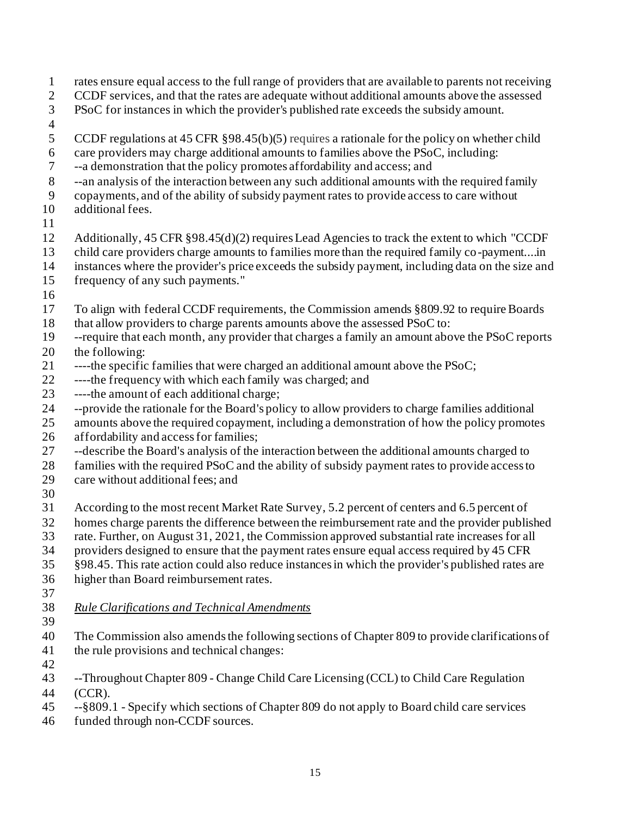- rates ensure equal access to the full range of providers that are available to parents not receiving CCDF services, and that the rates are adequate without additional amounts above the assessed PSoC for instances in which the provider's published rate exceeds the subsidy amount. CCDF regulations at 45 CFR §98.45(b)(5) requires a rationale for the policy on whether child care providers may charge additional amounts to families above the PSoC, including: --a demonstration that the policy promotes affordability and access; and --an analysis of the interaction between any such additional amounts with the required family copayments, and of the ability of subsidy payment rates to provide access to care without additional fees. Additionally, 45 CFR §98.45(d)(2) requires Lead Agencies to track the extent to which "CCDF child care providers charge amounts to families more than the required family co-payment....in instances where the provider's price exceeds the subsidy payment, including data on the size and frequency of any such payments." To align with federal CCDF requirements, the Commission amends §809.92 to require Boards that allow providers to charge parents amounts above the assessed PSoC to: --require that each month, any provider that charges a family an amount above the PSoC reports 20 the following: ----the specific families that were charged an additional amount above the PSoC; ----the frequency with which each family was charged; and ----the amount of each additional charge; --provide the rationale for the Board's policy to allow providers to charge families additional amounts above the required copayment, including a demonstration of how the policy promotes affordability and access for families; --describe the Board's analysis of the interaction between the additional amounts charged to families with the required PSoC and the ability of subsidy payment rates to provide access to care without additional fees; and According to the most recent Market Rate Survey, 5.2 percent of centers and 6.5 percent of homes charge parents the difference between the reimbursement rate and the provider published rate. Further, on August 31, 2021, the Commission approved substantial rate increases for all providers designed to ensure that the payment rates ensure equal access required by 45 CFR §98.45. This rate action could also reduce instances in which the provider's published rates are higher than Board reimbursement rates. *Rule Clarifications and Technical Amendments* The Commission also amendsthe following sections of Chapter 809 to provide clarifications of the rule provisions and technical changes: --Throughout Chapter 809 - Change Child Care Licensing (CCL) to Child Care Regulation (CCR).
- --§809.1 Specify which sections of Chapter 809 do not apply to Board child care services
- funded through non-CCDF sources.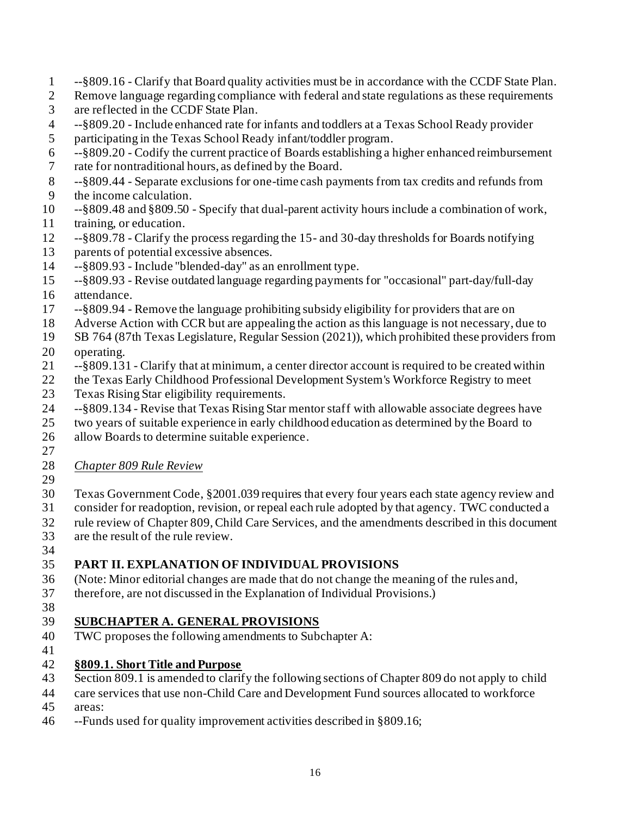- --§809.16 Clarify that Board quality activities must be in accordance with the CCDF State Plan.
- Remove language regarding compliance with federal and state regulations as these requirements are reflected in the CCDF State Plan.
- --§809.20 Include enhanced rate for infants and toddlers at a Texas School Ready provider
- participating in the Texas School Ready infant/toddler program.
- --§809.20 Codify the current practice of Boards establishing a higher enhanced reimbursement
- rate for nontraditional hours, as defined by the Board.
- --§809.44 Separate exclusions for one-time cash payments from tax credits and refunds from the income calculation.
- --§809.48 and §809.50 Specify that dual-parent activity hours include a combination of work, training, or education.
- --§809.78 Clarify the process regarding the 15- and 30-day thresholds for Boards notifying parents of potential excessive absences.
- --§809.93 Include "blended-day" as an enrollment type.
- --§809.93 Revise outdated language regarding payments for "occasional" part-day/full-day
- attendance.
- --§809.94 Remove the language prohibiting subsidy eligibility for providers that are on
- Adverse Action with CCR but are appealing the action as this language is not necessary, due to
- SB 764 (87th Texas Legislature, Regular Session (2021)), which prohibited these providers from
- operating.
- --§809.131 Clarify that at minimum, a center director account is required to be created within
- the Texas Early Childhood Professional Development System's Workforce Registry to meet
- Texas Rising Star eligibility requirements.
- --§809.134 Revise that Texas Rising Star mentor staff with allowable associate degrees have
- two years of suitable experience in early childhood education as determined by the Board to
- allow Boards to determine suitable experience.
- 
- *Chapter 809 Rule Review*
- 
- Texas Government Code, §2001.039 requires that every four years each state agency review and
- consider for readoption, revision, or repeal each rule adopted by that agency. TWC conducted a
- rule review of Chapter 809, Child Care Services, and the amendments described in this document
- are the result of the rule review.
- 

# **PART II. EXPLANATION OF INDIVIDUAL PROVISIONS**

- (Note: Minor editorial changes are made that do not change the meaning of the rules and,
- therefore, are not discussed in the Explanation of Individual Provisions.)
- 

# **SUBCHAPTER A. GENERAL PROVISIONS**

- TWC proposes the following amendments to Subchapter A:
- 

## **§809.1. Short Title and Purpose**

- Section 809.1 is amended to clarify the following sections of Chapter 809 do not apply to child
- care services that use non-Child Care and Development Fund sources allocated to workforce areas:
- --Funds used for quality improvement activities described in §809.16;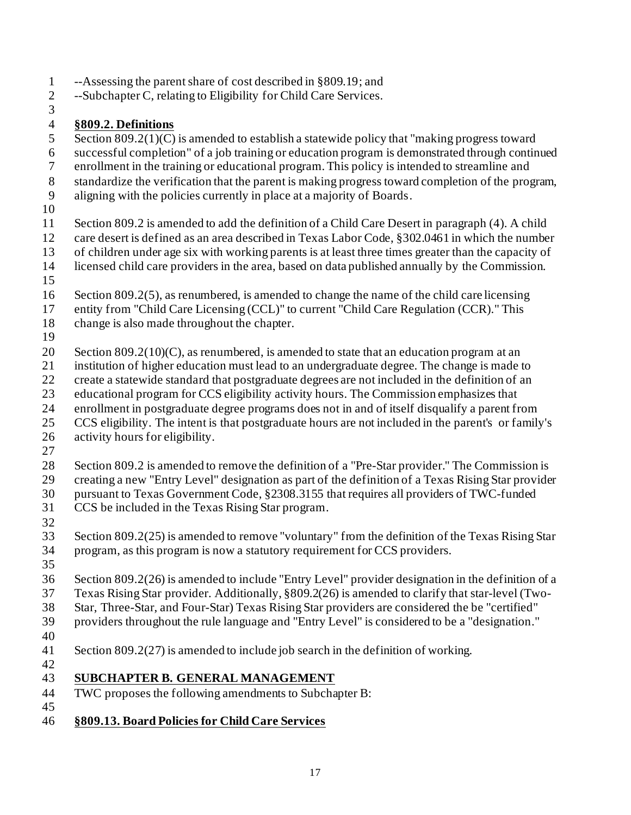- --Assessing the parent share of cost described in §809.19; and
- --Subchapter C, relating to Eligibility for Child Care Services.
- 

#### **§809.2. Definitions**

- 5 Section 809.2(1)(C) is amended to establish a statewide policy that "making progress toward
- successful completion" of a job training or education program is demonstrated through continued
- enrollment in the training or educational program.This policy is intended to streamline and
- standardize the verification that the parent is making progress toward completion of the program,
- aligning with the policies currently in place at a majority of Boards.
- 
- Section 809.2 is amended to add the definition of a Child Care Desert in paragraph (4). A child
- care desert is defined as an area described in Texas Labor Code, §302.0461 in which the number
- of children under age six with working parents is at least three times greater than the capacity of
- licensed child care providers in the area, based on data published annually by the Commission.
- 
- 16 Section 809.2(5), as renumbered, is amended to change the name of the child care licensing
- entity from "Child Care Licensing (CCL)" to current "Child Care Regulation (CCR)." This
- change is also made throughout the chapter.
- 

20 Section  $809.2(10)(C)$ , as renumbered, is amended to state that an education program at an

- institution of higher education must lead to an undergraduate degree. The change is made to
- create a statewide standard that postgraduate degrees are not included in the definition of an
- educational program for CCS eligibility activity hours. The Commission emphasizes that
- enrollment in postgraduate degree programs does not in and of itself disqualify a parent from
- CCS eligibility. The intent is that postgraduate hours are not included in the parent's or family's
- activity hours for eligibility.
- 
- Section 809.2 is amended to remove the definition of a "Pre-Star provider." The Commission is
- creating a new "Entry Level" designation as part of the definition of a Texas Rising Star provider
- pursuant to Texas Government Code, §2308.3155 that requires all providers of TWC-funded CCS be included in the Texas Rising Star program.
- 
- Section 809.2(25) is amended to remove "voluntary" from the definition of the Texas Rising Star program, as this program is now a statutory requirement for CCS providers.
- 
- Section 809.2(26) is amended to include "Entry Level" provider designation in the definition of a
- Texas Rising Star provider. Additionally, §809.2(26) is amended to clarify that star-level (Two-
- Star, Three-Star, and Four-Star) Texas Rising Star providers are considered the be "certified"
- providers throughout the rule language and "Entry Level" is considered to be a "designation."
- 
- Section 809.2(27) is amended to include job search in the definition of working.
- 

#### **SUBCHAPTER B. GENERAL MANAGEMENT**

- TWC proposes the following amendments to Subchapter B:
- 
- **§809.13. Board Policies for Child Care Services**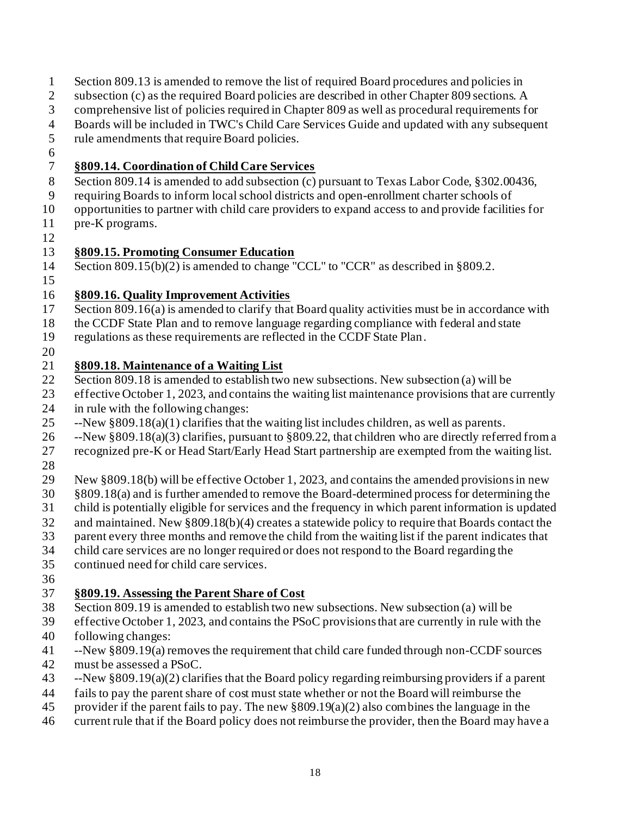- Section 809.13 is amended to remove the list of required Board procedures and policies in
- 2 subsection (c) as the required Board policies are described in other Chapter 809 sections. A
- comprehensive list of policies required in Chapter 809 as well as procedural requirements for
- Boards will be included in TWC's Child Care Services Guide and updated with any subsequent
- 5 rule amendments that require Board policies.
- 

#### **§809.14. Coordination of Child Care Services**

- Section 809.14 is amended to add subsection (c) pursuant to Texas Labor Code, §302.00436,
- requiring Boards to inform localschool districts and open-enrollment charter schools of
- opportunities to partner with child care providers to expand access to and provide facilities for
- pre-K programs.
- 

## **§809.15. Promoting Consumer Education**

- Section 809.15(b)(2) is amended to change "CCL" to "CCR" as described in §809.2.
- 

## **§809.16. Quality Improvement Activities**

- 17 Section 809.16(a) is amended to clarify that Board quality activities must be in accordance with
- the CCDF State Plan and to remove language regarding compliance with federal and state
- regulations as these requirements are reflected in the CCDF State Plan.
- 

## **§809.18. Maintenance of a Waiting List**

- Section 809.18 is amended to establish two new subsections. New subsection (a) will be
- effective October 1, 2023, and contains the waiting list maintenance provisions that are currently in rule with the following changes:
- 
- --New §809.18(a)(1) clarifies that the waiting list includes children, as well as parents.
- --New §809.18(a)(3) clarifies, pursuant to §809.22, that children who are directly referred from a
- recognized pre-K or Head Start/Early Head Start partnership are exempted from the waiting list.
- 
- New §809.18(b) will be effective October 1, 2023, and contains the amended provisionsin new
- §809.18(a) and is further amended to remove the Board-determined process for determining the
- child is potentially eligible for services and the frequency in which parent information is updated
- and maintained. New §809.18(b)(4) creates a statewide policy to require that Boards contact the
- parent every three months and remove the child from the waiting list if the parent indicates that
- child care services are no longer required or does not respond to the Board regarding the
- continued need for child care services.
- 

## **§809.19. Assessing the Parent Share of Cost**

- Section 809.19 is amended to establish two new subsections. New subsection (a) will be
- effective October 1, 2023, and contains the PSoC provisions that are currently in rule with the
- following changes:
- --New §809.19(a) removes the requirement that child care funded through non-CCDF sources must be assessed a PSoC.
- --New §809.19(a)(2) clarifies that the Board policy regarding reimbursing providers if a parent
- fails to pay the parent share of cost must state whether or not the Board will reimburse the
- provider if the parent fails to pay. The new §809.19(a)(2) also combines the language in the
- current rule that if the Board policy does not reimburse the provider, then the Board may have a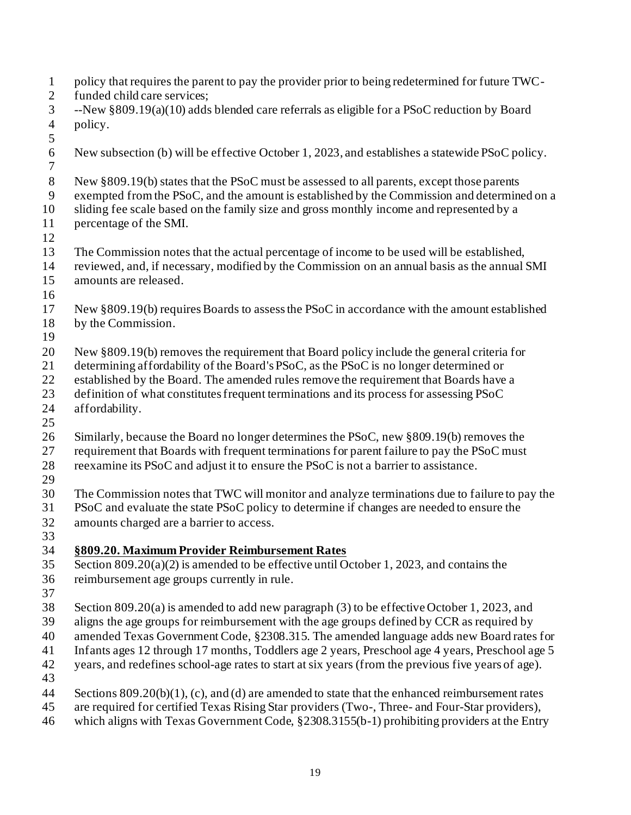policy that requires the parent to pay the provider prior to being redetermined for future TWC- funded child care services; --New §809.19(a)(10) adds blended care referrals as eligible for a PSoC reduction by Board policy. New subsection (b) will be effective October 1, 2023, and establishes a statewide PSoC policy. New §809.19(b) states that the PSoC must be assessed to all parents, except those parents exempted from the PSoC, and the amount is established by the Commission and determined on a sliding fee scale based on the family size and gross monthly income and represented by a percentage of the SMI. The Commission notes that the actual percentage of income to be used will be established, reviewed, and, if necessary, modified by the Commission on an annual basis as the annual SMI amounts are released. 17 New §809.19(b) requires Boards to assess the PSoC in accordance with the amount established by the Commission. New §809.19(b) removes the requirement that Board policy include the general criteria for determining affordability of the Board's PSoC, as the PSoC is no longer determined or 22 established by the Board. The amended rules remove the requirement that Boards have a definition of what constitutes frequent terminations and its process for assessing PSoC affordability. Similarly, because the Board no longer determines the PSoC, new §809.19(b) removes the 27 requirement that Boards with frequent terminations for parent failure to pay the PSoC must reexamine its PSoC and adjust it to ensure the PSoC is not a barrier to assistance. The Commission notes that TWC will monitor and analyze terminations due to failure to pay the PSoC and evaluate the state PSoC policy to determine if changes are needed to ensure the amounts charged are a barrier to access. **§809.20. Maximum Provider Reimbursement Rates** Section 809.20(a)(2) is amended to be effective until October 1, 2023, and contains the reimbursement age groups currently in rule. Section 809.20(a) is amended to add new paragraph (3) to be effective October 1, 2023, and aligns the age groups for reimbursement with the age groups defined by CCR as required by amended Texas Government Code, §2308.315. The amended language adds new Board rates for Infants ages 12 through 17 months, Toddlers age 2 years, Preschool age 4 years, Preschool age 5 years, and redefines school-age rates to start at six years (from the previous five years of age). Sections 809.20(b)(1), (c), and (d) are amended to state that the enhanced reimbursement rates are required for certified Texas Rising Star providers (Two-, Three- and Four-Star providers), which aligns with Texas Government Code, §2308.3155(b-1) prohibiting providers at the Entry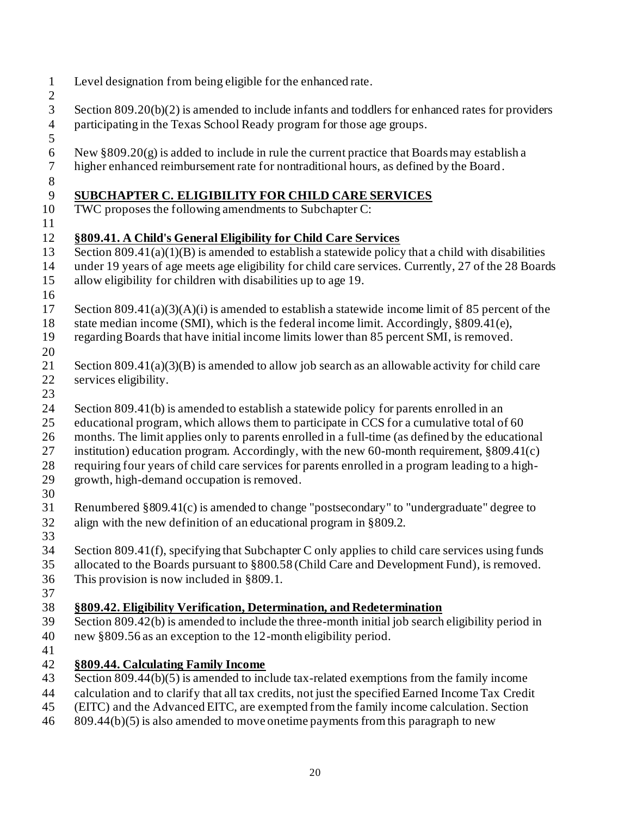| $\mathbf{1}$<br>$\mathbf{2}$ | Level designation from being eligible for the enhanced rate.                                                                                                                             |
|------------------------------|------------------------------------------------------------------------------------------------------------------------------------------------------------------------------------------|
| 3<br>$\overline{4}$<br>5     | Section $809.20(b)(2)$ is amended to include infants and toddlers for enhanced rates for providers<br>participating in the Texas School Ready program for those age groups.              |
| 6<br>$\tau$<br>$8\,$         | New $\S 809.20(g)$ is added to include in rule the current practice that Boards may establish a<br>higher enhanced reimbursement rate for nontraditional hours, as defined by the Board. |
| $\overline{9}$               | SUBCHAPTER C. ELIGIBILITY FOR CHILD CARE SERVICES                                                                                                                                        |
| 10                           | TWC proposes the following amendments to Subchapter C:                                                                                                                                   |
| 11                           |                                                                                                                                                                                          |
| 12                           | §809.41. A Child's General Eligibility for Child Care Services                                                                                                                           |
| 13                           | Section $809.41(a)(1)(B)$ is amended to establish a statewide policy that a child with disabilities                                                                                      |
| 14                           | under 19 years of age meets age eligibility for child care services. Currently, 27 of the 28 Boards                                                                                      |
| 15                           | allow eligibility for children with disabilities up to age 19.                                                                                                                           |
| 16                           |                                                                                                                                                                                          |
| 17                           | Section 809.41(a)(3)(A)(i) is amended to establish a statewide income limit of 85 percent of the                                                                                         |
| $18\,$                       | state median income (SMI), which is the federal income limit. Accordingly, §809.41(e),                                                                                                   |
| 19                           | regarding Boards that have initial income limits lower than 85 percent SMI, is removed.                                                                                                  |
| 20                           |                                                                                                                                                                                          |
| 21<br>22                     | Section 809.41(a)(3)(B) is amended to allow job search as an allowable activity for child care                                                                                           |
| 23                           | services eligibility.                                                                                                                                                                    |
| 24                           | Section 809.41(b) is amended to establish a statewide policy for parents enrolled in an                                                                                                  |
| 25                           | educational program, which allows them to participate in CCS for a cumulative total of 60                                                                                                |
| 26                           | months. The limit applies only to parents enrolled in a full-time (as defined by the educational                                                                                         |
| 27                           | institution) education program. Accordingly, with the new 60-month requirement, $§809.41(c)$                                                                                             |
| 28                           | requiring four years of child care services for parents enrolled in a program leading to a high-                                                                                         |
| 29                           | growth, high-demand occupation is removed.                                                                                                                                               |
| 30                           |                                                                                                                                                                                          |
| 31                           | Renumbered §809.41(c) is amended to change "postsecondary" to "undergraduate" degree to                                                                                                  |
| 32                           | align with the new definition of an educational program in §809.2.                                                                                                                       |
| 33                           |                                                                                                                                                                                          |
| 34                           | Section 809.41(f), specifying that Subchapter C only applies to child care services using funds                                                                                          |
| 35                           | allocated to the Boards pursuant to §800.58 (Child Care and Development Fund), is removed.                                                                                               |
| 36                           | This provision is now included in $\S 809.1$ .                                                                                                                                           |
| 37                           |                                                                                                                                                                                          |
| 38                           | §809.42. Eligibility Verification, Determination, and Redetermination                                                                                                                    |
| 39                           | Section 809.42(b) is amended to include the three-month initial job search eligibility period in                                                                                         |
| 40                           | new §809.56 as an exception to the 12-month eligibility period.                                                                                                                          |
| 41<br>42                     |                                                                                                                                                                                          |
| 43                           | §809.44. Calculating Family Income<br>Section 809.44(b)(5) is amended to include tax-related exemptions from the family income                                                           |
| 44                           | calculation and to clarify that all tax credits, not just the specified Earned Income Tax Credit                                                                                         |
| 45                           | (EITC) and the Advanced EITC, are exempted from the family income calculation. Section                                                                                                   |
|                              |                                                                                                                                                                                          |

809.44(b)(5) is also amended to move onetime payments from this paragraph to new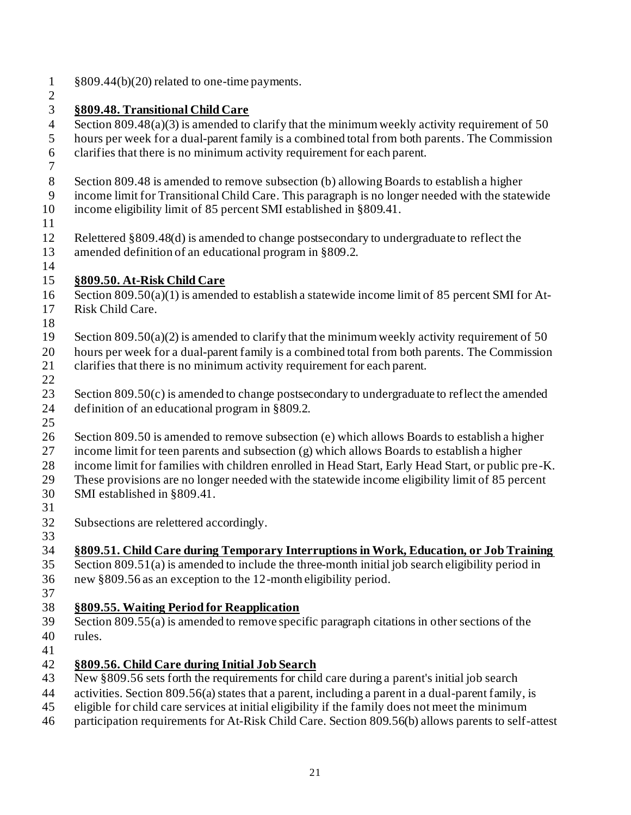**§809.48. Transitional Child Care** Section 809.48(a)(3) is amended to clarify that the minimum weekly activity requirement of 50 hours per week for a dual-parent family is a combined total from both parents. The Commission clarifies that there is no minimum activity requirement for each parent. Section 809.48 is amended to remove subsection (b) allowing Boards to establish a higher income limit for Transitional Child Care. This paragraph is no longer needed with the statewide income eligibility limit of 85 percent SMI established in §809.41. Relettered §809.48(d) is amended to change postsecondary to undergraduate to reflect the amended definition of an educational program in §809.2. **§809.50. At-Risk Child Care** Section 809.50(a)(1) is amended to establish a statewide income limit of 85 percent SMI for At- Risk Child Care. 19 Section 809.50(a)(2) is amended to clarify that the minimum weekly activity requirement of 50 hours per week for a dual-parent family is a combined total from both parents. The Commission clarifies that there is no minimum activity requirement for each parent. 23 Section 809.50(c) is amended to change postsecondary to undergraduate to reflect the amended definition of an educational program in §809.2. Section 809.50 is amended to remove subsection (e) which allows Boards to establish a higher income limit for teen parents and subsection (g) which allows Boards to establish a higher income limit for families with children enrolled in Head Start, Early Head Start, or public pre-K. These provisions are no longer needed with the statewide income eligibility limit of 85 percent SMI established in §809.41. Subsections are relettered accordingly. **§809.51. Child Care during Temporary Interruptions in Work, Education, or Job Training** Section 809.51(a) is amended to include the three-month initial job search eligibility period in new §809.56 as an exception to the 12-month eligibility period. **§809.55. Waiting Period for Reapplication** Section 809.55(a) is amended to remove specific paragraph citations in other sections of the rules. **§809.56. Child Care during Initial Job Search** New §809.56 sets forth the requirements for child care during a parent's initial job search activities. Section 809.56(a) states that a parent, including a parent in a dual-parent family, is eligible for child care services at initial eligibility if the family does not meet the minimum participation requirements for At-Risk Child Care. Section 809.56(b) allows parents to self-attest

§809.44(b)(20) related to one-time payments.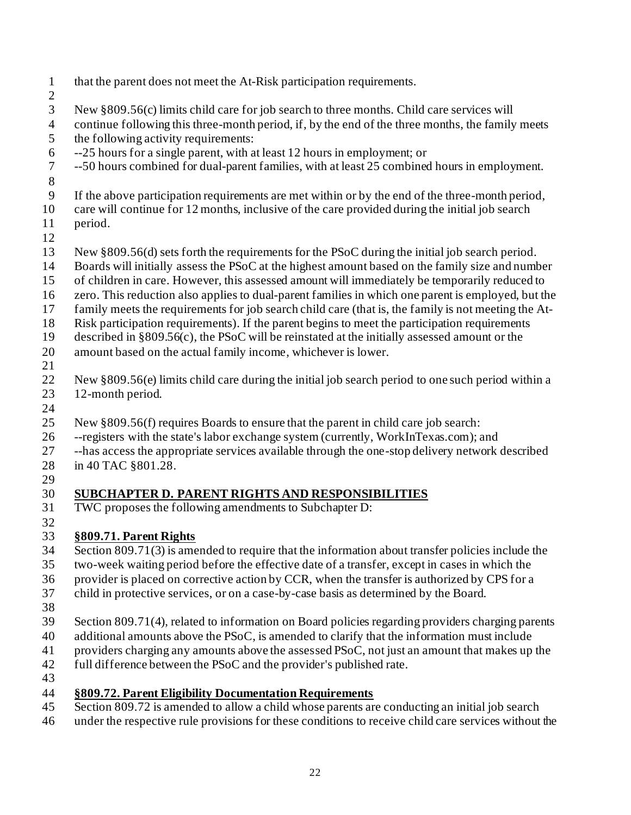- that the parent does not meet the At-Risk participation requirements. New §809.56(c) limits child care for job search to three months. Child care services will continue following this three-month period, if, by the end of the three months, the family meets the following activity requirements: --25 hours for a single parent, with at least 12 hours in employment; or --50 hours combined for dual-parent families, with at least 25 combined hours in employment. If the above participation requirements are met within or by the end of the three-month period, care will continue for 12 months, inclusive of the care provided during the initial job search period. New §809.56(d) sets forth the requirements for the PSoC during the initial job search period. Boards will initially assess the PSoC at the highest amount based on the family size and number of children in care. However, this assessed amount will immediately be temporarily reduced to zero. This reduction also applies to dual-parent families in which one parent is employed, but the family meets the requirements for job search child care (that is, the family is not meeting the At- Risk participation requirements). If the parent begins to meet the participation requirements described in §809.56(c), the PSoC will be reinstated at the initially assessed amount or the amount based on the actual family income, whichever is lower. New §809.56(e) limits child care during the initial job search period to one such period within a 12-month period. New §809.56(f) requires Boards to ensure that the parent in child care job search: --registers with the state's labor exchange system (currently, WorkInTexas.com); and --has access the appropriate services available through the one-stop delivery network described in 40 TAC §801.28. **SUBCHAPTER D. PARENT RIGHTS AND RESPONSIBILITIES** TWC proposes the following amendments to Subchapter D: **§809.71. Parent Rights** Section 809.71(3) is amended to require that the information about transfer policies include the two-week waiting period before the effective date of a transfer, except in cases in which the provider is placed on corrective action by CCR, when the transfer is authorized by CPS for a
- child in protective services, or on a case-by-case basis as determined by the Board.
- 

- Section 809.71(4), related to information on Board policies regarding providers charging parents
- additional amounts above the PSoC, is amended to clarify that the information must include
- providers charging any amounts above the assessed PSoC, not just an amount that makes up the
- full difference between the PSoC and the provider's published rate.
- **§809.72. Parent Eligibility Documentation Requirements**
- Section 809.72 is amended to allow a child whose parents are conducting an initial job search
- under the respective rule provisions for these conditions to receive child care services without the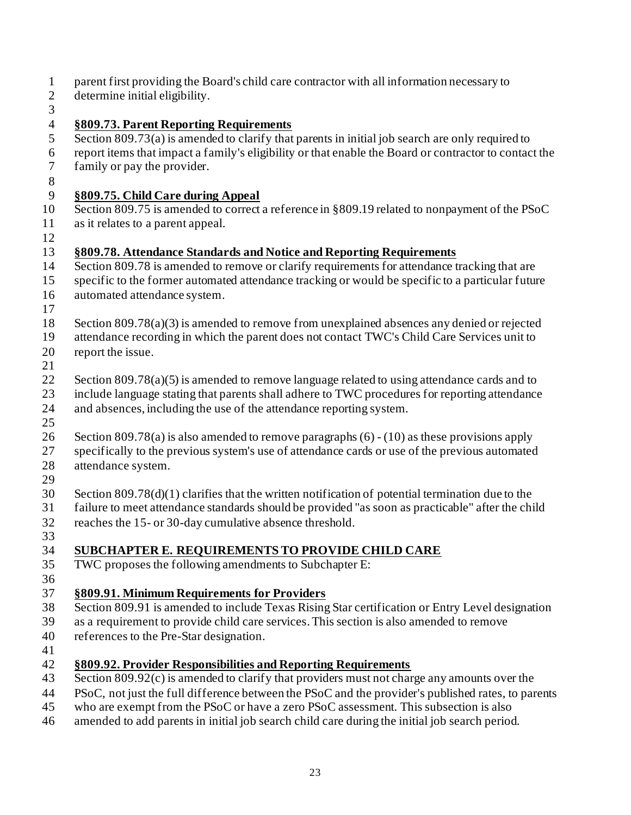- parent first providing the Board's child care contractor with all information necessary to
- determine initial eligibility.
- 

#### **§809.73. Parent Reporting Requirements**

- Section 809.73(a) is amended to clarify that parents in initial job search are only required to
- report items that impact a family's eligibility or that enable the Board or contractor to contact the family or pay the provider.
- 

#### **§809.75. Child Care during Appeal**

 Section 809.75 is amended to correct a reference in §809.19 related to nonpayment of the PSoC as it relates to a parent appeal.

#### **§809.78. Attendance Standards and Notice and Reporting Requirements**

- 14 Section 809.78 is amended to remove or clarify requirements for attendance tracking that are
- specific to the former automated attendance tracking or would be specific to a particular future
- automated attendance system.
- 
- Section 809.78(a)(3) is amended to remove from unexplained absences any denied or rejected
- attendance recording in which the parent does not contact TWC's Child Care Services unit to
- report the issue.
- 
- 22 Section 809.78(a)(5) is amended to remove language related to using attendance cards and to include language stating that parents shall adhere to TWC procedures for reporting attendance and absences, including the use of the attendance reporting system.
- 
- Section 809.78(a) is also amended to remove paragraphs (6) (10) as these provisions apply
- specifically to the previous system's use of attendance cards or use of the previous automated
- attendance system.
- 
- Section 809.78(d)(1) clarifies that the written notification of potential termination due to the
- failure to meet attendance standards should be provided "as soon as practicable" after the child
- reaches the 15- or 30-day cumulative absence threshold.
- 

## **SUBCHAPTER E. REQUIREMENTS TO PROVIDE CHILD CARE**

- TWC proposes the following amendments to Subchapter E:
- 

## **§809.91. Minimum Requirements for Providers**

- Section 809.91 is amended to include Texas Rising Star certification or Entry Level designation
- as a requirement to provide child care services.This section is also amended to remove
- references to the Pre-Star designation.
- 

#### **§809.92. Provider Responsibilities and Reporting Requirements**

- Section 809.92(c) is amended to clarify that providers must not charge any amounts over the
- PSoC, not just the full difference between the PSoC and the provider's published rates, to parents
- who are exempt from the PSoC or have a zero PSoC assessment. This subsection is also
- amended to add parents in initial job search child care during the initial job search period.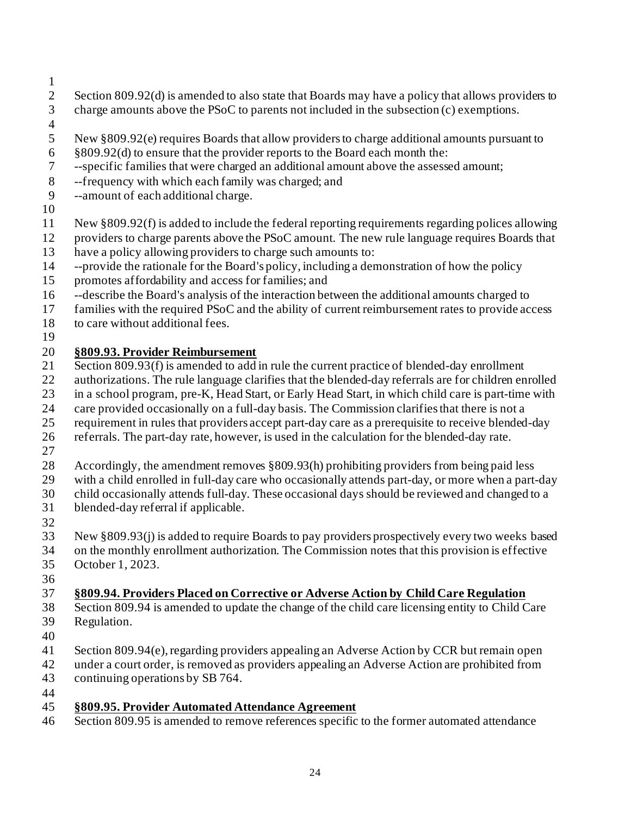- 
- 2 Section 809.92(d) is amended to also state that Boards may have a policy that allows providers to charge amounts above the PSoC to parents not included in the subsection (c) exemptions.
- 
- New §809.92(e) requires Boards that allow providers to charge additional amounts pursuant to
- §809.92(d) to ensure that the provider reports to the Board each month the:
- --specific families that were charged an additional amount above the assessed amount;
- --frequency with which each family was charged; and
- --amount of each additional charge.
- 
- New §809.92(f) is added to include the federal reporting requirements regarding polices allowing
- providers to charge parents above the PSoC amount. The new rule language requires Boards that
- have a policy allowing providers to charge such amounts to:
- --provide the rationale for the Board's policy, including a demonstration of how the policy
- promotes affordability and access for families; and
- --describe the Board's analysis of the interaction between the additional amounts charged to
- families with the required PSoC and the ability of current reimbursement rates to provide access
- to care without additional fees.
- 

## **§809.93. Provider Reimbursement**

- 21 Section 809.93(f) is amended to add in rule the current practice of blended-day enrollment
- authorizations. The rule language clarifies that the blended-day referrals are for children enrolled
- in a school program, pre-K, Head Start, or Early Head Start, in which child care is part-time with
- care provided occasionally on a full-day basis. The Commission clarifies that there is not a
- requirement in rules that providers accept part-day care as a prerequisite to receive blended-day
- referrals. The part-day rate, however, is used in the calculation for the blended-day rate.
- 
- Accordingly, the amendment removes §809.93(h) prohibiting providers from being paid less
- with a child enrolled in full-day care who occasionally attends part-day, or more when a part-day
- child occasionally attends full-day. These occasional days should be reviewed and changed to a
- blended-day referral if applicable.
- 
- New §809.93(j) is added to require Boards to pay providers prospectively every two weeks based
- on the monthly enrollment authorization. The Commission notes that this provision is effective
- October 1, 2023.
- 

## **§809.94. Providers Placed on Corrective or Adverse Action by Child Care Regulation**

- Section 809.94 is amended to update the change of the child care licensing entity to Child Care Regulation.
- 
- Section 809.94(e), regarding providers appealing an Adverse Action by CCR but remain open
- under a court order, is removed as providers appealing an Adverse Action are prohibited from continuing operations by SB 764.
- 

## **§809.95. Provider Automated Attendance Agreement**

Section 809.95 is amended to remove references specific to the former automated attendance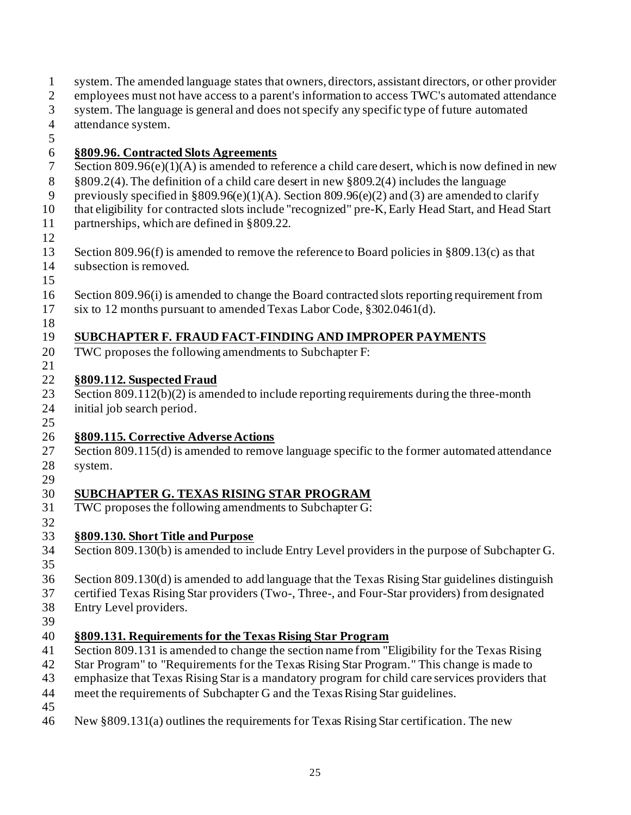employees must not have access to a parent's information to access TWC's automated attendance system. The language is general and does not specify any specific type of future automated attendance system. **§809.96. Contracted Slots Agreements** 7 Section 809.96(e)(1)(A) is amended to reference a child care desert, which is now defined in new §809.2(4).The definition of a child care desert in new §809.2(4) includes the language 9 previously specified in §809.96(e)(1)(A). Section 809.96(e)(2) and (3) are amended to clarify that eligibility for contracted slots include "recognized" pre-K, Early Head Start, and Head Start partnerships, which are defined in §809.22. Section 809.96(f) is amended to remove the reference to Board policies in §809.13(c) as that subsection is removed. Section 809.96(i) is amended to change the Board contracted slots reporting requirement from six to 12 months pursuant to amended Texas Labor Code, §302.0461(d). **SUBCHAPTER F. FRAUD FACT-FINDING AND IMPROPER PAYMENTS** TWC proposes the following amendments to Subchapter F: **§809.112. Suspected Fraud** 23 Section 809.112(b)(2) is amended to include reporting requirements during the three-month initial job search period. **§809.115. Corrective Adverse Actions** 27 Section 809.115(d) is amended to remove language specific to the former automated attendance system. **SUBCHAPTER G. TEXAS RISING STAR PROGRAM** TWC proposes the following amendments to Subchapter G: **§809.130. Short Title and Purpose** Section 809.130(b) is amended to include Entry Level providers in the purpose of Subchapter G. Section 809.130(d) is amended to add language that the Texas Rising Star guidelines distinguish certified Texas Rising Star providers (Two-, Three-, and Four-Star providers) from designated Entry Level providers. **§809.131. Requirements for the Texas Rising Star Program** Section 809.131 is amended to change the section name from "Eligibility for the Texas Rising Star Program" to "Requirements for the Texas Rising Star Program." This change is made to emphasize that Texas Rising Star is a mandatory program for child care services providers that meet the requirements of Subchapter G and the Texas Rising Star guidelines. New §809.131(a) outlines the requirements for Texas Rising Star certification. The new

system. The amended language states that owners, directors, assistant directors, or other provider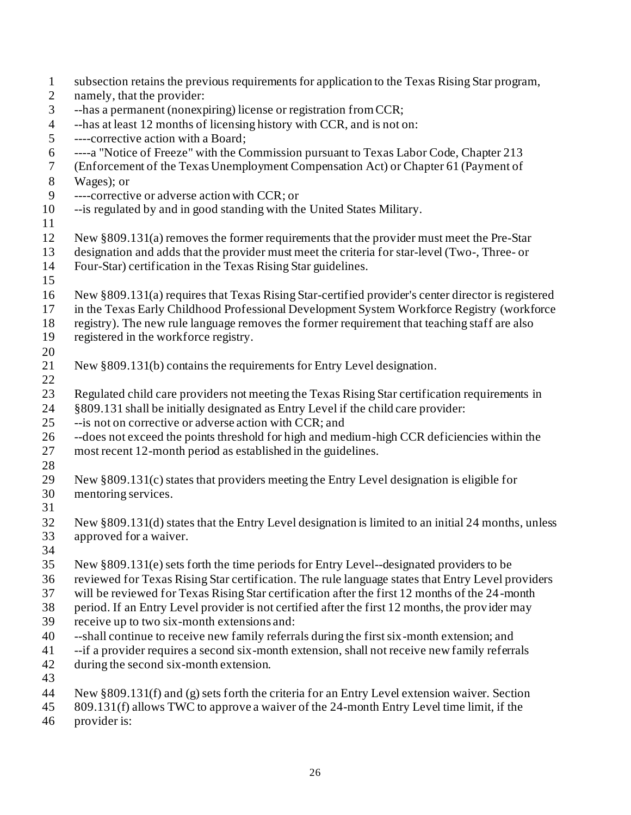| $\mathbf{1}$   | subsection retains the previous requirements for application to the Texas Rising Star program,     |
|----------------|----------------------------------------------------------------------------------------------------|
| $\overline{2}$ | namely, that the provider:                                                                         |
| $\mathfrak{Z}$ | --has a permanent (nonexpiring) license or registration from CCR;                                  |
| $\overline{4}$ | --has at least 12 months of licensing history with CCR, and is not on:                             |
| 5              | ----corrective action with a Board;                                                                |
| 6              | ----a "Notice of Freeze" with the Commission pursuant to Texas Labor Code, Chapter 213             |
| $\tau$         | (Enforcement of the Texas Unemployment Compensation Act) or Chapter 61 (Payment of                 |
| $8\,$          | Wages); or                                                                                         |
| 9              | ----corrective or adverse action with CCR; or                                                      |
| 10             | --is regulated by and in good standing with the United States Military.                            |
| 11             |                                                                                                    |
| 12             | New §809.131(a) removes the former requirements that the provider must meet the Pre-Star           |
| 13             | designation and adds that the provider must meet the criteria for star-level (Two-, Three- or      |
| 14             | Four-Star) certification in the Texas Rising Star guidelines.                                      |
| 15             |                                                                                                    |
| 16             | New §809.131(a) requires that Texas Rising Star-certified provider's center director is registered |
| 17             | in the Texas Early Childhood Professional Development System Workforce Registry (workforce         |
| 18             | registry). The new rule language removes the former requirement that teaching staff are also       |
| 19             | registered in the workforce registry.                                                              |
| 20             |                                                                                                    |
| 21             | New §809.131(b) contains the requirements for Entry Level designation.                             |
| 22             |                                                                                                    |
| 23             | Regulated child care providers not meeting the Texas Rising Star certification requirements in     |
| 24             | §809.131 shall be initially designated as Entry Level if the child care provider:                  |
| 25             | -- is not on corrective or adverse action with CCR; and                                            |
| 26             | --does not exceed the points threshold for high and medium-high CCR deficiencies within the        |
| 27             | most recent 12-month period as established in the guidelines.                                      |
| 28             |                                                                                                    |
| 29             | New §809.131(c) states that providers meeting the Entry Level designation is eligible for          |
| 30             | mentoring services.                                                                                |
| 31             |                                                                                                    |
| 32             | New §809.131(d) states that the Entry Level designation is limited to an initial 24 months, unless |
| 33             | approved for a waiver.                                                                             |
| 34             |                                                                                                    |
| 35             | New §809.131(e) sets forth the time periods for Entry Level-designated providers to be             |
| 36             | reviewed for Texas Rising Star certification. The rule language states that Entry Level providers  |
| 37             | will be reviewed for Texas Rising Star certification after the first 12 months of the 24-month     |
| 38             | period. If an Entry Level provider is not certified after the first 12 months, the provider may    |
| 39             | receive up to two six-month extensions and:                                                        |
| 40             | --shall continue to receive new family referrals during the first six-month extension; and         |
| 41             | --if a provider requires a second six-month extension, shall not receive new family referrals      |
| 42             | during the second six-month extension.                                                             |
| 43             |                                                                                                    |
| 44             | New §809.131(f) and (g) sets forth the criteria for an Entry Level extension waiver. Section       |
| 45             | 809.131(f) allows TWC to approve a waiver of the 24-month Entry Level time limit, if the           |
| 46             | provider is:                                                                                       |
|                |                                                                                                    |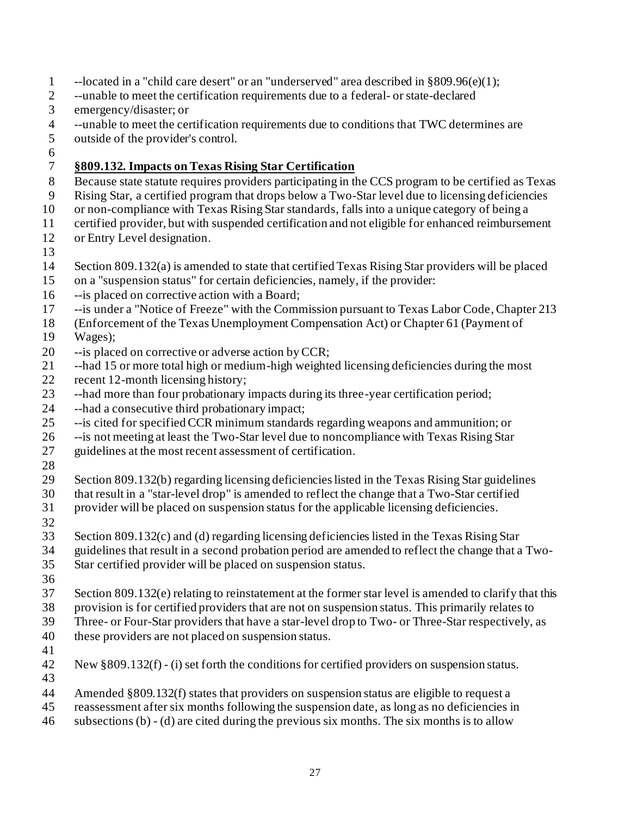- --located in a "child care desert" or an "underserved" area described in §809.96(e)(1);
- --unable to meet the certification requirements due to a federal- or state-declared
- emergency/disaster; or
- --unable to meet the certification requirements due to conditions that TWC determines are
- outside of the provider's control.
- 

#### **§809.132. Impacts on Texas Rising Star Certification**

- Because state statute requires providers participating in the CCS program to be certified as Texas
- Rising Star, a certified program that drops below a Two-Star level due to licensing deficiencies
- or non-compliance with Texas Rising Star standards, falls into a unique category of being a
- certified provider, but with suspended certification and not eligible for enhanced reimbursement or Entry Level designation.
- 
- Section 809.132(a) is amended to state that certified Texas Rising Star providers will be placed
- on a "suspension status" for certain deficiencies, namely, if the provider:
- --is placed on corrective action with a Board;
- --is under a "Notice of Freeze" with the Commission pursuant to Texas Labor Code, Chapter 213
- (Enforcement of the Texas Unemployment Compensation Act) or Chapter 61 (Payment of Wages);
- --is placed on corrective or adverse action by CCR;
- --had 15 or more total high or medium-high weighted licensing deficiencies during the most
- 22 recent 12-month licensing history;
- --had more than four probationary impacts during its three-year certification period;
- --had a consecutive third probationary impact;
- --is cited for specified CCR minimum standards regarding weapons and ammunition; or
- --is not meeting at least the Two-Star level due to noncompliance with Texas Rising Star
- guidelines at the most recent assessment of certification.
- 
- 
- Section 809.132(b) regarding licensing deficiencies listed in the Texas Rising Star guidelines
- that result in a "star-level drop" is amended to reflect the change that a Two-Star certified provider will be placed on suspension status for the applicable licensing deficiencies.
- 
- 
- Section 809.132(c) and (d) regarding licensing deficiencies listed in the Texas Rising Star
- guidelines that result in a second probation period are amended to reflect the change that a Two-
- Star certified provider will be placed on suspension status.
- 
- Section 809.132(e) relating to reinstatement at the former star level is amended to clarify that this
- provision is for certified providers that are not on suspension status. This primarily relates to
- Three- or Four-Star providers that have a star-level drop to Two- or Three-Star respectively, as
- these providers are not placed on suspension status.
- 
- New §809.132(f) (i) set forth the conditions for certified providers on suspension status.
- 
- Amended §809.132(f) states that providers on suspension status are eligible to request a
- reassessment after six months following the suspension date, as long as no deficiencies in
- subsections (b) (d) are cited during the previous six months. The six months is to allow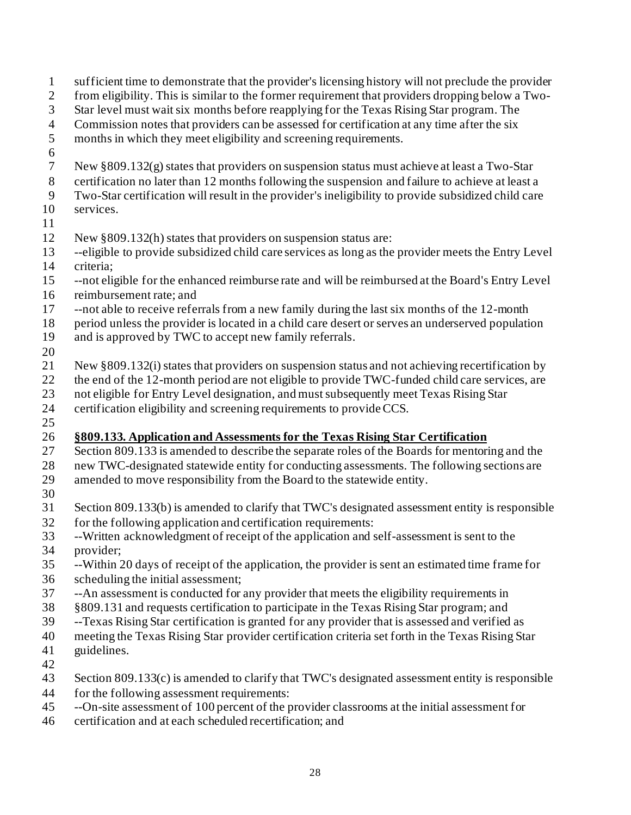Star level must wait six months before reapplying for the Texas Rising Star program. The Commission notes that providers can be assessed for certification at any time after the six months in which they meet eligibility and screening requirements. New §809.132(g) states that providers on suspension status must achieve at least a Two-Star certification no later than 12 months following the suspension and failure to achieve at least a Two-Star certification will result in the provider's ineligibility to provide subsidized child care services. New §809.132(h) states that providers on suspension status are: --eligible to provide subsidized child care services as long as the provider meets the Entry Level criteria; --not eligible for the enhanced reimburse rate and will be reimbursed at the Board's Entry Level reimbursement rate; and --not able to receive referrals from a new family during the last six months of the 12-month period unless the provider is located in a child care desert or serves an underserved population and is approved by TWC to accept new family referrals. New §809.132(i) states that providers on suspension status and not achieving recertification by 22 the end of the 12-month period are not eligible to provide TWC-funded child care services, are not eligible for Entry Level designation, and must subsequently meet Texas Rising Star certification eligibility and screening requirements to provide CCS. **§809.133. Application and Assessments for the Texas Rising Star Certification** 27 Section 809.133 is amended to describe the separate roles of the Boards for mentoring and the new TWC-designated statewide entity for conducting assessments. The following sections are amended to move responsibility from the Board to the statewide entity. Section 809.133(b) is amended to clarify that TWC's designated assessment entity is responsible for the following application and certification requirements: --Written acknowledgment of receipt of the application and self-assessment is sent to the provider; --Within 20 days of receipt of the application, the provider is sent an estimated time frame for scheduling the initial assessment; --An assessment is conducted for any provider that meets the eligibility requirements in

 sufficient time to demonstrate that the provider's licensing history will not preclude the provider from eligibility. This is similar to the former requirement that providers dropping below a Two-

- §809.131 and requests certification to participate in the Texas Rising Star program; and
- --Texas Rising Star certification is granted for any provider that is assessed and verified as
- meeting the Texas Rising Star provider certification criteria set forth in the Texas Rising Star
- guidelines.
- 
- Section 809.133(c) is amended to clarify that TWC's designated assessment entity is responsible
- for the following assessment requirements:
- --On-site assessment of 100 percent of the provider classrooms at the initial assessment for
- certification and at each scheduled recertification; and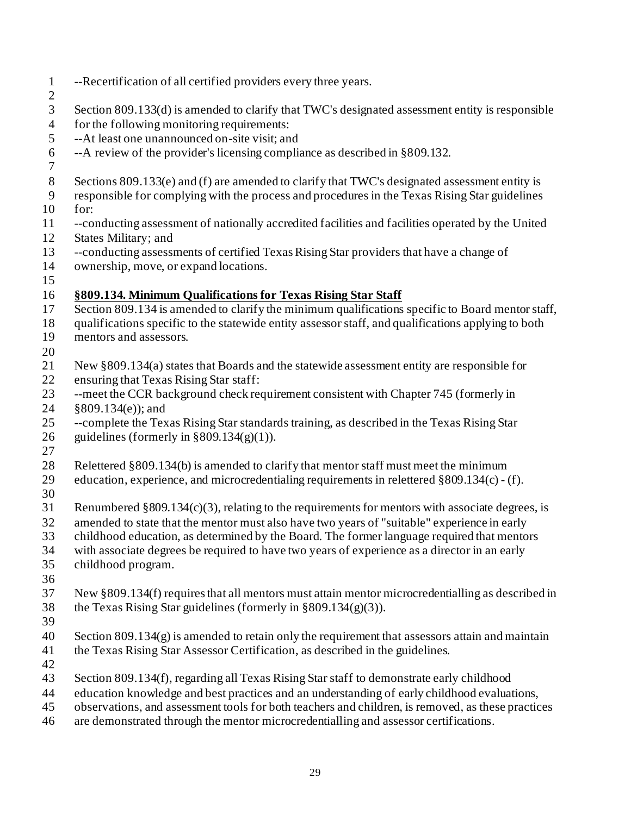--Recertification of all certified providers every three years. Section 809.133(d) is amended to clarify that TWC's designated assessment entity is responsible for the following monitoring requirements: --At least one unannounced on-site visit; and --A review of the provider's licensing compliance as described in §809.132. Sections 809.133(e) and (f) are amended to clarify that TWC's designated assessment entity is responsible for complying with the process and procedures in the Texas Rising Star guidelines for: --conducting assessment of nationally accredited facilities and facilities operated by the United States Military; and --conducting assessments of certified Texas Rising Star providers that have a change of ownership, move, or expand locations. **§809.134. Minimum Qualifications for Texas Rising Star Staff** 17 Section 809.134 is amended to clarify the minimum qualifications specific to Board mentor staff, qualifications specific to the statewide entity assessor staff, and qualifications applying to both mentors and assessors. New §809.134(a) states that Boards and the statewide assessment entity are responsible for ensuring that Texas Rising Star staff: --meet the CCR background check requirement consistent with Chapter 745 (formerly in §809.134(e)); and --complete the Texas Rising Star standards training, as described in the Texas Rising Star 26 guidelines (formerly in  $\S 809.134(g)(1)$ ). Relettered §809.134(b) is amended to clarify that mentor staff must meet the minimum education, experience, and microcredentialing requirements in relettered §809.134(c) - (f). Renumbered §809.134(c)(3), relating to the requirements for mentors with associate degrees, is amended to state that the mentor must also have two years of "suitable" experience in early childhood education, as determined by the Board. The former language required that mentors with associate degrees be required to have two years of experience as a director in an early childhood program. New §809.134(f) requires that all mentors must attain mentor microcredentialling as described in 38 the Texas Rising Star guidelines (formerly in  $\S 809.134(g)(3)$ ). Section  $809.134(g)$  is amended to retain only the requirement that assessors attain and maintain the Texas Rising Star Assessor Certification, as described in the guidelines. Section 809.134(f), regarding all Texas Rising Star staff to demonstrate early childhood education knowledge and best practices and an understanding of early childhood evaluations, observations, and assessment tools for both teachers and children, is removed, as these practices are demonstrated through the mentor microcredentialling and assessor certifications.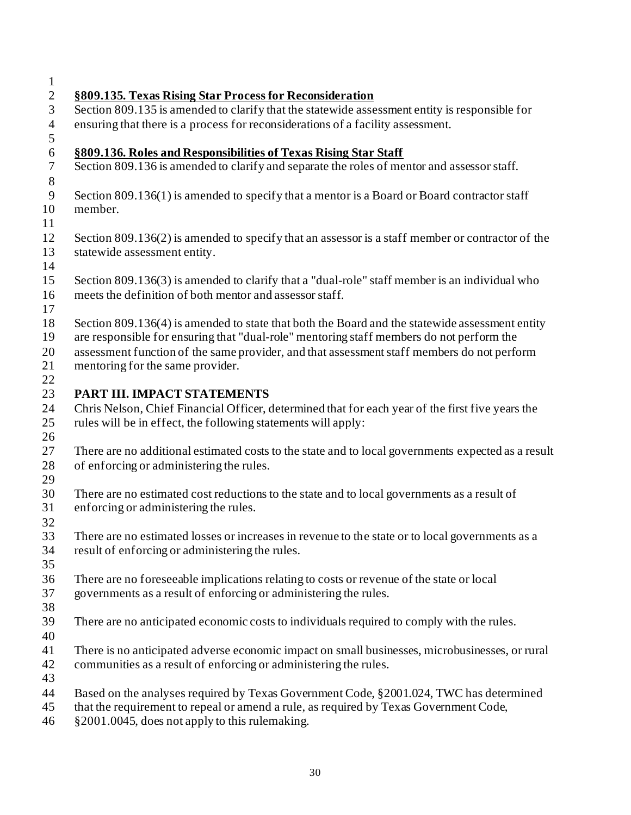| $\perp$             |                                                                                                    |
|---------------------|----------------------------------------------------------------------------------------------------|
| $\overline{2}$      | §809.135. Texas Rising Star Process for Reconsideration                                            |
| 3                   | Section 809.135 is amended to clarify that the statewide assessment entity is responsible for      |
| $\overline{4}$<br>5 | ensuring that there is a process for reconsiderations of a facility assessment.                    |
| $\sqrt{6}$          | §809.136. Roles and Responsibilities of Texas Rising Star Staff                                    |
| $\tau$              | Section 809.136 is amended to clarify and separate the roles of mentor and assessor staff.         |
| $8\,$               |                                                                                                    |
| $\overline{9}$      | Section 809.136(1) is amended to specify that a mentor is a Board or Board contractor staff        |
| 10                  | member.                                                                                            |
| 11                  |                                                                                                    |
| 12                  | Section 809.136(2) is amended to specify that an assessor is a staff member or contractor of the   |
| 13                  | statewide assessment entity.                                                                       |
| 14                  |                                                                                                    |
| 15                  | Section 809.136(3) is amended to clarify that a "dual-role" staff member is an individual who      |
| 16                  | meets the definition of both mentor and assessor staff.                                            |
| 17                  |                                                                                                    |
| 18                  | Section 809.136(4) is amended to state that both the Board and the statewide assessment entity     |
| 19                  | are responsible for ensuring that "dual-role" mentoring staff members do not perform the           |
| 20                  | assessment function of the same provider, and that assessment staff members do not perform         |
| 21<br>22            | mentoring for the same provider.                                                                   |
| 23                  | PART III. IMPACT STATEMENTS                                                                        |
| 24                  | Chris Nelson, Chief Financial Officer, determined that for each year of the first five years the   |
| 25                  | rules will be in effect, the following statements will apply:                                      |
| 26                  |                                                                                                    |
| 27                  | There are no additional estimated costs to the state and to local governments expected as a result |
| 28                  | of enforcing or administering the rules.                                                           |
| 29                  |                                                                                                    |
| 30                  | There are no estimated cost reductions to the state and to local governments as a result of        |
| 31                  | enforcing or administering the rules.                                                              |
| 32                  |                                                                                                    |
| 33                  | There are no estimated losses or increases in revenue to the state or to local governments as a    |
| 34                  | result of enforcing or administering the rules.                                                    |
| 35                  |                                                                                                    |
| 36                  | There are no foreseeable implications relating to costs or revenue of the state or local           |
| 37                  | governments as a result of enforcing or administering the rules.                                   |
| 38<br>39            | There are no anticipated economic costs to individuals required to comply with the rules.          |
| 40                  |                                                                                                    |
| 41                  | There is no anticipated adverse economic impact on small businesses, microbusinesses, or rural     |
| 42                  | communities as a result of enforcing or administering the rules.                                   |
| 43                  |                                                                                                    |
| 44                  | Based on the analyses required by Texas Government Code, §2001.024, TWC has determined             |
| 45                  | that the requirement to repeal or amend a rule, as required by Texas Government Code,              |
| 46                  | §2001.0045, does not apply to this rulemaking.                                                     |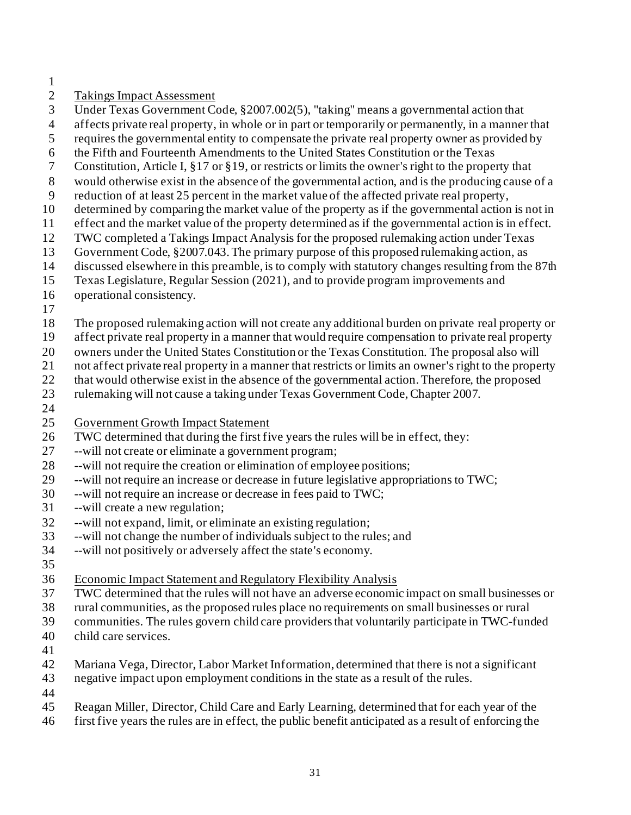- 
- Takings Impact Assessment
- Under Texas Government Code, §2007.002(5), "taking" means a governmental action that
- affects private real property, in whole or in part or temporarily or permanently, in a manner that
- requires the governmental entity to compensate the private real property owner as provided by
- the Fifth and Fourteenth Amendments to the United States Constitution or the Texas
- Constitution, Article I, §17 or §19, or restricts or limits the owner's right to the property that
- would otherwise exist in the absence of the governmental action, and is the producing cause of a
- reduction of at least 25 percent in the market value of the affected private real property,
- determined by comparing the market value of the property as if the governmental action is not in
- effect and the market value of the property determined as if the governmental action is in effect.
- TWC completed a Takings Impact Analysis for the proposed rulemaking action under Texas
- Government Code, §2007.043. The primary purpose of this proposed rulemaking action, as
- discussed elsewhere in this preamble, is to comply with statutory changes resulting from the 87th
- Texas Legislature, Regular Session (2021), and to provide program improvements and
- operational consistency.
- 
- The proposed rulemaking action will not create any additional burden on private real property or
- affect private real property in a manner that would require compensation to private real property
- owners under the United States Constitution or the Texas Constitution. The proposal also will
- not affect private real property in a manner that restricts or limits an owner's right to the property
- 22 that would otherwise exist in the absence of the governmental action. Therefore, the proposed
- rulemaking will not cause a taking under Texas Government Code, Chapter 2007.
- 
- Government Growth Impact Statement
- 26 TWC determined that during the first five years the rules will be in effect, they:
- --will not create or eliminate a government program;
- --will not require the creation or elimination of employee positions;
- --will not require an increase or decrease in future legislative appropriations to TWC;
- --will not require an increase or decrease in fees paid to TWC;
- --will create a new regulation;
- --will not expand, limit, or eliminate an existing regulation;
- --will not change the number of individuals subject to the rules; and
- --will not positively or adversely affect the state's economy.
- 
- Economic Impact Statement and Regulatory Flexibility Analysis
- TWC determined that the rules will not have an adverse economic impact on small businesses or
- rural communities, as the proposed rules place no requirements on small businesses or rural
- communities. The rules govern child care providers that voluntarily participate in TWC-funded
- child care services.
- 
- Mariana Vega, Director, Labor Market Information, determined that there is not a significant
- negative impact upon employment conditions in the state as a result of the rules.
- 
- Reagan Miller, Director, Child Care and Early Learning, determined that for each year of the
- first five years the rules are in effect, the public benefit anticipated as a result of enforcing the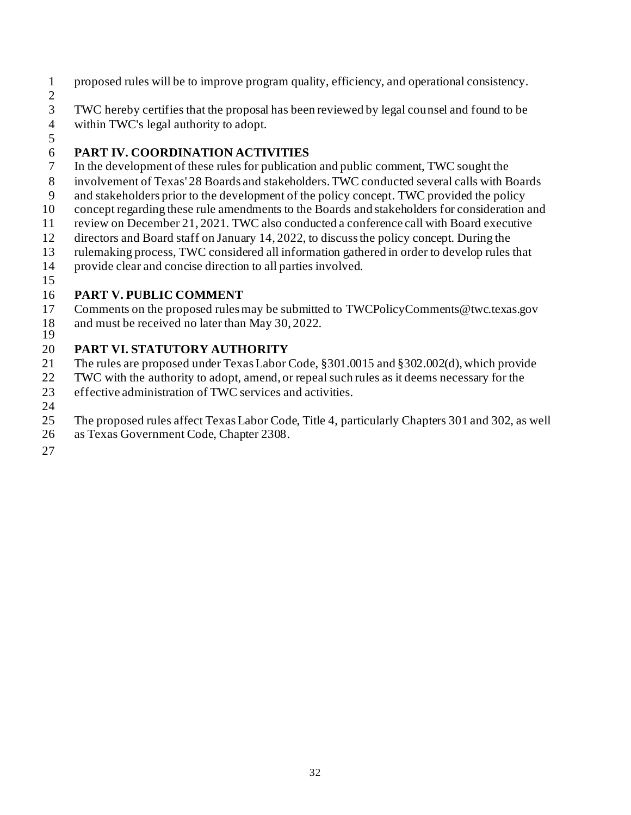- proposed rules will be to improve program quality, efficiency, and operational consistency.
- 

 $\frac{2}{3}$ TWC hereby certifies that the proposal has been reviewed by legal counsel and found to be

- within TWC's legal authority to adopt.
- 

## **PART IV. COORDINATION ACTIVITIES**

- In the development of these rules for publication and public comment, TWC sought the
- involvement of Texas' 28 Boards and stakeholders. TWC conducted several calls with Boards
- and stakeholders prior to the development of the policy concept. TWC provided the policy
- concept regarding these rule amendments to the Boards and stakeholders for consideration and
- review on December 21, 2021. TWC also conducted a conference call with Board executive
- directors and Board staff on January 14, 2022, to discuss the policy concept. During the
- rulemaking process, TWC considered all information gathered in order to develop rules that
- provide clear and concise direction to all parties involved.
- 

## **PART V. PUBLIC COMMENT**

- Comments on the proposed rules may be submitted to TWCPolicyComments@twc.texas.gov and must be received no later than May 30, 2022.
- 

## **PART VI. STATUTORY AUTHORITY**

- The rules are proposed under Texas Labor Code, §301.0015 and §302.002(d), which provide
- TWC with the authority to adopt, amend, or repeal such rules as it deems necessary for the
- effective administration of TWC services and activities.
- 
- The proposed rules affect Texas Labor Code, Title 4, particularly Chapters 301 and 302, as well
- as Texas Government Code, Chapter 2308.
-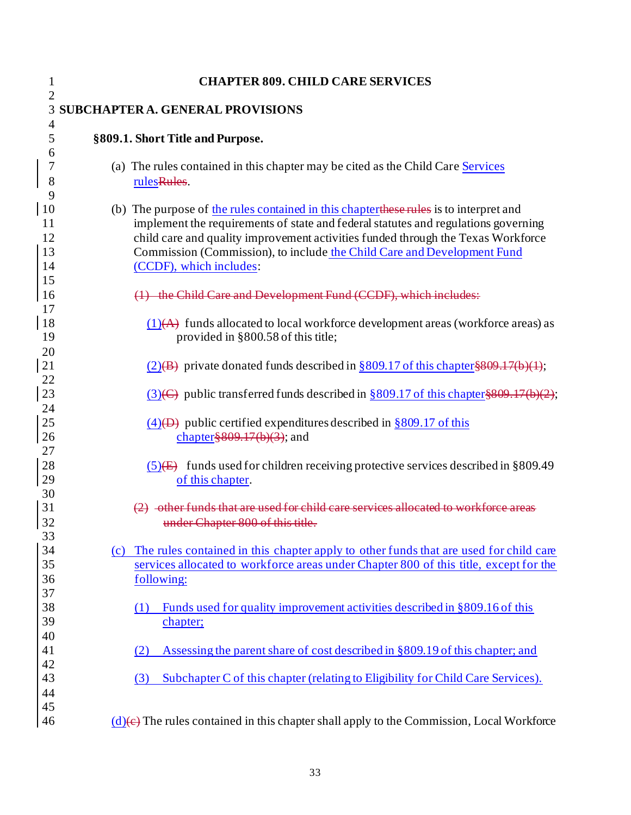| $\mathbf{1}$                                | <b>CHAPTER 809. CHILD CARE SERVICES</b>                                                                                                                                                                                                                                                                                                                                |
|---------------------------------------------|------------------------------------------------------------------------------------------------------------------------------------------------------------------------------------------------------------------------------------------------------------------------------------------------------------------------------------------------------------------------|
| $\overline{2}$<br>3                         | <b>SUBCHAPTER A. GENERAL PROVISIONS</b>                                                                                                                                                                                                                                                                                                                                |
| $\overline{4}$<br>5<br>6                    | §809.1. Short Title and Purpose.                                                                                                                                                                                                                                                                                                                                       |
| 7<br>8<br>9                                 | (a) The rules contained in this chapter may be cited as the Child Care Services<br>rulesRules.                                                                                                                                                                                                                                                                         |
| <sup>10</sup><br>11<br>12<br>13<br>14<br>15 | (b) The purpose of the rules contained in this chapter these rules is to interpret and<br>implement the requirements of state and federal statutes and regulations governing<br>child care and quality improvement activities funded through the Texas Workforce<br>Commission (Commission), to include the Child Care and Development Fund<br>(CCDF), which includes: |
| 16                                          | (1) the Child Care and Development Fund (CCDF), which includes:                                                                                                                                                                                                                                                                                                        |
| 17<br>18<br>19                              | $(1)$ (A) funds allocated to local workforce development areas (workforce areas) as<br>provided in §800.58 of this title;                                                                                                                                                                                                                                              |
| 20<br>21                                    | $(2)(B)$ private donated funds described in §809.17 of this chapter §809.17(b)(1);                                                                                                                                                                                                                                                                                     |
| 22<br>23<br>24                              | $(3)(\epsilon)$ public transferred funds described in §809.17 of this chapter §809.17(b)(2);                                                                                                                                                                                                                                                                           |
| $25\,$<br>26<br>27                          | $\frac{(4)}{(D)}$ public certified expenditures described in §809.17 of this<br>chapter $\frac{809.17(b)(3)}{3}$ ; and                                                                                                                                                                                                                                                 |
| 28<br>29                                    | $(5)$ funds used for children receiving protective services described in §809.49<br>of this chapter.                                                                                                                                                                                                                                                                   |
| 30<br>31<br>32<br>33                        | -other funds that are used for child care services allocated to<br>under Chapter 800 of this title.                                                                                                                                                                                                                                                                    |
| 34<br>35<br>36<br>37                        | (c) The rules contained in this chapter apply to other funds that are used for child care<br>services allocated to workforce areas under Chapter 800 of this title, except for the<br>following:                                                                                                                                                                       |
| 38<br>39<br>40                              | Funds used for quality improvement activities described in §809.16 of this<br>(1)<br>chapter;                                                                                                                                                                                                                                                                          |
| 41                                          | Assessing the parent share of cost described in §809.19 of this chapter; and<br>(2)                                                                                                                                                                                                                                                                                    |
| 42<br>43<br>44                              | Subchapter C of this chapter (relating to Eligibility for Child Care Services).<br>(3)                                                                                                                                                                                                                                                                                 |
| 45<br>46                                    | $(d)$ (e) The rules contained in this chapter shall apply to the Commission, Local Workforce                                                                                                                                                                                                                                                                           |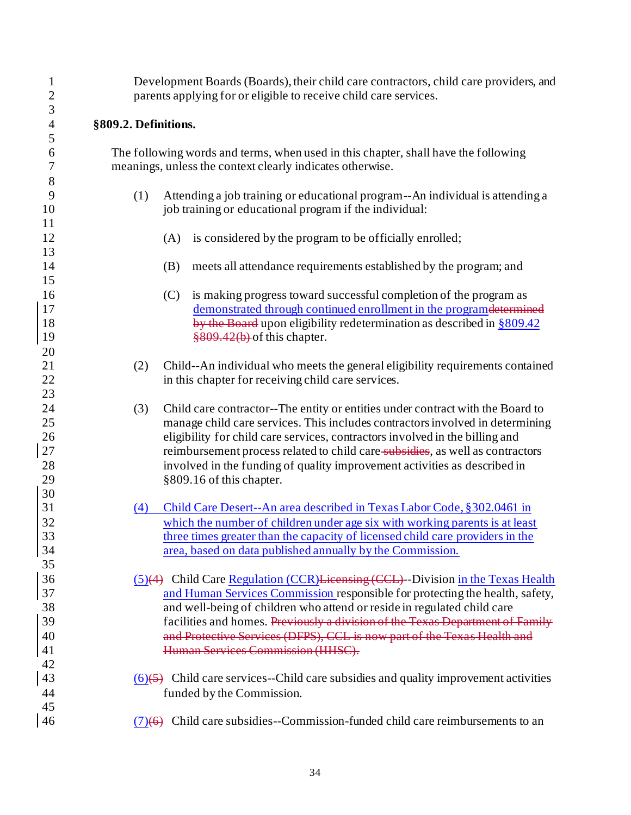| $\mathbf{1}$   | Development Boards (Boards), their child care contractors, child care providers, and |     |                                                                                                                                                 |  |
|----------------|--------------------------------------------------------------------------------------|-----|-------------------------------------------------------------------------------------------------------------------------------------------------|--|
| $\overline{c}$ | parents applying for or eligible to receive child care services.                     |     |                                                                                                                                                 |  |
| 3              |                                                                                      |     |                                                                                                                                                 |  |
| $\overline{4}$ | §809.2. Definitions.                                                                 |     |                                                                                                                                                 |  |
| 5              |                                                                                      |     |                                                                                                                                                 |  |
| 6<br>7         |                                                                                      |     | The following words and terms, when used in this chapter, shall have the following<br>meanings, unless the context clearly indicates otherwise. |  |
| $\,$ $\,$      |                                                                                      |     |                                                                                                                                                 |  |
| 9              | (1)                                                                                  |     | Attending a job training or educational program--An individual is attending a                                                                   |  |
| 10             |                                                                                      |     | job training or educational program if the individual:                                                                                          |  |
| 11             |                                                                                      |     |                                                                                                                                                 |  |
| 12             |                                                                                      | (A) | is considered by the program to be officially enrolled;                                                                                         |  |
| 13             |                                                                                      |     |                                                                                                                                                 |  |
| 14             |                                                                                      | (B) | meets all attendance requirements established by the program; and                                                                               |  |
| 15             |                                                                                      |     |                                                                                                                                                 |  |
| 16             |                                                                                      | (C) | is making progress toward successful completion of the program as                                                                               |  |
| 17             |                                                                                      |     | demonstrated through continued enrollment in the programdetermined                                                                              |  |
| 18             |                                                                                      |     | by the Board upon eligibility redetermination as described in §809.42                                                                           |  |
| 19             |                                                                                      |     | $\frac{$809.42(b)}{6}$ of this chapter.                                                                                                         |  |
| 20             |                                                                                      |     |                                                                                                                                                 |  |
| 21             | (2)                                                                                  |     | Child--An individual who meets the general eligibility requirements contained                                                                   |  |
| 22             |                                                                                      |     | in this chapter for receiving child care services.                                                                                              |  |
| 23             |                                                                                      |     |                                                                                                                                                 |  |
| 24             | (3)                                                                                  |     | Child care contractor--The entity or entities under contract with the Board to                                                                  |  |
| 25             |                                                                                      |     | manage child care services. This includes contractors involved in determining                                                                   |  |
| 26             |                                                                                      |     | eligibility for child care services, contractors involved in the billing and                                                                    |  |
| 27             |                                                                                      |     | reimbursement process related to child care subsidies, as well as contractors                                                                   |  |
| 28             |                                                                                      |     | involved in the funding of quality improvement activities as described in                                                                       |  |
| 29             |                                                                                      |     | §809.16 of this chapter.                                                                                                                        |  |
| 30             |                                                                                      |     |                                                                                                                                                 |  |
| 31             | (4)                                                                                  |     | Child Care Desert--An area described in Texas Labor Code, §302.0461 in                                                                          |  |
| 32             |                                                                                      |     | which the number of children under age six with working parents is at least                                                                     |  |
| 33             |                                                                                      |     | three times greater than the capacity of licensed child care providers in the                                                                   |  |
| 34             |                                                                                      |     | area, based on data published annually by the Commission.                                                                                       |  |
| 35             |                                                                                      |     |                                                                                                                                                 |  |
| 36             |                                                                                      |     | $(5)(4)$ Child Care Regulation (CCR) Lieensing (CCL) - Division in the Texas Health                                                             |  |
| 37             |                                                                                      |     | and Human Services Commission responsible for protecting the health, safety,                                                                    |  |
| 38             |                                                                                      |     | and well-being of children who attend or reside in regulated child care                                                                         |  |
| 39             |                                                                                      |     | facilities and homes. Previously a division of the Texas Department of Family                                                                   |  |
| 40             |                                                                                      |     | and Protective Services (DFPS), CCL is now part of the Texas Health and                                                                         |  |
| 41             |                                                                                      |     | Human Services Commission (HHSC).                                                                                                               |  |
| 42             |                                                                                      |     |                                                                                                                                                 |  |
| 43             |                                                                                      |     | $(6)(5)$ Child care services--Child care subsidies and quality improvement activities                                                           |  |
| 44             |                                                                                      |     | funded by the Commission.                                                                                                                       |  |
| 45             |                                                                                      |     |                                                                                                                                                 |  |
| 46             |                                                                                      |     | $(7)(6)$ Child care subsidies--Commission-funded child care reimbursements to an                                                                |  |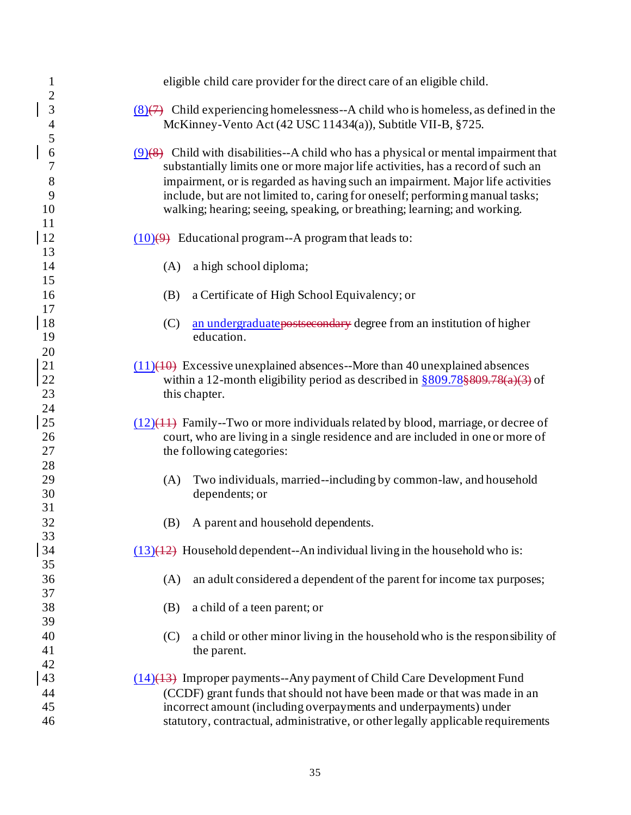| $\mathbf{1}$                                         | eligible child care provider for the direct care of an eligible child.                                                                                                                                                                                                                                                                                                                                                   |
|------------------------------------------------------|--------------------------------------------------------------------------------------------------------------------------------------------------------------------------------------------------------------------------------------------------------------------------------------------------------------------------------------------------------------------------------------------------------------------------|
| $\overline{c}$<br>3<br>$\overline{\mathcal{A}}$<br>5 | $(8)(7)$ Child experiencing homelessness--A child who is homeless, as defined in the<br>McKinney-Vento Act (42 USC 11434(a)), Subtitle VII-B, §725.                                                                                                                                                                                                                                                                      |
| 6<br>7<br>8<br>9<br>10<br>11                         | $(9)(8)$ Child with disabilities--A child who has a physical or mental impairment that<br>substantially limits one or more major life activities, has a record of such an<br>impairment, or is regarded as having such an impairment. Major life activities<br>include, but are not limited to, caring for oneself; performing manual tasks;<br>walking; hearing; seeing, speaking, or breathing; learning; and working. |
| <sup>12</sup><br>13                                  | $(10)(9)$ Educational program--A program that leads to:                                                                                                                                                                                                                                                                                                                                                                  |
| 14<br>15                                             | a high school diploma;<br>(A)                                                                                                                                                                                                                                                                                                                                                                                            |
| 16<br>17                                             | a Certificate of High School Equivalency; or<br>(B)                                                                                                                                                                                                                                                                                                                                                                      |
| 18<br>19                                             | (C)<br>an undergraduate postsecondary degree from an institution of higher<br>education.                                                                                                                                                                                                                                                                                                                                 |
| 20<br>21<br>22<br>23                                 | $(11)(40)$ Excessive unexplained absences--More than 40 unexplained absences<br>within a 12-month eligibility period as described in $\frac{809.78\frac{209.78(1)}{20}}{20}$ of<br>this chapter.                                                                                                                                                                                                                         |
| 24<br>25<br>26<br>27                                 | $(12)(11)$ Family--Two or more individuals related by blood, marriage, or decree of<br>court, who are living in a single residence and are included in one or more of<br>the following categories:                                                                                                                                                                                                                       |
| 28<br>29<br>30<br>31                                 | Two individuals, married--including by common-law, and household<br>(A)<br>dependents; or                                                                                                                                                                                                                                                                                                                                |
| 32<br>33                                             | A parent and household dependents.<br>(B)                                                                                                                                                                                                                                                                                                                                                                                |
| 34<br>35                                             | $(13)(12)$ Household dependent--An individual living in the household who is:                                                                                                                                                                                                                                                                                                                                            |
| 36<br>37                                             | an adult considered a dependent of the parent for income tax purposes;<br>(A)                                                                                                                                                                                                                                                                                                                                            |
| 38<br>39                                             | a child of a teen parent; or<br>(B)                                                                                                                                                                                                                                                                                                                                                                                      |
| 40<br>41                                             | a child or other minor living in the household who is the responsibility of<br>(C)<br>the parent.                                                                                                                                                                                                                                                                                                                        |
| 42<br>43<br>44<br>45<br>46                           | $(14)(13)$ Improper payments--Any payment of Child Care Development Fund<br>(CCDF) grant funds that should not have been made or that was made in an<br>incorrect amount (including overpayments and underpayments) under<br>statutory, contractual, administrative, or other legally applicable requirements                                                                                                            |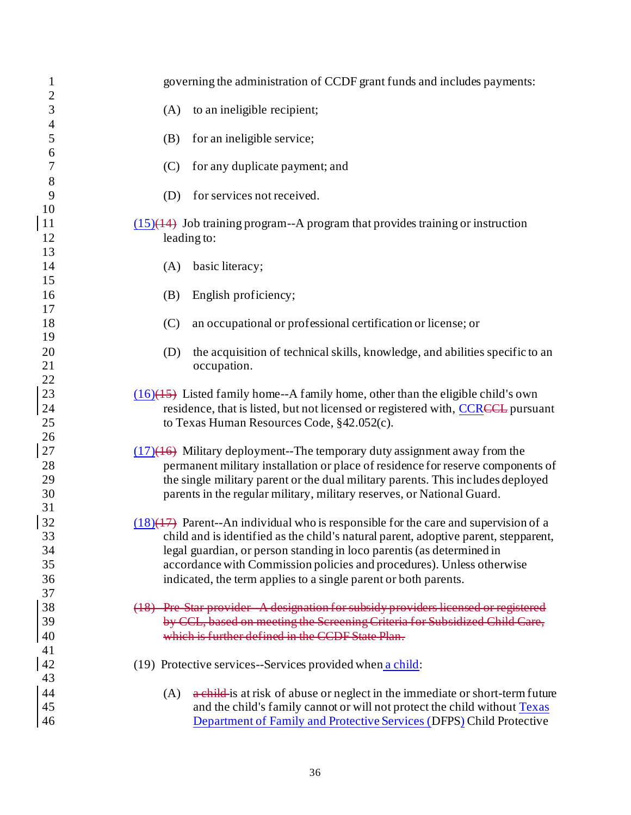| $\mathbf{1}$<br>$\overline{c}$ | governing the administration of CCDF grant funds and includes payments:                         |
|--------------------------------|-------------------------------------------------------------------------------------------------|
| 3                              | to an ineligible recipient;<br>(A)                                                              |
| $\overline{\mathcal{L}}$       | for an ineligible service;                                                                      |
| 5                              | (B)                                                                                             |
| 6                              | for any duplicate payment; and                                                                  |
| 7                              | (C)                                                                                             |
| 8                              | for services not received.                                                                      |
| 9                              | (D)                                                                                             |
| 10<br><sup>11</sup><br>12      | $(15)(14)$ Job training program--A program that provides training or instruction<br>leading to: |
| 13                             | basic literacy;                                                                                 |
| 14                             | (A)                                                                                             |
| 15                             | English proficiency;                                                                            |
| 16                             | (B)                                                                                             |
| 17                             | (C)                                                                                             |
| 18                             | an occupational or professional certification or license; or                                    |
| 19                             | the acquisition of technical skills, knowledge, and abilities specific to an                    |
| 20                             | (D)                                                                                             |
| 21<br>22                       | occupation.                                                                                     |
| 23                             | $(16)(15)$ Listed family home--A family home, other than the eligible child's own               |
| 24                             | residence, that is listed, but not licensed or registered with, CCRCCL pursuant                 |
| 25<br>26                       | to Texas Human Resources Code, §42.052(c).                                                      |
| 27                             | $(17)(16)$ Military deployment--The temporary duty assignment away from the                     |
| 28                             | permanent military installation or place of residence for reserve components of                 |
| 29                             | the single military parent or the dual military parents. This includes deployed                 |
| 30                             | parents in the regular military, military reserves, or National Guard.                          |
| 31<br>32                       | $(18)(17)$ Parent--An individual who is responsible for the care and supervision of a           |
| 33                             | child and is identified as the child's natural parent, adoptive parent, stepparent,             |
| 34                             | legal guardian, or person standing in loco parentis (as determined in                           |
| 35                             | accordance with Commission policies and procedures). Unless otherwise                           |
| 36                             | indicated, the term applies to a single parent or both parents.                                 |
| 37<br>38                       | (18) Pre Star provider A designation for subsidy providers licensed or registered               |
| 39                             | by CCL, based on meeting the Screening Criteria for Subsidized Child Care,                      |
| 40                             | which is further defined in the CCDF State Plan-                                                |
| 41<br>42                       | (19) Protective services--Services provided when a child:                                       |
| 43                             | a child-is at risk of abuse or neglect in the immediate or short-term future                    |
| 44                             | (A)                                                                                             |
| 45                             | and the child's family cannot or will not protect the child without Texas                       |
| 46                             | Department of Family and Protective Services (DFPS) Child Protective                            |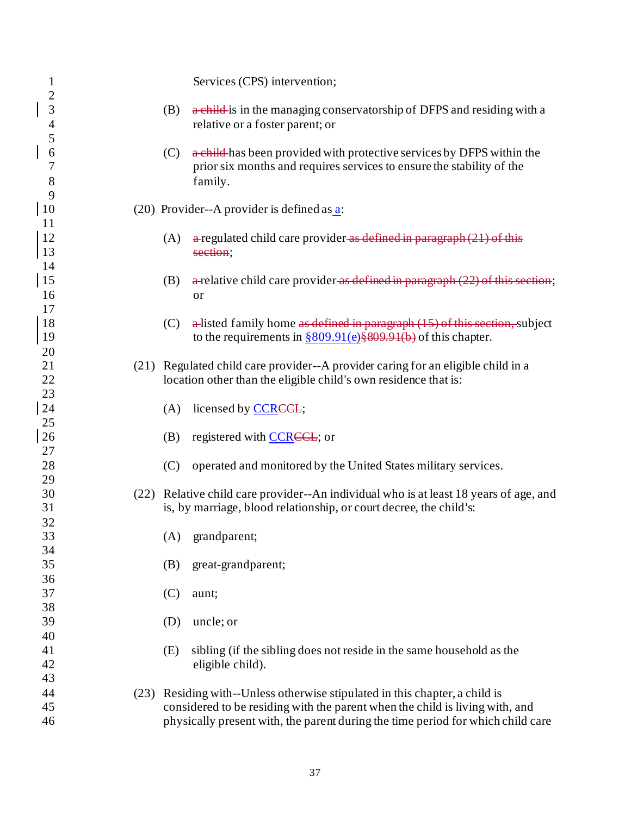| $\mathbf{1}$                               |     | Services (CPS) intervention;                                                                                                                                                                               |
|--------------------------------------------|-----|------------------------------------------------------------------------------------------------------------------------------------------------------------------------------------------------------------|
| $\overline{c}$<br>3<br>$\overline{4}$<br>5 | (B) | a child-is in the managing conservatorship of DFPS and residing with a<br>relative or a foster parent; or                                                                                                  |
| 6<br>7<br>8<br>9                           | (C) | a child-has been provided with protective services by DFPS within the<br>prior six months and requires services to ensure the stability of the<br>family.                                                  |
| 10<br><sup>11</sup>                        |     | $(20)$ Provider--A provider is defined as a:                                                                                                                                                               |
| 12<br>13<br>14                             | (A) | $\alpha$ regulated child care provider $\alpha$ defined in paragraph (21) of this<br>section;                                                                                                              |
| 15<br>16<br>17                             | (B) | $\alpha$ -relative child care provider as defined in paragraph (22) of this section;<br>or                                                                                                                 |
| 18<br><sup>19</sup>                        | (C) | $\alpha$ -listed family home as defined in paragraph (15) of this section, subject<br>to the requirements in $\frac{$809.91(e) \frac{$809.91(b)}{600}}{809.91(e) \frac{$809.91(b)}{600}}$ of this chapter. |
| 20<br>21<br>22<br>23                       |     | (21) Regulated child care provider--A provider caring for an eligible child in a<br>location other than the eligible child's own residence that is:                                                        |
| 24<br>25                                   | (A) | licensed by <b>CCREEL</b> ;                                                                                                                                                                                |
| 26<br>27                                   | (B) | registered with CCRECL; or                                                                                                                                                                                 |
| 28<br>29                                   | (C) | operated and monitored by the United States military services.                                                                                                                                             |
| 30<br>31                                   |     | (22) Relative child care provider--An individual who is at least 18 years of age, and<br>is, by marriage, blood relationship, or court decree, the child's:                                                |
| 32<br>33<br>34                             | (A) | grandparent;                                                                                                                                                                                               |
| 35<br>36                                   | (B) | great-grandparent;                                                                                                                                                                                         |
| 37<br>38                                   | (C) | aunt;                                                                                                                                                                                                      |
| 39<br>40                                   | (D) | uncle; or                                                                                                                                                                                                  |
| 41<br>42<br>43                             | (E) | sibling (if the sibling does not reside in the same household as the<br>eligible child).                                                                                                                   |
| 44<br>45                                   |     | (23) Residing with--Unless otherwise stipulated in this chapter, a child is<br>considered to be residing with the parent when the child is living with, and                                                |
| 46                                         |     | physically present with, the parent during the time period for which child care                                                                                                                            |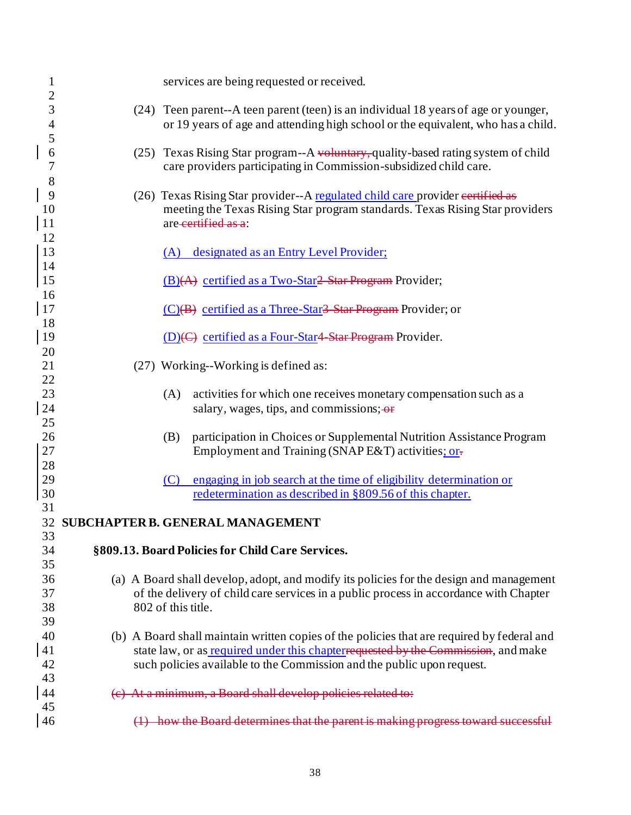| $\mathbf{1}$                               |                    | services are being requested or received.                                                                                                                                            |
|--------------------------------------------|--------------------|--------------------------------------------------------------------------------------------------------------------------------------------------------------------------------------|
| $\overline{c}$<br>3<br>$\overline{4}$<br>5 |                    | (24) Teen parent--A teen parent (teen) is an individual 18 years of age or younger,<br>or 19 years of age and attending high school or the equivalent, who has a child.              |
| 6<br>$\overline{7}$<br>8                   |                    | (25) Texas Rising Star program--A voluntary, quality-based rating system of child<br>care providers participating in Commission-subsidized child care.                               |
| 9<br>10<br><sup>11</sup>                   |                    | (26) Texas Rising Star provider--A regulated child care provider eertified as<br>meeting the Texas Rising Star program standards. Texas Rising Star providers<br>are-certified as a: |
| 12<br>13<br>14                             |                    | (A) designated as an Entry Level Provider;                                                                                                                                           |
| 15<br>16                                   |                    | (B)(A) certified as a Two-Star2-Star Program Provider;                                                                                                                               |
| <sup>17</sup>                              |                    | (C)(B) certified as a Three-Star <del>3 Star Program</del> Provider; or                                                                                                              |
| 18<br> 19                                  |                    | (D)(C) certified as a Four-Star4 Star Program Provider.                                                                                                                              |
| 20                                         |                    |                                                                                                                                                                                      |
| 21                                         |                    | (27) Working--Working is defined as:                                                                                                                                                 |
| 22                                         |                    |                                                                                                                                                                                      |
| 23                                         | (A)                | activities for which one receives monetary compensation such as a                                                                                                                    |
| 24                                         |                    | salary, wages, tips, and commissions; or                                                                                                                                             |
| 25                                         |                    |                                                                                                                                                                                      |
| 26                                         | (B)                | participation in Choices or Supplemental Nutrition Assistance Program                                                                                                                |
| 27                                         |                    | Employment and Training (SNAP E&T) activities; or-                                                                                                                                   |
| 28                                         |                    |                                                                                                                                                                                      |
| 29                                         | (C)                | engaging in job search at the time of eligibility determination or                                                                                                                   |
| 30                                         |                    | redetermination as described in §809.56 of this chapter.                                                                                                                             |
| 31                                         |                    |                                                                                                                                                                                      |
|                                            |                    | 32 SUBCHAPTER B. GENERAL MANAGEMENT                                                                                                                                                  |
| 33                                         |                    |                                                                                                                                                                                      |
| 34                                         |                    | §809.13. Board Policies for Child Care Services.                                                                                                                                     |
| 35                                         |                    |                                                                                                                                                                                      |
| 36                                         |                    | (a) A Board shall develop, adopt, and modify its policies for the design and management                                                                                              |
| 37                                         |                    | of the delivery of child care services in a public process in accordance with Chapter                                                                                                |
| 38<br>39                                   | 802 of this title. |                                                                                                                                                                                      |
| 40                                         |                    | (b) A Board shall maintain written copies of the policies that are required by federal and                                                                                           |
| 41                                         |                    | state law, or as required under this chapterrequested by the Commission, and make                                                                                                    |
| 42                                         |                    | such policies available to the Commission and the public upon request.                                                                                                               |
| 43                                         |                    |                                                                                                                                                                                      |
| 44                                         |                    | At a minimum, a Board shall develop policies related to:                                                                                                                             |
| 45                                         |                    |                                                                                                                                                                                      |
| 46                                         |                    | (1) how the Board determines that the parent is making progress toward successful                                                                                                    |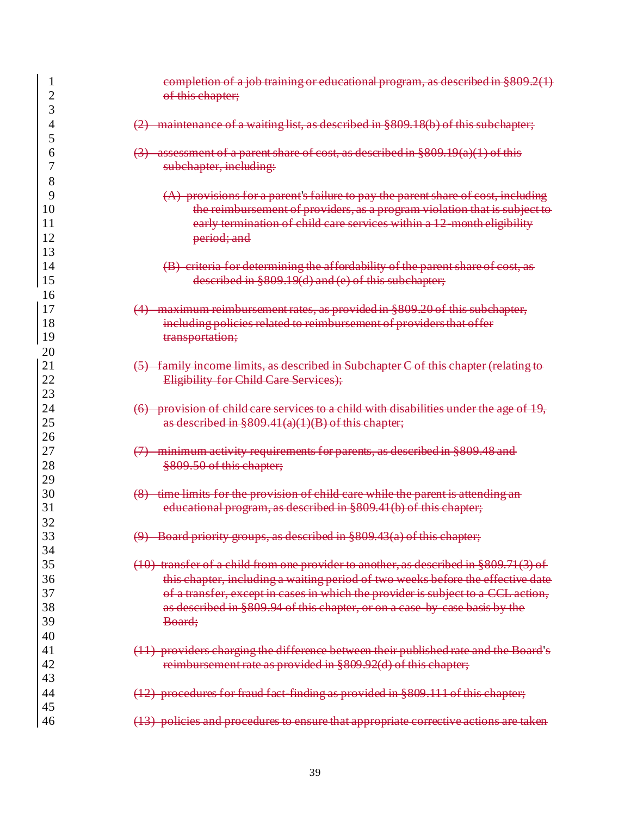|                | completion of a job training or educational program, as described in §809.2(1)                                                                      |
|----------------|-----------------------------------------------------------------------------------------------------------------------------------------------------|
| $\overline{c}$ | of this chapter;                                                                                                                                    |
| 3              |                                                                                                                                                     |
| 4              | (2) maintenance of a waiting list, as described in §809.18(b) of this subchapter;                                                                   |
| 5              |                                                                                                                                                     |
| 6<br>7         | assessment of a parent share of cost, as described in §809.19(a)(1) of this                                                                         |
|                | subchapter, including:                                                                                                                              |
| 8              |                                                                                                                                                     |
| 9<br>10        | (A) provisions for a parent's failure to pay the parent share of cost, including                                                                    |
| 11             | the reimbursement of providers, as a program violation that is subject to<br>early termination of child care services within a 12 month eligibility |
| 12             |                                                                                                                                                     |
| 13             | period; and                                                                                                                                         |
| 14             | (B) criteria for determining the affordability of the parent share of cost, as                                                                      |
| 15             | described in §809.19(d) and (e) of this subchapter;                                                                                                 |
| 16             |                                                                                                                                                     |
| 17             | (4) maximum reimbursement rates, as provided in §809.20 of this subchapter,                                                                         |
| 18             | including policies related to reimbursement of providers that offer                                                                                 |
| 19             | transportation;                                                                                                                                     |
| 20             |                                                                                                                                                     |
| 21             | family income limits, as described in Subchapter C of this chapter (relating to                                                                     |
| 22             | Eligibility for Child Care Services);                                                                                                               |
| 23             |                                                                                                                                                     |
| 24             | provision of child care services to a child with disabilities under the age of 19,<br>$\leftrightarrow$                                             |
| 25             | as described in $§809.41(a)(1)(B)$ of this chapter;                                                                                                 |
| 26             |                                                                                                                                                     |
| 27             | minimum activity requirements for parents, as described in §809.48 and                                                                              |
| 28             | §809.50 of this chapter;                                                                                                                            |
| 29             |                                                                                                                                                     |
| 30             | time limits for the provision of child care while the parent is attending                                                                           |
| 31             | educational program, as described in §809.41(b) of this chapter;                                                                                    |
| 32             |                                                                                                                                                     |
| $\cap$<br>33   | $\varphi$<br>$\mathbf{D}$<br>Board priority groups, as described in §809.43(a) of this chapter;                                                     |
| 34             |                                                                                                                                                     |
| 35             | (10) transfer of a child from one provider to another, as described in §809.71(3) of                                                                |
| 36             | this chapter, including a waiting period of two weeks before the effective date                                                                     |
| 37             | of a transfer, except in cases in which the provider is subject to a CCL action,                                                                    |
| 38             | as described in §809.94 of this chapter, or on a case by case basis by the                                                                          |
| 39             | Board;                                                                                                                                              |
| 40             |                                                                                                                                                     |
| 41             | (11) providers charging the difference between their published rate and the Board's                                                                 |
| 42             | reimbursement rate as provided in §809.92(d) of this chapter;                                                                                       |
| 43             |                                                                                                                                                     |
| 44             | (12) procedures for fraud fact finding as provided in §809.111 of this chapter;                                                                     |
| 45             |                                                                                                                                                     |
| 46             | (13) policies and procedures to ensure that appropriate corrective actions are taken                                                                |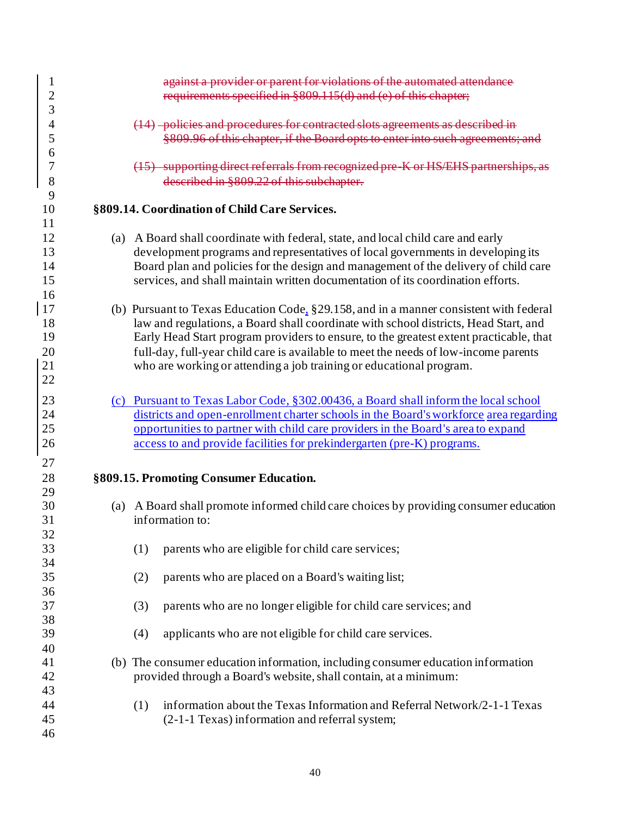| 1                   | against a provider or parent for violations of the automated attendance                                                                                                      |
|---------------------|------------------------------------------------------------------------------------------------------------------------------------------------------------------------------|
| $\overline{c}$<br>3 | requirements specified in §809.115(d) and (e) of this chapter;                                                                                                               |
| 4                   | (14) -policies and procedures for contracted slots agreements as described in                                                                                                |
| 5                   | §809.96 of this chapter, if the Board opts to enter into such agreements; and                                                                                                |
| 6                   |                                                                                                                                                                              |
| 7<br>8              | (15) supporting direct referrals from recognized pre K or HS/EHS partnerships<br>described in §809.22 of this subchapter.                                                    |
| 9                   |                                                                                                                                                                              |
| 10                  | §809.14. Coordination of Child Care Services.                                                                                                                                |
| 11                  |                                                                                                                                                                              |
| 12                  | (a) A Board shall coordinate with federal, state, and local child care and early                                                                                             |
| 13<br>14            | development programs and representatives of local governments in developing its<br>Board plan and policies for the design and management of the delivery of child care       |
| 15                  | services, and shall maintain written documentation of its coordination efforts.                                                                                              |
| 16                  |                                                                                                                                                                              |
| <sup>17</sup>       | (b) Pursuant to Texas Education Code, §29.158, and in a manner consistent with federal                                                                                       |
| 18                  | law and regulations, a Board shall coordinate with school districts, Head Start, and                                                                                         |
| 19                  | Early Head Start program providers to ensure, to the greatest extent practicable, that                                                                                       |
| 20<br>21            | full-day, full-year child care is available to meet the needs of low-income parents<br>who are working or attending a job training or educational program.                   |
| 22                  |                                                                                                                                                                              |
|                     |                                                                                                                                                                              |
| 23<br>24            | (c) Pursuant to Texas Labor Code, §302.00436, a Board shall inform the local school<br>districts and open-enrollment charter schools in the Board's workforce area regarding |
| 25                  | opportunities to partner with child care providers in the Board's area to expand                                                                                             |
| 26                  | access to and provide facilities for prekindergarten (pre-K) programs.                                                                                                       |
| 27                  |                                                                                                                                                                              |
| 28                  | §809.15. Promoting Consumer Education.                                                                                                                                       |
| 29                  |                                                                                                                                                                              |
| 30                  | (a) A Board shall promote informed child care choices by providing consumer education                                                                                        |
| 31                  | information to:                                                                                                                                                              |
| 32<br>33            | parents who are eligible for child care services;<br>(1)                                                                                                                     |
| 34                  |                                                                                                                                                                              |
| 35                  | parents who are placed on a Board's waiting list;<br>(2)                                                                                                                     |
| 36                  |                                                                                                                                                                              |
| 37                  | parents who are no longer eligible for child care services; and<br>(3)                                                                                                       |
| 38                  |                                                                                                                                                                              |
| 39<br>40            | applicants who are not eligible for child care services.<br>(4)                                                                                                              |
| 41                  | (b) The consumer education information, including consumer education information                                                                                             |
| 42                  | provided through a Board's website, shall contain, at a minimum:                                                                                                             |
| 43                  |                                                                                                                                                                              |
| 44                  | information about the Texas Information and Referral Network/2-1-1 Texas<br>(1)                                                                                              |
| 45                  | (2-1-1 Texas) information and referral system;                                                                                                                               |
| 46                  |                                                                                                                                                                              |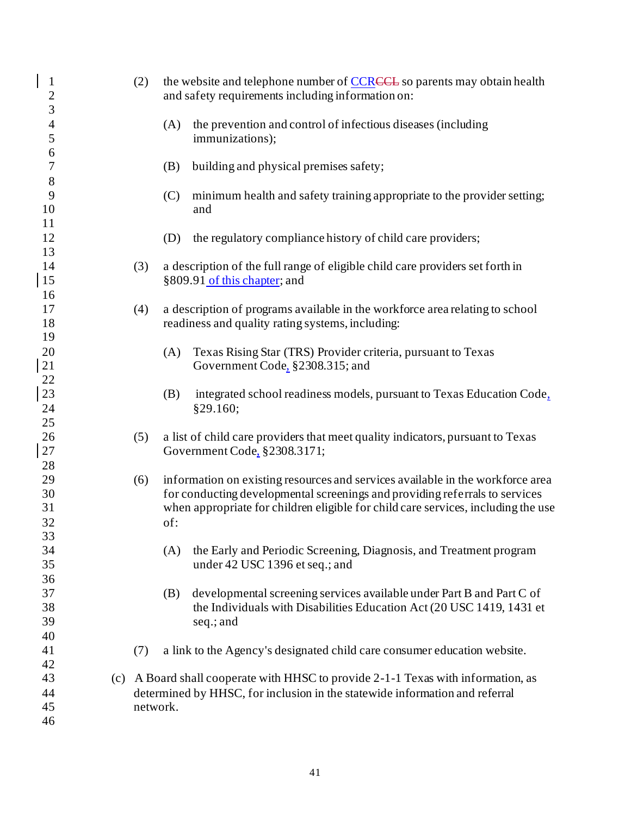| $\mathbf{1}$<br>$\overline{c}$<br>3 |     | (2)      | the website and telephone number of CCRCCL so parents may obtain health<br>and safety requirements including information on:                                                                                                                              |
|-------------------------------------|-----|----------|-----------------------------------------------------------------------------------------------------------------------------------------------------------------------------------------------------------------------------------------------------------|
| $\overline{\mathcal{L}}$<br>5       |     |          | the prevention and control of infectious diseases (including<br>(A)<br>immunizations);                                                                                                                                                                    |
| 6<br>$\tau$<br>8                    |     |          | (B)<br>building and physical premises safety;                                                                                                                                                                                                             |
| 9<br>10                             |     |          | minimum health and safety training appropriate to the provider setting;<br>(C)<br>and                                                                                                                                                                     |
| 11<br>12<br>13                      |     |          | the regulatory compliance history of child care providers;<br>(D)                                                                                                                                                                                         |
| 14<br>15<br>16                      |     | (3)      | a description of the full range of eligible child care providers set forth in<br>§809.91 of this chapter; and                                                                                                                                             |
| 17<br>18<br>19                      |     | (4)      | a description of programs available in the workforce area relating to school<br>readiness and quality rating systems, including:                                                                                                                          |
| 20<br>$21\,$                        |     |          | Texas Rising Star (TRS) Provider criteria, pursuant to Texas<br>(A)<br>Government Code, §2308.315; and                                                                                                                                                    |
| 22<br>23<br>24                      |     |          | (B)<br>integrated school readiness models, pursuant to Texas Education Code,<br>§29.160;                                                                                                                                                                  |
| 25<br>26<br>$27\,$<br>28            |     | (5)      | a list of child care providers that meet quality indicators, pursuant to Texas<br>Government Code, §2308.3171;                                                                                                                                            |
| 29<br>30<br>31<br>32                |     | (6)      | information on existing resources and services available in the workforce area<br>for conducting developmental screenings and providing referrals to services<br>when appropriate for children eligible for child care services, including the use<br>of: |
| 33<br>34<br>35                      |     |          | the Early and Periodic Screening, Diagnosis, and Treatment program<br>(A)<br>under 42 USC 1396 et seq.; and                                                                                                                                               |
| 36<br>37<br>38<br>39<br>40          |     |          | developmental screening services available under Part B and Part C of<br>(B)<br>the Individuals with Disabilities Education Act (20 USC 1419, 1431 et<br>seq.; and                                                                                        |
| 41                                  |     | (7)      | a link to the Agency's designated child care consumer education website.                                                                                                                                                                                  |
| 42<br>43<br>44<br>45                | (c) | network. | A Board shall cooperate with HHSC to provide 2-1-1 Texas with information, as<br>determined by HHSC, for inclusion in the statewide information and referral                                                                                              |
| 46                                  |     |          |                                                                                                                                                                                                                                                           |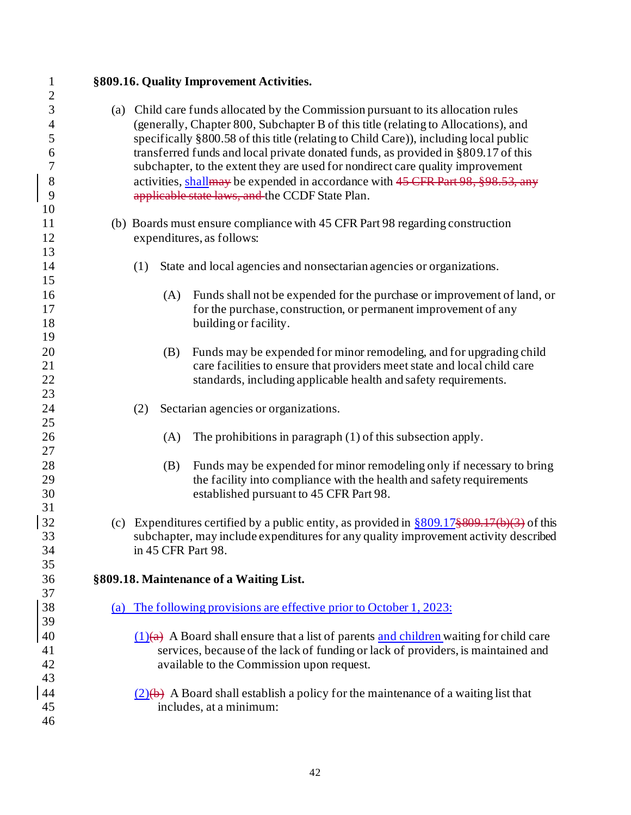**§809.16. Quality Improvement Activities.** (a) Child care funds allocated by the Commission pursuant to its allocation rules (generally, Chapter 800, Subchapter B of this title (relating to Allocations), and specifically §800.58 of this title (relating to Child Care)), including local public transferred funds and local private donated funds, as provided in §809.17 of this subchapter, to the extent they are used for nondirect care quality improvement 8 activities, shall are expended in accordance with 45 CFR Part 98, §98.53, any applicable state laws, and the CCDF State Plan. (b) Boards must ensure compliance with 45 CFR Part 98 regarding construction expenditures, as follows: (1) State and local agencies and nonsectarian agencies or organizations. (A) Funds shall not be expended for the purchase or improvement of land, or 17 for the purchase, construction, or permanent improvement of any 18 building or facility. (B) Funds may be expended for minor remodeling, and for upgrading child care facilities to ensure that providers meet state and local child care standards, including applicable health and safety requirements. (2) Sectarian agencies or organizations. (A) The prohibitions in paragraph (1) of this subsection apply. (B) Funds may be expended for minor remodeling only if necessary to bring the facility into compliance with the health and safety requirements established pursuant to 45 CFR Part 98. 32 (c) Expenditures certified by a public entity, as provided in  $\frac{809.17\frac{809.17}{100.3}}{809.17\frac{809.17}{100.3}}$  of this subchapter, may include expenditures for any quality improvement activity described in 45 CFR Part 98. **§809.18. Maintenance of a Waiting List.**  (a) The following provisions are effective prior to October 1, 2023: 40 (1)(a) A Board shall ensure that a list of parents and children waiting for child care services, because of the lack of funding or lack of providers, is maintained and available to the Commission upon request.  $(2)$ (b) A Board shall establish a policy for the maintenance of a waiting list that includes, at a minimum: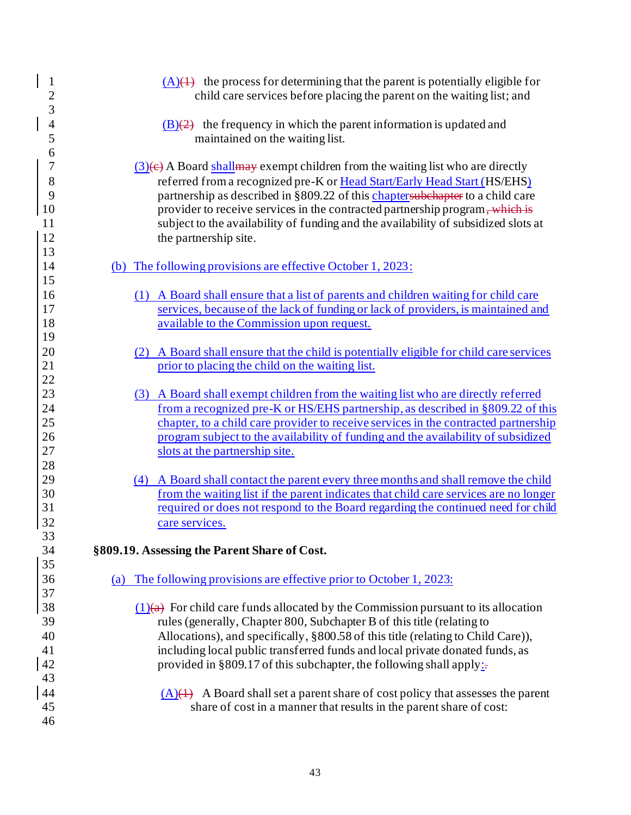|          | $\mathbf{1}$<br>$(A)(4)$ the process for determining that the parent is potentially eligible for<br>$\overline{c}$<br>child care services before placing the parent on the waiting list; and |
|----------|----------------------------------------------------------------------------------------------------------------------------------------------------------------------------------------------|
|          | 3                                                                                                                                                                                            |
|          | $\overline{4}$<br>$(B)(2)$ the frequency in which the parent information is updated and                                                                                                      |
|          | 5<br>maintained on the waiting list.                                                                                                                                                         |
|          | 6<br>7<br>$(3)$ (e) A Board shall may exempt children from the waiting list who are directly                                                                                                 |
|          | 8<br>referred from a recognized pre-K or Head Start/Early Head Start (HS/EHS)                                                                                                                |
|          | partnership as described in §809.22 of this chaptersubehapter to a child care<br>9                                                                                                           |
| 10       | provider to receive services in the contracted partnership program, which is                                                                                                                 |
| 11       | subject to the availability of funding and the availability of subsidized slots at                                                                                                           |
| 12       | the partnership site.                                                                                                                                                                        |
| 13       |                                                                                                                                                                                              |
| 14       | (b) The following provisions are effective October 1, 2023:                                                                                                                                  |
| 15       |                                                                                                                                                                                              |
| 16       | (1) A Board shall ensure that a list of parents and children waiting for child care                                                                                                          |
| 17       | services, because of the lack of funding or lack of providers, is maintained and                                                                                                             |
| 18       | available to the Commission upon request.                                                                                                                                                    |
| 19       |                                                                                                                                                                                              |
| 20       | A Board shall ensure that the child is potentially eligible for child care services                                                                                                          |
| 21       | prior to placing the child on the waiting list.                                                                                                                                              |
| 22       |                                                                                                                                                                                              |
| 23       | (3) A Board shall exempt children from the waiting list who are directly referred                                                                                                            |
| 24       | from a recognized pre-K or HS/EHS partnership, as described in §809.22 of this                                                                                                               |
| 25       | chapter, to a child care provider to receive services in the contracted partnership                                                                                                          |
| 26       | program subject to the availability of funding and the availability of subsidized                                                                                                            |
| 27       | slots at the partnership site.                                                                                                                                                               |
| 28       |                                                                                                                                                                                              |
| 29       | (4) A Board shall contact the parent every three months and shall remove the child                                                                                                           |
| 30       | from the waiting list if the parent indicates that child care services are no longer                                                                                                         |
| 31       | required or does not respond to the Board regarding the continued need for child                                                                                                             |
| 32       | care services.                                                                                                                                                                               |
| 33<br>34 | §809.19. Assessing the Parent Share of Cost.                                                                                                                                                 |
| 35       |                                                                                                                                                                                              |
| 36       | The following provisions are effective prior to October 1, 2023:<br>(a)                                                                                                                      |
| 37       |                                                                                                                                                                                              |
| 38       | $(1)(a)$ For child care funds allocated by the Commission pursuant to its allocation                                                                                                         |
| 39       | rules (generally, Chapter 800, Subchapter B of this title (relating to                                                                                                                       |
| 40       | Allocations), and specifically, §800.58 of this title (relating to Child Care)),                                                                                                             |
| 41       | including local public transferred funds and local private donated funds, as                                                                                                                 |
| 42       | provided in §809.17 of this subchapter, the following shall apply: $\pm$                                                                                                                     |
| 43       |                                                                                                                                                                                              |
| 44       | $(A)(4)$ A Board shall set a parent share of cost policy that assesses the parent                                                                                                            |
| 45       | share of cost in a manner that results in the parent share of cost:                                                                                                                          |
| 46       |                                                                                                                                                                                              |
|          |                                                                                                                                                                                              |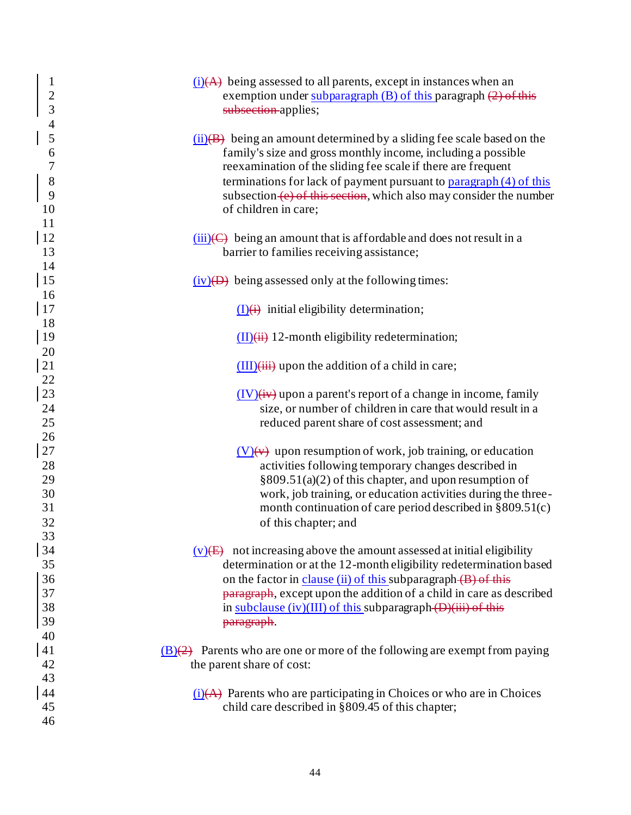| $\mathbf{1}$<br>$\overline{c}$<br>$\overline{3}$<br>$\overline{4}$ | $(i)$ being assessed to all parents, except in instances when an<br>exemption under subparagraph (B) of this paragraph (2) of this<br>subsection-applies;                                                                                                                                                                                                                                                          |
|--------------------------------------------------------------------|--------------------------------------------------------------------------------------------------------------------------------------------------------------------------------------------------------------------------------------------------------------------------------------------------------------------------------------------------------------------------------------------------------------------|
| 5<br>6<br>$\overline{7}$<br>8<br>9<br>10<br>11                     | $(ii)(B)$ being an amount determined by a sliding fee scale based on the<br>family's size and gross monthly income, including a possible<br>reexamination of the sliding fee scale if there are frequent<br>terminations for lack of payment pursuant to $\frac{\text{param}(\text{4})}{\text{piargraph}(\text{4})}$<br>subsection (e) of this section, which also may consider the number<br>of children in care; |
| <sup>12</sup><br>13<br>14                                          | $(iii)(C)$ being an amount that is affordable and does not result in a<br>barrier to families receiving assistance;                                                                                                                                                                                                                                                                                                |
| 15<br>16                                                           | $(iv)$ being assessed only at the following times:                                                                                                                                                                                                                                                                                                                                                                 |
| 17<br>18                                                           | $(I)(i)$ initial eligibility determination;                                                                                                                                                                                                                                                                                                                                                                        |
| <sup>19</sup><br>20                                                | $(II)(ii)$ 12-month eligibility redetermination;                                                                                                                                                                                                                                                                                                                                                                   |
| 21<br>22                                                           | $(III)(iii)$ upon the addition of a child in care;                                                                                                                                                                                                                                                                                                                                                                 |
| 23<br>24<br>25                                                     | $(IV)(iv)$ upon a parent's report of a change in income, family<br>size, or number of children in care that would result in a<br>reduced parent share of cost assessment; and                                                                                                                                                                                                                                      |
| 26<br>27<br>28                                                     | $(V)(v)$ upon resumption of work, job training, or education<br>activities following temporary changes described in                                                                                                                                                                                                                                                                                                |
| 29<br>30<br>31<br>32                                               | §809.51(a)(2) of this chapter, and upon resumption of<br>work, job training, or education activities during the three-<br>month continuation of care period described in $\S 809.51(c)$<br>of this chapter; and                                                                                                                                                                                                    |
| 33<br>34<br>35<br>36                                               | $(v)$ (E) not increasing above the amount assessed at initial eligibility<br>determination or at the 12-month eligibility redetermination based<br>on the factor in clause (ii) of this subparagraph (B) of this                                                                                                                                                                                                   |
| 37<br>38<br>39                                                     | paragraph, except upon the addition of a child in care as described<br>in subclause (iv)(III) of this subparagraph (D)(iii) of this<br>paragraph.                                                                                                                                                                                                                                                                  |
| 40<br>41<br>42<br>43                                               | $\underline{(B)}$ Parents who are one or more of the following are exempt from paying<br>the parent share of cost:                                                                                                                                                                                                                                                                                                 |
| 44<br>45<br>46                                                     | $(i)$ Parents who are participating in Choices or who are in Choices<br>child care described in §809.45 of this chapter;                                                                                                                                                                                                                                                                                           |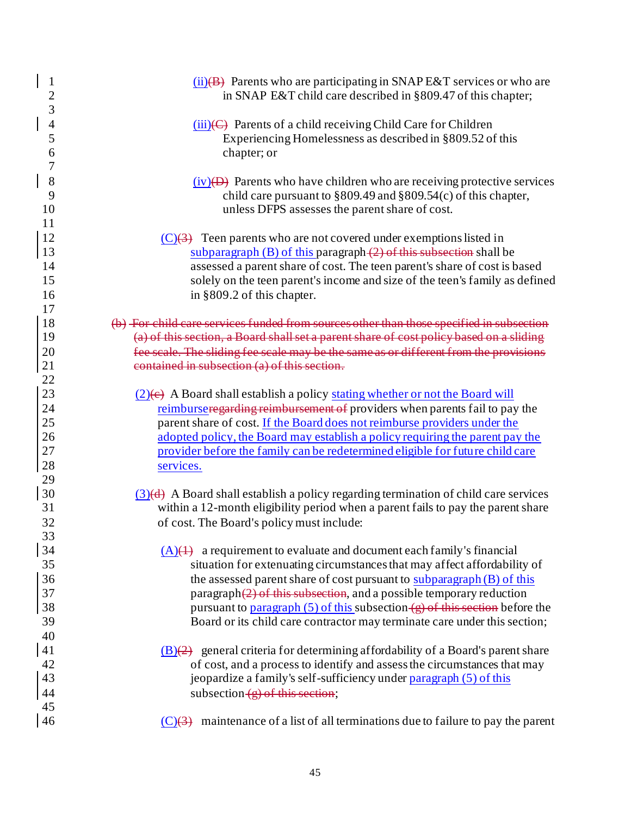| $\mathbf{1}$<br>$\overline{c}$            | $(ii)(B)$ Parents who are participating in SNAP E&T services or who are<br>in SNAP E&T child care described in §809.47 of this chapter;                                                                                                                                                                                                                                                                                                                                 |
|-------------------------------------------|-------------------------------------------------------------------------------------------------------------------------------------------------------------------------------------------------------------------------------------------------------------------------------------------------------------------------------------------------------------------------------------------------------------------------------------------------------------------------|
| 3<br>$\overline{4}$<br>$\mathfrak s$<br>6 | $(iii)(C)$ Parents of a child receiving Child Care for Children<br>Experiencing Homelessness as described in §809.52 of this<br>chapter; or                                                                                                                                                                                                                                                                                                                             |
| 7<br>8<br>9<br>10<br>11                   | $(iv)(D)$ Parents who have children who are receiving protective services<br>child care pursuant to $\S 809.49$ and $\S 809.54(c)$ of this chapter,<br>unless DFPS assesses the parent share of cost.                                                                                                                                                                                                                                                                   |
| 12<br>13<br>14<br>15<br>16                | $(C)(3)$ Teen parents who are not covered under exemptions listed in<br>subparagraph $(B)$ of this paragraph $(2)$ of this subsection shall be<br>assessed a parent share of cost. The teen parent's share of cost is based<br>solely on the teen parent's income and size of the teen's family as defined<br>in §809.2 of this chapter.                                                                                                                                |
| 17<br>18<br>19<br>20<br>21                | (b) For child care services funded from sources other than those specified in subsection<br>(a) of this section, a Board shall set a parent share of cost policy based on a sliding<br>fee scale. The sliding fee scale may be the same as or different from the provisions<br>contained in subsection (a) of this section.                                                                                                                                             |
| 22<br>23<br>24<br>25<br>26<br>27<br>28    | $(2)$ (e) A Board shall establish a policy stating whether or not the Board will<br>reimburseregarding reimbursement of providers when parents fail to pay the<br>parent share of cost. If the Board does not reimburse providers under the<br>adopted policy, the Board may establish a policy requiring the parent pay the<br>provider before the family can be redetermined eligible for future child care                                                           |
| 29<br>30<br>31<br>32<br>33                | services.<br>$(3)(d)$ A Board shall establish a policy regarding termination of child care services<br>within a 12-month eligibility period when a parent fails to pay the parent share<br>of cost. The Board's policy must include:                                                                                                                                                                                                                                    |
| 34<br>35<br>36<br>37<br>38<br>39          | $(A)(4)$ a requirement to evaluate and document each family's financial<br>situation for extenuating circumstances that may affect affordability of<br>the assessed parent share of cost pursuant to subparagraph (B) of this<br>paragraph $(2)$ of this subsection, and a possible temporary reduction<br>pursuant to paragraph $(5)$ of this subsection $(g)$ of this section before the<br>Board or its child care contractor may terminate care under this section; |
| 40<br>41<br>42<br>43<br>44<br>45          | $(B)(2)$ general criteria for determining affordability of a Board's parent share<br>of cost, and a process to identify and assess the circumstances that may<br>jeopardize a family's self-sufficiency under paragraph (5) of this<br>subsection $(g)$ of this section;                                                                                                                                                                                                |
| 46                                        | $(C)(3)$ maintenance of a list of all terminations due to failure to pay the parent                                                                                                                                                                                                                                                                                                                                                                                     |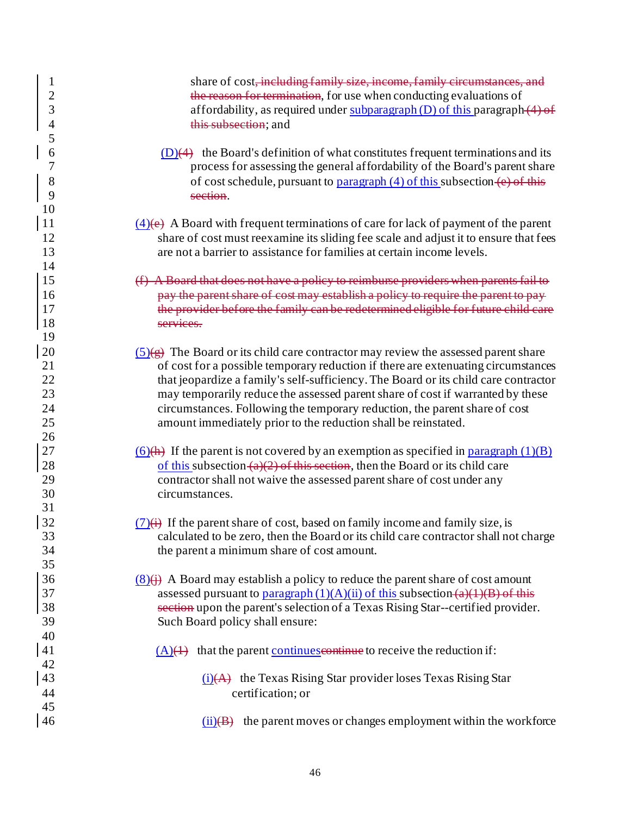| $\mathbf{1}$<br>$\frac{2}{3}$<br>$\overline{\mathcal{A}}$<br>5 | share of cost, including family size, income, family circumstances, and<br>the reason for termination, for use when conducting evaluations of<br>affordability, as required under subparagraph $(D)$ of this paragraph $(4)$ of<br>this subsection; and                                                                                                                                                                                                                                                       |
|----------------------------------------------------------------|---------------------------------------------------------------------------------------------------------------------------------------------------------------------------------------------------------------------------------------------------------------------------------------------------------------------------------------------------------------------------------------------------------------------------------------------------------------------------------------------------------------|
| 6<br>7<br>8<br>9<br>10                                         | $(D)(4)$ the Board's definition of what constitutes frequent terminations and its<br>process for assessing the general affordability of the Board's parent share<br>of cost schedule, pursuant to paragraph $(4)$ of this subsection $(e)$ of this<br>section.                                                                                                                                                                                                                                                |
| <sup>11</sup><br>12<br>13<br>14                                | $\frac{4}{e}$ A Board with frequent terminations of care for lack of payment of the parent<br>share of cost must reexamine its sliding fee scale and adjust it to ensure that fees<br>are not a barrier to assistance for families at certain income levels.                                                                                                                                                                                                                                                  |
| 15<br>16<br>17<br>18                                           | (f) A Board that does not have a policy to reimburse providers when parents fail to<br>pay the parent share of cost may establish a policy to require the parent to pay-<br>the provider before the family can be redetermined eligible for future child care<br>services.                                                                                                                                                                                                                                    |
| 19<br>20<br>21<br>22<br>23<br>24<br>25                         | $(5)(\overline{g})$ The Board or its child care contractor may review the assessed parent share<br>of cost for a possible temporary reduction if there are extenuating circumstances<br>that jeopardize a family's self-sufficiency. The Board or its child care contractor<br>may temporarily reduce the assessed parent share of cost if warranted by these<br>circumstances. Following the temporary reduction, the parent share of cost<br>amount immediately prior to the reduction shall be reinstated. |
| 26<br>$27\,$<br>28<br>29<br>30                                 | $(6)(h)$ If the parent is not covered by an exemption as specified in paragraph $(1)(B)$<br>of this subsection $(a)(2)$ of this section, then the Board or its child care<br>contractor shall not waive the assessed parent share of cost under any<br>circumstances.                                                                                                                                                                                                                                         |
| 31<br>32<br>33<br>34<br>35                                     | $(7)(\leftrightarrow)$ If the parent share of cost, based on family income and family size, is<br>calculated to be zero, then the Board or its child care contractor shall not charge<br>the parent a minimum share of cost amount.                                                                                                                                                                                                                                                                           |
| 36<br>37<br>38<br>39<br>40                                     | $(8)(\dagger)$ A Board may establish a policy to reduce the parent share of cost amount<br>assessed pursuant to paragraph $(1)(A)(ii)$ of this subsection $(a)(1)(B)$ of this<br>section upon the parent's selection of a Texas Rising Star--certified provider.<br>Such Board policy shall ensure:                                                                                                                                                                                                           |
| 41<br>42<br>43                                                 | $(A)(1)$ that the parent continues experience to receive the reduction if:<br>$(i)$ (A) the Texas Rising Star provider loses Texas Rising Star                                                                                                                                                                                                                                                                                                                                                                |
| 44<br>45<br>46                                                 | certification; or<br>the parent moves or changes employment within the workforce<br>(ii)(B)                                                                                                                                                                                                                                                                                                                                                                                                                   |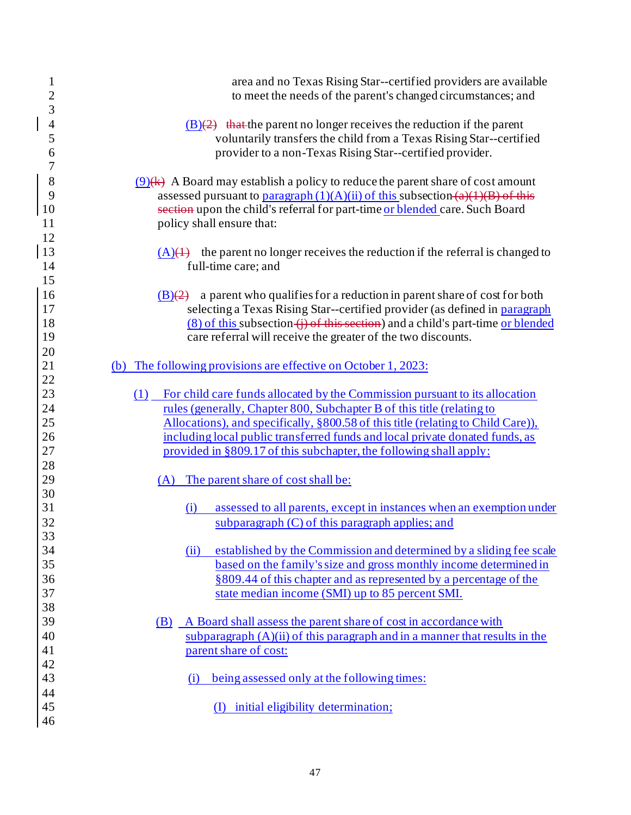| $\mathbf{1}$<br>$\overline{c}$ | area and no Texas Rising Star--certified providers are available<br>to meet the needs of the parent's changed circumstances; and |
|--------------------------------|----------------------------------------------------------------------------------------------------------------------------------|
| 3                              |                                                                                                                                  |
| $\overline{4}$                 | $(B)(2)$ that the parent no longer receives the reduction if the parent                                                          |
| 5                              | voluntarily transfers the child from a Texas Rising Star--certified                                                              |
| 6                              | provider to a non-Texas Rising Star--certified provider.                                                                         |
| $\overline{7}$                 |                                                                                                                                  |
| 8                              | $(9)$ (k) A Board may establish a policy to reduce the parent share of cost amount                                               |
| 9                              | assessed pursuant to paragraph $(1)(A)(ii)$ of this subsection $(a)(1)(B)$ of this                                               |
| 10                             | section upon the child's referral for part-time or blended care. Such Board                                                      |
| 11                             | policy shall ensure that:                                                                                                        |
| 12                             |                                                                                                                                  |
| 13                             | $(A)(4)$ the parent no longer receives the reduction if the referral is changed to                                               |
| 14                             | full-time care; and                                                                                                              |
| 15                             |                                                                                                                                  |
| 16                             | a parent who qualifies for a reduction in parent share of cost for both<br>(B)(2)                                                |
| 17                             | selecting a Texas Rising Star--certified provider (as defined in paragraph                                                       |
| 18                             | $(8)$ of this subsection $(i)$ of this section) and a child's part-time or blended                                               |
| 19                             | care referral will receive the greater of the two discounts.                                                                     |
| 20                             |                                                                                                                                  |
| 21                             | (b) The following provisions are effective on October 1, 2023:                                                                   |
| 22                             |                                                                                                                                  |
| 23                             | (1)<br>For child care funds allocated by the Commission pursuant to its allocation                                               |
| 24                             | rules (generally, Chapter 800, Subchapter B of this title (relating to                                                           |
| 25                             | Allocations), and specifically, §800.58 of this title (relating to Child Care)),                                                 |
| 26                             | including local public transferred funds and local private donated funds, as                                                     |
| 27                             | provided in §809.17 of this subchapter, the following shall apply:                                                               |
| 28                             |                                                                                                                                  |
| 29                             | (A) The parent share of cost shall be:                                                                                           |
| 30<br>31                       |                                                                                                                                  |
|                                | assessed to all parents, except in instances when an exemption under<br>(i)                                                      |
| 32                             | subparagraph $(C)$ of this paragraph applies; and                                                                                |
| 33<br>34                       | established by the Commission and determined by a sliding fee scale<br>(ii)                                                      |
| 35                             | based on the family's size and gross monthly income determined in                                                                |
| 36                             | §809.44 of this chapter and as represented by a percentage of the                                                                |
| 37                             | state median income (SMI) up to 85 percent SMI.                                                                                  |
| 38                             |                                                                                                                                  |
| 39                             | A Board shall assess the parent share of cost in accordance with<br>(B)                                                          |
| 40                             | subparagraph $(A)(ii)$ of this paragraph and in a manner that results in the                                                     |
| 41                             | parent share of cost:                                                                                                            |
| 42                             |                                                                                                                                  |
| 43                             | being assessed only at the following times:<br>(i)                                                                               |
| 44                             |                                                                                                                                  |
| 45                             | (I) initial eligibility determination;                                                                                           |
| 46                             |                                                                                                                                  |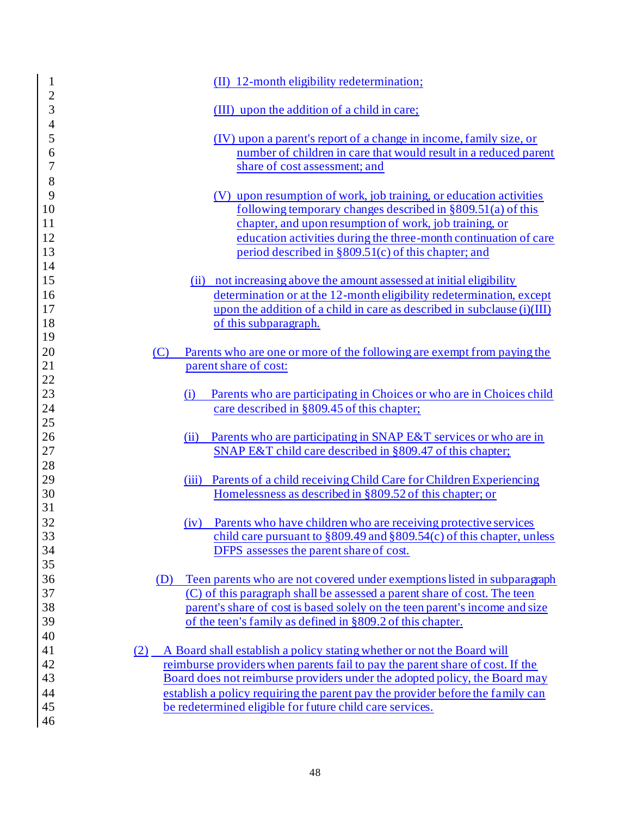| $\mathbf{1}$                  | (II) 12-month eligibility redetermination;                                      |
|-------------------------------|---------------------------------------------------------------------------------|
| $\overline{c}$<br>3           | (III) upon the addition of a child in care;                                     |
| $\overline{\mathcal{L}}$<br>5 | (IV) upon a parent's report of a change in income, family size, or              |
| 6                             | number of children in care that would result in a reduced parent                |
| $\overline{7}$                | share of cost assessment; and                                                   |
| 8                             |                                                                                 |
| 9                             | (V) upon resumption of work, job training, or education activities              |
| 10                            | following temporary changes described in $\S 809.51(a)$ of this                 |
| 11                            | chapter, and upon resumption of work, job training, or                          |
| 12                            | education activities during the three-month continuation of care                |
| 13                            | period described in $\S 809.51(c)$ of this chapter; and                         |
| 14                            |                                                                                 |
| 15                            | (ii) not increasing above the amount assessed at initial eligibility            |
| 16                            | determination or at the 12-month eligibility redetermination, except            |
| 17                            | upon the addition of a child in care as described in subclause (i)(III)         |
| 18                            | of this subparagraph.                                                           |
| 19                            |                                                                                 |
| 20                            | Parents who are one or more of the following are exempt from paying the<br>(C)  |
| 21                            | parent share of cost:                                                           |
| 22                            |                                                                                 |
| 23                            | Parents who are participating in Choices or who are in Choices child<br>(i)     |
| 24                            | care described in §809.45 of this chapter;                                      |
| 25                            |                                                                                 |
| 26                            | Parents who are participating in SNAP E&T services or who are in<br>(ii)        |
| 27                            | SNAP E&T child care described in §809.47 of this chapter;                       |
| 28                            |                                                                                 |
| 29                            | Parents of a child receiving Child Care for Children Experiencing<br>(iii)      |
| 30                            | Homelessness as described in §809.52 of this chapter; or                        |
| 31                            |                                                                                 |
| 32                            | Parents who have children who are receiving protective services<br>(iv)         |
| 33                            | child care pursuant to $\S 809.49$ and $\S 809.54$ (c) of this chapter, unless  |
| 34                            | DFPS assesses the parent share of cost.                                         |
| 35                            |                                                                                 |
| 36                            | Teen parents who are not covered under exemptions listed in subparagraph<br>(D) |
| 37                            | (C) of this paragraph shall be assessed a parent share of cost. The teen        |
| 38                            | parent's share of cost is based solely on the teen parent's income and size     |
| 39                            | of the teen's family as defined in §809.2 of this chapter.                      |
| 40                            |                                                                                 |
| 41                            | A Board shall establish a policy stating whether or not the Board will<br>(2)   |
| 42                            | reimburse providers when parents fail to pay the parent share of cost. If the   |
| 43                            | Board does not reimburse providers under the adopted policy, the Board may      |
| 44                            | establish a policy requiring the parent pay the provider before the family can  |
| 45                            | be redetermined eligible for future child care services.                        |
| 46                            |                                                                                 |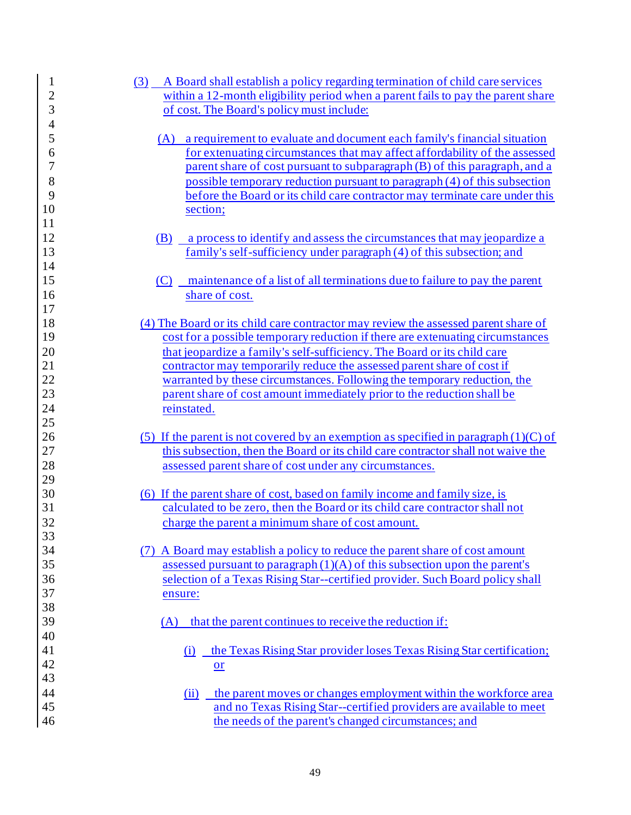| $\mathbf{1}$   | A Board shall establish a policy regarding termination of child care services<br>(3)                                        |
|----------------|-----------------------------------------------------------------------------------------------------------------------------|
| $\overline{c}$ | within a 12-month eligibility period when a parent fails to pay the parent share                                            |
| 3              | of cost. The Board's policy must include:                                                                                   |
| $\overline{4}$ |                                                                                                                             |
| 5              | a requirement to evaluate and document each family's financial situation<br>(A)                                             |
| 6              | for extenuating circumstances that may affect affordability of the assessed                                                 |
| 7              | parent share of cost pursuant to subparagraph (B) of this paragraph, and a                                                  |
| 8              | possible temporary reduction pursuant to paragraph (4) of this subsection                                                   |
| 9              | before the Board or its child care contractor may terminate care under this                                                 |
| 10             | section;                                                                                                                    |
| 11             |                                                                                                                             |
| 12             | a process to identify and assess the circumstances that may jeopardize a<br>(B)                                             |
| 13             | family's self-sufficiency under paragraph (4) of this subsection; and                                                       |
| 14             |                                                                                                                             |
| 15             | maintenance of a list of all terminations due to failure to pay the parent<br>(C)                                           |
| 16             | share of cost.                                                                                                              |
| 17             |                                                                                                                             |
| 18             | (4) The Board or its child care contractor may review the assessed parent share of                                          |
| 19             | cost for a possible temporary reduction if there are extended produced circumstances                                        |
| 20             | that jeopardize a family's self-sufficiency. The Board or its child care                                                    |
| 21             | contractor may temporarily reduce the assessed parent share of cost if                                                      |
| 22             | warranted by these circumstances. Following the temporary reduction, the                                                    |
| 23             | parent share of cost amount immediately prior to the reduction shall be                                                     |
| 24             | reinstated.                                                                                                                 |
| 25             |                                                                                                                             |
| 26             | (5) If the parent is not covered by an exemption as specified in paragraph $(1)(C)$ of                                      |
|                | this subsection, then the Board or its child care contractor shall not waive the                                            |
| 27             |                                                                                                                             |
| 28             | assessed parent share of cost under any circumstances.                                                                      |
| 29             |                                                                                                                             |
| 30             | (6) If the parent share of cost, based on family income and family size, is                                                 |
| 31             | calculated to be zero, then the Board or its child care contractor shall not                                                |
| 32             | charge the parent a minimum share of cost amount.                                                                           |
| 33             |                                                                                                                             |
| 34             | (7) A Board may establish a policy to reduce the parent share of cost amount                                                |
| 35             | assessed pursuant to paragraph $(1)(A)$ of this subsection upon the parent's                                                |
| 36             | selection of a Texas Rising Star--certified provider. Such Board policy shall                                               |
| 37             | ensure:                                                                                                                     |
| 38             |                                                                                                                             |
| 39             | that the parent continues to receive the reduction if:<br>(A)                                                               |
| 40             |                                                                                                                             |
| 41             | the Texas Rising Star provider loses Texas Rising Star certification;<br>(i)                                                |
| 42             | $or$                                                                                                                        |
| 43             |                                                                                                                             |
| 44             | the parent moves or changes employment within the workforce area<br>(ii)                                                    |
| 45<br>46       | and no Texas Rising Star--certified providers are available to meet<br>the needs of the parent's changed circumstances; and |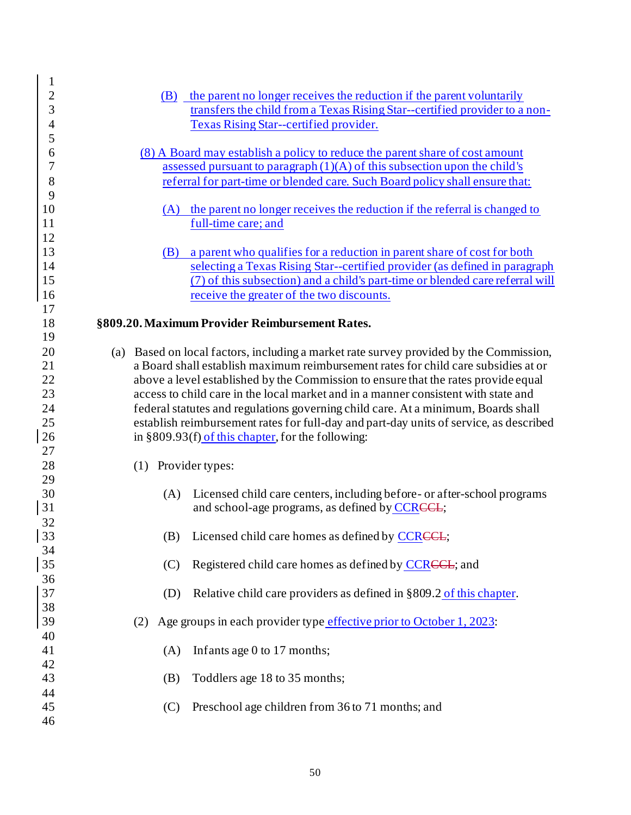| $\mathbf{1}$   |     |     |                                                                                        |
|----------------|-----|-----|----------------------------------------------------------------------------------------|
| $\frac{2}{3}$  |     | (B) | the parent no longer receives the reduction if the parent voluntarily                  |
|                |     |     | transfers the child from a Texas Rising Star--certified provider to a non-             |
| $\overline{4}$ |     |     | <b>Texas Rising Star--certified provider.</b>                                          |
| 5              |     |     |                                                                                        |
| 6              |     |     | (8) A Board may establish a policy to reduce the parent share of cost amount           |
| 7              |     |     | assessed pursuant to paragraph $(1)(A)$ of this subsection upon the child's            |
| 8              |     |     | referral for part-time or blended care. Such Board policy shall ensure that:           |
| 9              |     |     |                                                                                        |
| 10             |     |     | (A) the parent no longer receives the reduction if the referral is changed to          |
| 11             |     |     | full-time care; and                                                                    |
| 12             |     |     |                                                                                        |
| 13             |     | (B) | a parent who qualifies for a reduction in parent share of cost for both                |
| 14             |     |     | selecting a Texas Rising Star--certified provider (as defined in paragraph             |
| 15             |     |     | (7) of this subsection) and a child's part-time or blended care referral will          |
| 16             |     |     | receive the greater of the two discounts.                                              |
| 17             |     |     |                                                                                        |
| 18             |     |     | §809.20. Maximum Provider Reimbursement Rates.                                         |
| 19             |     |     |                                                                                        |
| 20             |     |     | (a) Based on local factors, including a market rate survey provided by the Commission, |
| 21             |     |     | a Board shall establish maximum reimbursement rates for child care subsidies at or     |
| 22             |     |     | above a level established by the Commission to ensure that the rates provide equal     |
| 23             |     |     | access to child care in the local market and in a manner consistent with state and     |
| 24             |     |     | federal statutes and regulations governing child care. At a minimum, Boards shall      |
| 25             |     |     | establish reimbursement rates for full-day and part-day units of service, as described |
| 26             |     |     | in §809.93(f) of this chapter, for the following:                                      |
| 27             |     |     |                                                                                        |
| 28             |     |     | (1) Provider types:                                                                    |
| 29             |     |     |                                                                                        |
| 30             |     | (A) | Licensed child care centers, including before- or after-school programs                |
| 31             |     |     | and school-age programs, as defined by CCRCCL;                                         |
| 32             |     |     |                                                                                        |
| 33             |     |     | (B) Licensed child care homes as defined by CCRCCL;                                    |
| 34             |     |     |                                                                                        |
| 35             |     | (C) | Registered child care homes as defined by CCRCCL; and                                  |
| 36             |     |     |                                                                                        |
| 37             |     | (D) | Relative child care providers as defined in §809.2 of this chapter.                    |
| 38             |     |     |                                                                                        |
| 39             | (2) |     | Age groups in each provider type effective prior to October 1, 2023:                   |
| 40             |     |     |                                                                                        |
| 41             |     | (A) | Infants age 0 to 17 months;                                                            |
| 42             |     |     |                                                                                        |
| 43             |     | (B) | Toddlers age 18 to 35 months;                                                          |
| 44             |     |     |                                                                                        |
| 45             |     | (C) | Preschool age children from 36 to 71 months; and                                       |
| 46             |     |     |                                                                                        |
|                |     |     |                                                                                        |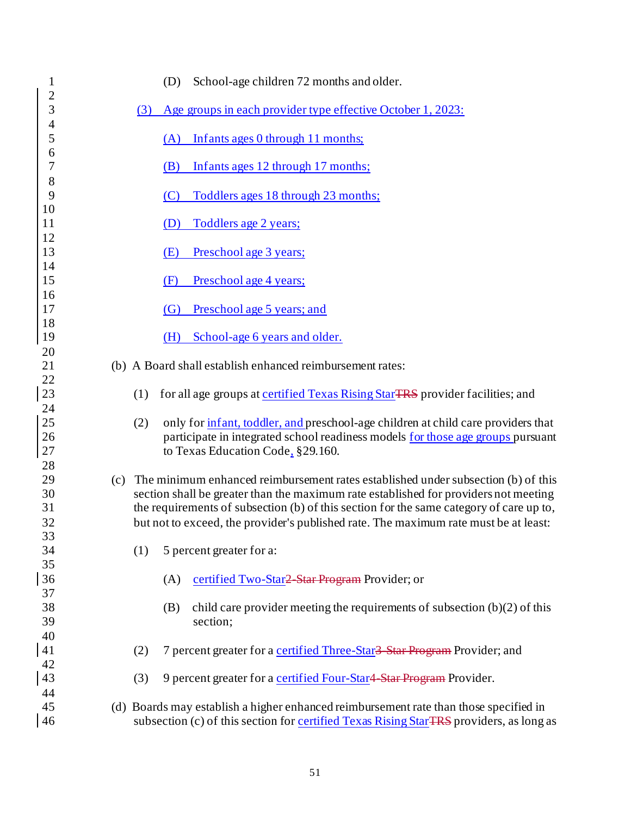| 1                   |     |     | School-age children 72 months and older.<br>(D)                                                                                                                      |
|---------------------|-----|-----|----------------------------------------------------------------------------------------------------------------------------------------------------------------------|
| $\overline{c}$      |     |     |                                                                                                                                                                      |
| 3                   |     | (3) | Age groups in each provider type effective October 1, 2023:                                                                                                          |
| $\overline{4}$<br>5 |     |     | Infants ages 0 through 11 months;<br>(A)                                                                                                                             |
| 6                   |     |     |                                                                                                                                                                      |
| $\overline{7}$      |     |     | Infants ages 12 through 17 months;<br>(B)                                                                                                                            |
| 8                   |     |     |                                                                                                                                                                      |
| 9                   |     |     | Toddlers ages 18 through 23 months;<br>(C)                                                                                                                           |
| 10                  |     |     |                                                                                                                                                                      |
| 11<br>12            |     |     | Toddlers age 2 years;<br>(D)                                                                                                                                         |
| 13                  |     |     | Preschool age 3 years;<br>(E)                                                                                                                                        |
| 14                  |     |     |                                                                                                                                                                      |
| 15                  |     |     | Preschool age 4 years;<br>(F)                                                                                                                                        |
| 16                  |     |     |                                                                                                                                                                      |
| 17                  |     |     | Preschool age 5 years; and<br>$\left( G\right)$                                                                                                                      |
| 18<br>19            |     |     | School-age 6 years and older.<br>(H)                                                                                                                                 |
| 20                  |     |     |                                                                                                                                                                      |
| 21                  |     |     | (b) A Board shall establish enhanced reimbursement rates:                                                                                                            |
| 22                  |     |     |                                                                                                                                                                      |
| 23                  |     | (1) | for all age groups at certified Texas Rising Star TRS provider facilities; and                                                                                       |
| 24                  |     |     |                                                                                                                                                                      |
| 25<br>26            |     | (2) | only for infant, toddler, and preschool-age children at child care providers that<br>participate in integrated school readiness models for those age groups pursuant |
| $27\,$              |     |     | to Texas Education Code, §29.160.                                                                                                                                    |
| 28                  |     |     |                                                                                                                                                                      |
| 29                  | (c) |     | The minimum enhanced reimbursement rates established under subsection (b) of this                                                                                    |
| 30                  |     |     | section shall be greater than the maximum rate established for providers not meeting                                                                                 |
| 31                  |     |     | the requirements of subsection (b) of this section for the same category of care up to,                                                                              |
| 32                  |     |     | but not to exceed, the provider's published rate. The maximum rate must be at least:                                                                                 |
| 33<br>34            |     | (1) | 5 percent greater for a:                                                                                                                                             |
| 35                  |     |     |                                                                                                                                                                      |
| 36                  |     |     | certified Two-Star <del>2 Star Program</del> Provider; or<br>(A)                                                                                                     |
| 37                  |     |     |                                                                                                                                                                      |
| 38                  |     |     | child care provider meeting the requirements of subsection $(b)(2)$ of this<br>(B)                                                                                   |
| 39                  |     |     | section;                                                                                                                                                             |
| 40<br>41            |     | (2) | 7 percent greater for a certified Three-Star <sup>3</sup> Star Program Provider; and                                                                                 |
| 42                  |     |     |                                                                                                                                                                      |
| 43                  |     | (3) | 9 percent greater for a certified Four-Star4 Star Program Provider.                                                                                                  |
| 44                  |     |     |                                                                                                                                                                      |
| 45                  |     |     | (d) Boards may establish a higher enhanced reimbursement rate than those specified in                                                                                |
| 46                  |     |     | subsection (c) of this section for certified Texas Rising StarTRS providers, as long as                                                                              |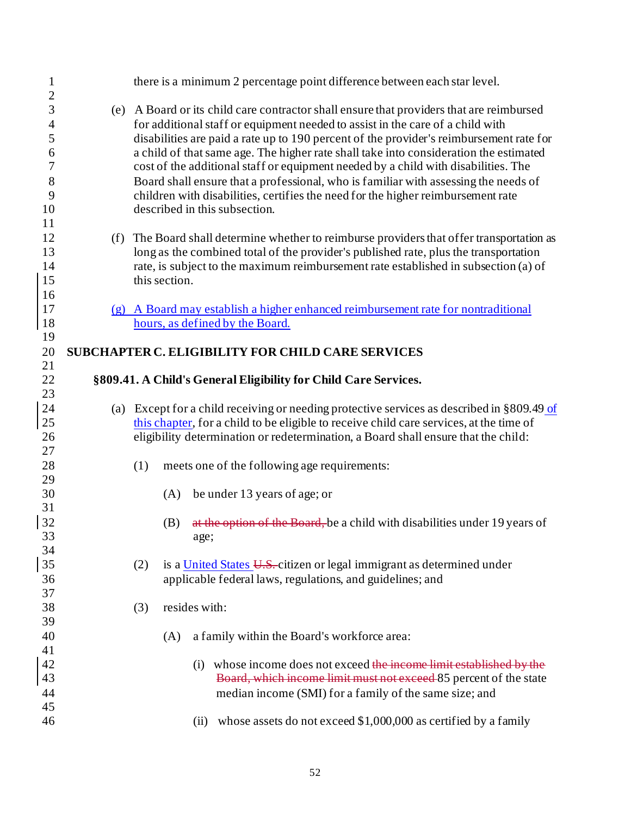| $\mathbf{1}$<br>$\overline{c}$                                     | there is a minimum 2 percentage point difference between each star level.                                                                                                                                                                                                                                                                                                                                                                                                                                                                                                                                                                                        |
|--------------------------------------------------------------------|------------------------------------------------------------------------------------------------------------------------------------------------------------------------------------------------------------------------------------------------------------------------------------------------------------------------------------------------------------------------------------------------------------------------------------------------------------------------------------------------------------------------------------------------------------------------------------------------------------------------------------------------------------------|
| 3<br>$\overline{\mathcal{A}}$<br>5<br>6<br>7<br>8<br>9<br>10<br>11 | (e) A Board or its child care contractor shall ensure that providers that are reimbursed<br>for additional staff or equipment needed to assist in the care of a child with<br>disabilities are paid a rate up to 190 percent of the provider's reimbursement rate for<br>a child of that same age. The higher rate shall take into consideration the estimated<br>cost of the additional staff or equipment needed by a child with disabilities. The<br>Board shall ensure that a professional, who is familiar with assessing the needs of<br>children with disabilities, certifies the need for the higher reimbursement rate<br>described in this subsection. |
| 12<br>13<br>14<br>15<br>16                                         | (f) The Board shall determine whether to reimburse providers that offer transportation as<br>long as the combined total of the provider's published rate, plus the transportation<br>rate, is subject to the maximum reimbursement rate established in subsection (a) of<br>this section.                                                                                                                                                                                                                                                                                                                                                                        |
| 17<br>18<br>19                                                     | (g) A Board may establish a higher enhanced reimbursement rate for nontraditional<br>hours, as defined by the Board.                                                                                                                                                                                                                                                                                                                                                                                                                                                                                                                                             |
| 20                                                                 | <b>SUBCHAPTER C. ELIGIBILITY FOR CHILD CARE SERVICES</b>                                                                                                                                                                                                                                                                                                                                                                                                                                                                                                                                                                                                         |
| 21                                                                 |                                                                                                                                                                                                                                                                                                                                                                                                                                                                                                                                                                                                                                                                  |
| 22<br>23                                                           | §809.41. A Child's General Eligibility for Child Care Services.                                                                                                                                                                                                                                                                                                                                                                                                                                                                                                                                                                                                  |
| 24<br>25<br>26                                                     | (a) Except for a child receiving or needing protective services as described in $\S 809.49$ of<br>this chapter, for a child to be eligible to receive child care services, at the time of<br>eligibility determination or redetermination, a Board shall ensure that the child:                                                                                                                                                                                                                                                                                                                                                                                  |
| 27<br>28<br>29                                                     | meets one of the following age requirements:<br>(1)                                                                                                                                                                                                                                                                                                                                                                                                                                                                                                                                                                                                              |
| 30<br>31                                                           | be under 13 years of age; or<br>(A)                                                                                                                                                                                                                                                                                                                                                                                                                                                                                                                                                                                                                              |
| 32<br>33<br>34                                                     | at the option of the Board, be a child with disabilities under 19 years of<br>(B)<br>age;                                                                                                                                                                                                                                                                                                                                                                                                                                                                                                                                                                        |
| 35<br>36                                                           | is a United States U.S. citizen or legal immigrant as determined under<br>(2)<br>applicable federal laws, regulations, and guidelines; and                                                                                                                                                                                                                                                                                                                                                                                                                                                                                                                       |
| 37<br>38<br>39                                                     | resides with:<br>(3)                                                                                                                                                                                                                                                                                                                                                                                                                                                                                                                                                                                                                                             |
| 40                                                                 | a family within the Board's workforce area:<br>(A)                                                                                                                                                                                                                                                                                                                                                                                                                                                                                                                                                                                                               |
| 41<br>42<br>43<br>44                                               | whose income does not exceed the income limit established by the<br>(i)<br>Board, which income limit must not exceed 85 percent of the state<br>median income (SMI) for a family of the same size; and                                                                                                                                                                                                                                                                                                                                                                                                                                                           |
| 45<br>46                                                           | whose assets do not exceed \$1,000,000 as certified by a family<br>(ii)                                                                                                                                                                                                                                                                                                                                                                                                                                                                                                                                                                                          |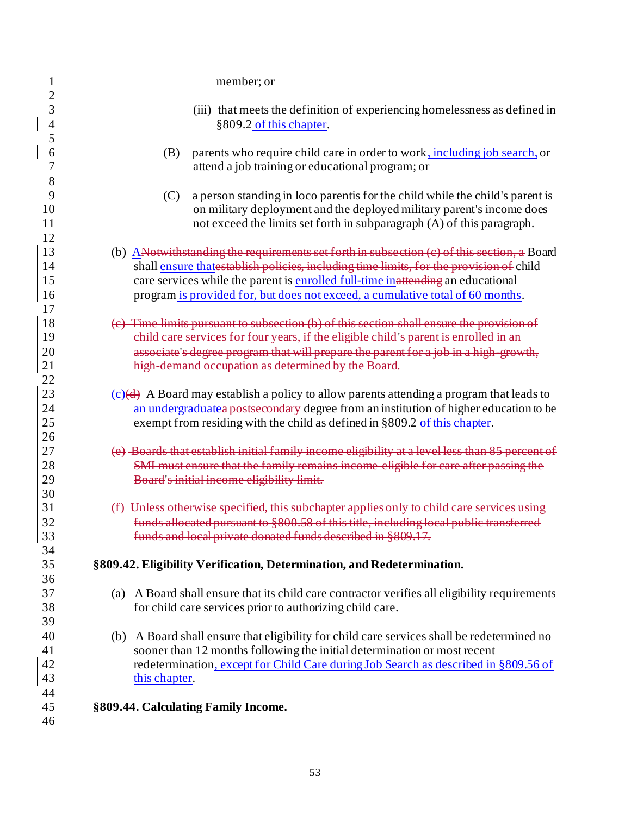| 1                                          | member; or                                                                                                                                                                                                                                                                                                                                                 |
|--------------------------------------------|------------------------------------------------------------------------------------------------------------------------------------------------------------------------------------------------------------------------------------------------------------------------------------------------------------------------------------------------------------|
| $\overline{c}$<br>3<br>$\overline{4}$<br>5 | (iii) that meets the definition of experiencing homelessness as defined in<br>§809.2 of this chapter.                                                                                                                                                                                                                                                      |
| 6<br>7<br>8                                | (B)<br>parents who require child care in order to work, including job search, or<br>attend a job training or educational program; or                                                                                                                                                                                                                       |
| 9<br>10<br>11                              | (C)<br>a person standing in loco parentis for the child while the child's parent is<br>on military deployment and the deployed military parent's income does<br>not exceed the limits set forth in subparagraph (A) of this paragraph.                                                                                                                     |
| 12<br>13<br>14<br>15<br>16<br>17           | (b) ANotwithstanding the requirements set forth in subsection (c) of this section, a Board<br>shall ensure thatestablish policies, including time limits, for the provision of child<br>care services while the parent is enrolled full-time in attending an educational<br>program is provided for, but does not exceed, a cumulative total of 60 months. |
| 18<br>19<br>20<br>21                       | (c) Time limits pursuant to subsection (b) of this section shall ensure the provision of<br>child care services for four years, if the eligible child's parent is enrolled in an<br>associate's degree program that will prepare the parent for a job in a high growth,<br>high demand occupation as determined by the Board.                              |
| 22<br>23<br>24<br>25<br>26                 | $(c)(d)$ A Board may establish a policy to allow parents attending a program that leads to<br>an undergraduatea postsecondary degree from an institution of higher education to be<br>exempt from residing with the child as defined in §809.2 of this chapter.                                                                                            |
| 27<br>28<br>29<br>30                       | (e) Boards that establish initial family income eligibility at a level less than 85 percent of<br>SMI must ensure that the family remains income eligible for care after passing the<br>Board's initial income eligibility limit.                                                                                                                          |
| 31<br>32<br>33<br>34                       | (f) Unless otherwise specified, this subchapter applies only to child care services<br>funds allocated pursuant to §800.58 of this title, including local public transferred<br>funds and local private donated funds described in §809.17.                                                                                                                |
| 35<br>36                                   | §809.42. Eligibility Verification, Determination, and Redetermination.                                                                                                                                                                                                                                                                                     |
| 37<br>38<br>39                             | (a) A Board shall ensure that its child care contractor verifies all eligibility requirements<br>for child care services prior to authorizing child care.                                                                                                                                                                                                  |
| 40<br>41<br>42<br>43                       | (b) A Board shall ensure that eligibility for child care services shall be redetermined no<br>sooner than 12 months following the initial determination or most recent<br>redetermination, except for Child Care during Job Search as described in §809.56 of<br>this chapter.                                                                             |
| 44<br>45<br>46                             | §809.44. Calculating Family Income.                                                                                                                                                                                                                                                                                                                        |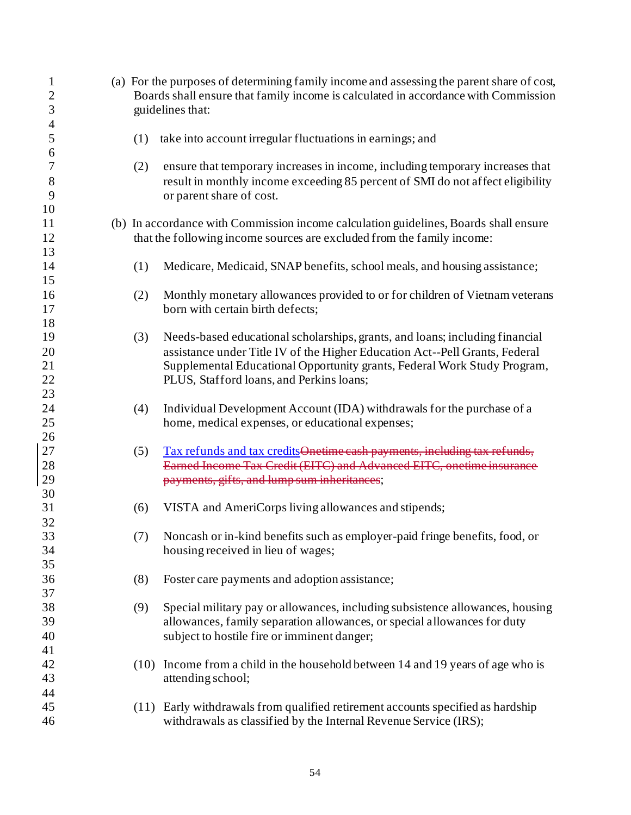| $\mathbf{1}$<br>$\overline{2}$<br>3 |      | (a) For the purposes of determining family income and assessing the parent share of cost,<br>Boards shall ensure that family income is calculated in accordance with Commission<br>guidelines that: |
|-------------------------------------|------|-----------------------------------------------------------------------------------------------------------------------------------------------------------------------------------------------------|
| $\overline{4}$                      |      |                                                                                                                                                                                                     |
| $\mathfrak{S}$<br>6                 | (1)  | take into account irregular fluctuations in earnings; and                                                                                                                                           |
| 7                                   | (2)  | ensure that temporary increases in income, including temporary increases that                                                                                                                       |
| $8\,$                               |      | result in monthly income exceeding 85 percent of SMI do not affect eligibility                                                                                                                      |
| 9                                   |      | or parent share of cost.                                                                                                                                                                            |
| 10                                  |      |                                                                                                                                                                                                     |
| 11                                  |      | (b) In accordance with Commission income calculation guidelines, Boards shall ensure                                                                                                                |
| 12                                  |      | that the following income sources are excluded from the family income:                                                                                                                              |
| 13<br>14                            | (1)  | Medicare, Medicaid, SNAP benefits, school meals, and housing assistance;                                                                                                                            |
| 15                                  |      |                                                                                                                                                                                                     |
| 16                                  | (2)  | Monthly monetary allowances provided to or for children of Vietnam veterans                                                                                                                         |
| 17                                  |      | born with certain birth defects;                                                                                                                                                                    |
| 18                                  |      |                                                                                                                                                                                                     |
| 19                                  | (3)  | Needs-based educational scholarships, grants, and loans; including financial                                                                                                                        |
| 20                                  |      | assistance under Title IV of the Higher Education Act--Pell Grants, Federal                                                                                                                         |
| 21                                  |      | Supplemental Educational Opportunity grants, Federal Work Study Program,                                                                                                                            |
| 22                                  |      | PLUS, Stafford loans, and Perkins loans;                                                                                                                                                            |
| 23                                  |      |                                                                                                                                                                                                     |
| 24                                  | (4)  | Individual Development Account (IDA) withdrawals for the purchase of a                                                                                                                              |
| 25                                  |      | home, medical expenses, or educational expenses;                                                                                                                                                    |
| 26                                  |      |                                                                                                                                                                                                     |
| 27                                  | (5)  | Tax refunds and tax credits Onetime cash payments, including tax refunds,                                                                                                                           |
| 28                                  |      | Earned Income Tax Credit (EITC) and Advanced EITC, onetime insurance                                                                                                                                |
| 29                                  |      | payments, gifts, and lump sum inheritances;                                                                                                                                                         |
| 30<br>31                            |      |                                                                                                                                                                                                     |
| 32                                  | (6)  | VISTA and AmeriCorps living allowances and stipends;                                                                                                                                                |
| 33                                  | (7)  | Noncash or in-kind benefits such as employer-paid fringe benefits, food, or                                                                                                                         |
| 34                                  |      | housing received in lieu of wages;                                                                                                                                                                  |
| 35                                  |      |                                                                                                                                                                                                     |
| 36                                  | (8)  | Foster care payments and adoption assistance;                                                                                                                                                       |
| 37                                  |      |                                                                                                                                                                                                     |
| 38                                  | (9)  | Special military pay or allowances, including subsistence allowances, housing                                                                                                                       |
| 39                                  |      | allowances, family separation allowances, or special allowances for duty                                                                                                                            |
| 40                                  |      | subject to hostile fire or imminent danger;                                                                                                                                                         |
| 41                                  |      |                                                                                                                                                                                                     |
| 42                                  | (10) | Income from a child in the household between 14 and 19 years of age who is                                                                                                                          |
| 43                                  |      | attending school;                                                                                                                                                                                   |
| 44                                  |      |                                                                                                                                                                                                     |
| 45                                  |      | (11) Early withdrawals from qualified retirement accounts specified as hardship                                                                                                                     |
| 46                                  |      | withdrawals as classified by the Internal Revenue Service (IRS);                                                                                                                                    |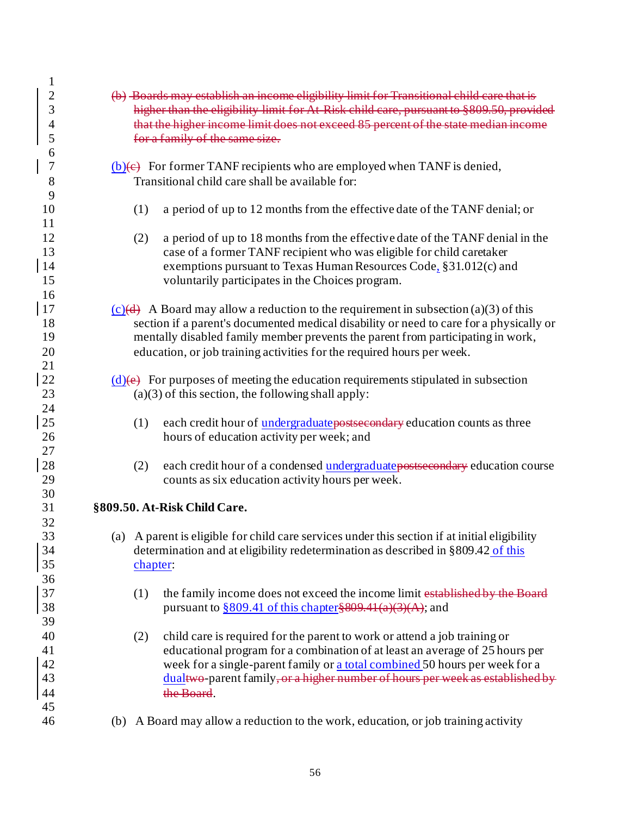| $\mathbf{1}$   |          |                                                                                               |  |  |  |  |
|----------------|----------|-----------------------------------------------------------------------------------------------|--|--|--|--|
| $\overline{c}$ |          | (b) Boards may establish an income eligibility limit for Transitional child care that is      |  |  |  |  |
| 3              |          |                                                                                               |  |  |  |  |
|                |          | higher than the eligibility limit for At Risk child care, pursuant to §809.50, provided       |  |  |  |  |
| 4              |          | that the higher income limit does not exceed 85 percent of the state median income            |  |  |  |  |
| 5              |          | for a family of the same size.                                                                |  |  |  |  |
| 6              |          |                                                                                               |  |  |  |  |
| $\overline{7}$ |          | $(b)(e)$ For former TANF recipients who are employed when TANF is denied,                     |  |  |  |  |
|                |          |                                                                                               |  |  |  |  |
| 8              |          | Transitional child care shall be available for:                                               |  |  |  |  |
| 9              |          |                                                                                               |  |  |  |  |
| 10             | (1)      | a period of up to 12 months from the effective date of the TANF denial; or                    |  |  |  |  |
| 11             |          |                                                                                               |  |  |  |  |
| 12             | (2)      | a period of up to 18 months from the effective date of the TANF denial in the                 |  |  |  |  |
|                |          |                                                                                               |  |  |  |  |
| 13             |          | case of a former TANF recipient who was eligible for child caretaker                          |  |  |  |  |
| 14             |          | exemptions pursuant to Texas Human Resources Code, §31.012(c) and                             |  |  |  |  |
| 15             |          | voluntarily participates in the Choices program.                                              |  |  |  |  |
| 16             |          |                                                                                               |  |  |  |  |
| 17             |          | $(c)(d)$ A Board may allow a reduction to the requirement in subsection (a)(3) of this        |  |  |  |  |
|                |          |                                                                                               |  |  |  |  |
| 18             |          | section if a parent's documented medical disability or need to care for a physically or       |  |  |  |  |
| 19             |          | mentally disabled family member prevents the parent from participating in work,               |  |  |  |  |
| 20             |          | education, or job training activities for the required hours per week.                        |  |  |  |  |
| 21             |          |                                                                                               |  |  |  |  |
| 22             |          | $(d)$ (e) For purposes of meeting the education requirements stipulated in subsection         |  |  |  |  |
| 23             |          |                                                                                               |  |  |  |  |
|                |          | $(a)(3)$ of this section, the following shall apply:                                          |  |  |  |  |
| 24             |          |                                                                                               |  |  |  |  |
| 25             | (1)      | each credit hour of <i>undergraduate</i> postsecondary education counts as three              |  |  |  |  |
| 26             |          | hours of education activity per week; and                                                     |  |  |  |  |
| 27             |          |                                                                                               |  |  |  |  |
| 28             |          |                                                                                               |  |  |  |  |
|                | (2)      | each credit hour of a condensed undergraduate postsecondary education course                  |  |  |  |  |
| 29             |          | counts as six education activity hours per week.                                              |  |  |  |  |
| 30             |          |                                                                                               |  |  |  |  |
| 31             |          | §809.50. At-Risk Child Care.                                                                  |  |  |  |  |
| 32             |          |                                                                                               |  |  |  |  |
| 33             |          | (a) A parent is eligible for child care services under this section if at initial eligibility |  |  |  |  |
|                |          |                                                                                               |  |  |  |  |
| 34             |          | determination and at eligibility redetermination as described in §809.42 of this              |  |  |  |  |
| 35             | chapter: |                                                                                               |  |  |  |  |
| 36             |          |                                                                                               |  |  |  |  |
| 37             | (1)      | the family income does not exceed the income limit established by the Board                   |  |  |  |  |
| 38             |          | pursuant to $\frac{809.41}{10}$ of this chapter \$809.41(a)(3)(A); and                        |  |  |  |  |
|                |          |                                                                                               |  |  |  |  |
| 39             |          |                                                                                               |  |  |  |  |
| 40             | (2)      | child care is required for the parent to work or attend a job training or                     |  |  |  |  |
| 41             |          | educational program for a combination of at least an average of 25 hours per                  |  |  |  |  |
| 42             |          | week for a single-parent family or a total combined 50 hours per week for a                   |  |  |  |  |
| 43             |          | dualtwo-parent family, or a higher number of hours per week as established by                 |  |  |  |  |
|                |          | the Board.                                                                                    |  |  |  |  |
| 44             |          |                                                                                               |  |  |  |  |
| 45             |          |                                                                                               |  |  |  |  |
| 46             |          | (b) A Board may allow a reduction to the work, education, or job training activity            |  |  |  |  |
|                |          |                                                                                               |  |  |  |  |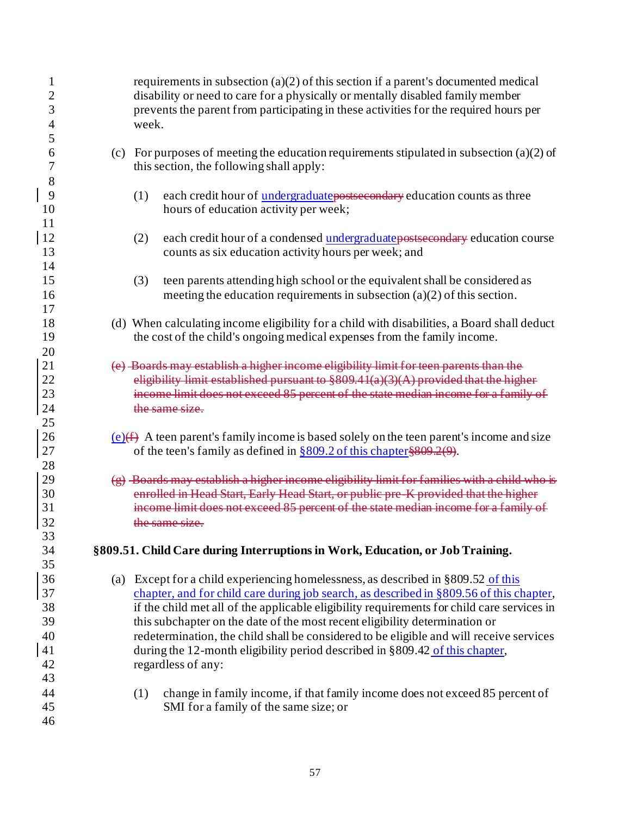| 1<br>2<br>3<br>4<br>5                        | requirements in subsection $(a)(2)$ of this section if a parent's documented medical<br>disability or need to care for a physically or mentally disabled family member<br>prevents the parent from participating in these activities for the required hours per<br>week.                                                                                                                                                                                                                                                                                       |
|----------------------------------------------|----------------------------------------------------------------------------------------------------------------------------------------------------------------------------------------------------------------------------------------------------------------------------------------------------------------------------------------------------------------------------------------------------------------------------------------------------------------------------------------------------------------------------------------------------------------|
| 6<br>7                                       | (c) For purposes of meeting the education requirements stipulated in subsection (a)(2) of<br>this section, the following shall apply:                                                                                                                                                                                                                                                                                                                                                                                                                          |
| 8<br>9<br>10<br>11                           | each credit hour of <i>undergraduate</i> postsecondary education counts as three<br>(1)<br>hours of education activity per week;                                                                                                                                                                                                                                                                                                                                                                                                                               |
| 12<br>13                                     | each credit hour of a condensed undergraduate postsecondary education course<br>(2)<br>counts as six education activity hours per week; and                                                                                                                                                                                                                                                                                                                                                                                                                    |
| 14<br>15<br>16                               | (3)<br>teen parents attending high school or the equivalent shall be considered as<br>meeting the education requirements in subsection $(a)(2)$ of this section.                                                                                                                                                                                                                                                                                                                                                                                               |
| 17<br>18<br>19                               | (d) When calculating income eligibility for a child with disabilities, a Board shall deduct<br>the cost of the child's ongoing medical expenses from the family income.                                                                                                                                                                                                                                                                                                                                                                                        |
| 20<br>21<br>22<br>23<br>24                   | (e) Boards may establish a higher income eligibility limit for teen parents than the<br>eligibility limit established pursuant to $$809.41(a)(3)(A)$ provided that the higher<br>income limit does not exceed 85 percent of the state median income for a family of<br>the same size.                                                                                                                                                                                                                                                                          |
| 25<br>26<br>27                               | (e)(f) A teen parent's family income is based solely on the teen parent's income and size<br>of the teen's family as defined in $\S 809.2$ of this chapter $\S 809.2(9)$ .                                                                                                                                                                                                                                                                                                                                                                                     |
| 28<br>29<br>30<br>31<br>32                   | $(g)$ Boards may establish a higher income eligibility limit for families with a child who is<br>enrolled in Head Start, Early Head Start, or public pre K provided that the higher<br>income limit does not exceed 85 percent of the state median income for a family of<br>the same size.                                                                                                                                                                                                                                                                    |
| 33<br>34<br>35                               | §809.51. Child Care during Interruptions in Work, Education, or Job Training.                                                                                                                                                                                                                                                                                                                                                                                                                                                                                  |
| 36<br>37<br>38<br>39<br>40<br>41<br>42<br>43 | (a) Except for a child experiencing homelessness, as described in $\S 809.52$ of this<br>chapter, and for child care during job search, as described in §809.56 of this chapter,<br>if the child met all of the applicable eligibility requirements for child care services in<br>this subchapter on the date of the most recent eligibility determination or<br>redetermination, the child shall be considered to be eligible and will receive services<br>during the 12-month eligibility period described in §809.42 of this chapter,<br>regardless of any: |
| 44<br>45<br>46                               | change in family income, if that family income does not exceed 85 percent of<br>(1)<br>SMI for a family of the same size; or                                                                                                                                                                                                                                                                                                                                                                                                                                   |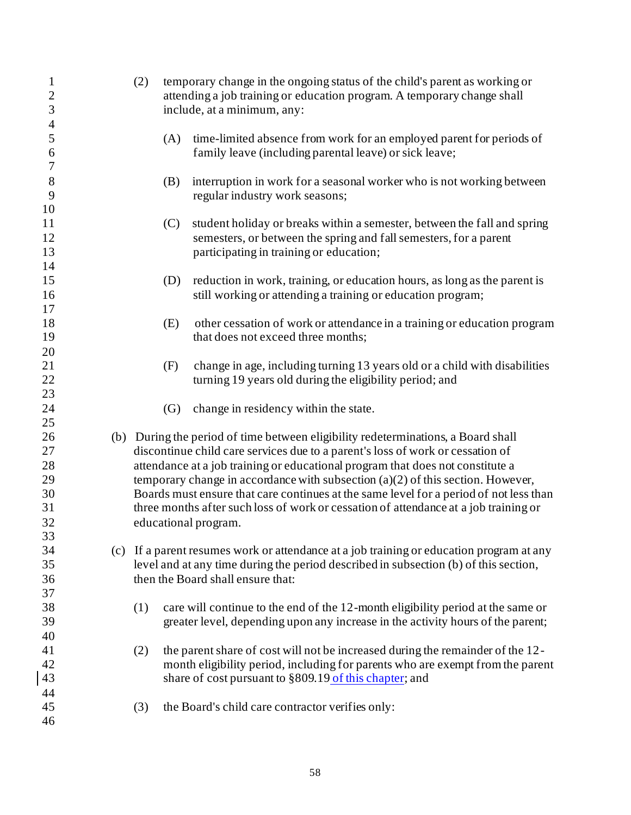| $\mathbf{1}$<br>$\overline{c}$<br>3 | (2) | temporary change in the ongoing status of the child's parent as working or<br>attending a job training or education program. A temporary change shall<br>include, at a minimum, any: |
|-------------------------------------|-----|--------------------------------------------------------------------------------------------------------------------------------------------------------------------------------------|
| $\overline{4}$                      |     |                                                                                                                                                                                      |
| 5                                   | (A) | time-limited absence from work for an employed parent for periods of                                                                                                                 |
| 6                                   |     | family leave (including parental leave) or sick leave;                                                                                                                               |
| $\boldsymbol{7}$                    |     |                                                                                                                                                                                      |
| 8                                   | (B) | interruption in work for a seasonal worker who is not working between                                                                                                                |
| 9                                   |     | regular industry work seasons;                                                                                                                                                       |
| 10                                  |     |                                                                                                                                                                                      |
| 11                                  | (C) | student holiday or breaks within a semester, between the fall and spring                                                                                                             |
| 12                                  |     | semesters, or between the spring and fall semesters, for a parent                                                                                                                    |
| 13                                  |     | participating in training or education;                                                                                                                                              |
| 14                                  |     |                                                                                                                                                                                      |
| 15                                  | (D) | reduction in work, training, or education hours, as long as the parent is                                                                                                            |
| 16                                  |     | still working or attending a training or education program;                                                                                                                          |
| 17                                  |     |                                                                                                                                                                                      |
| 18                                  | (E) | other cessation of work or attendance in a training or education program                                                                                                             |
| 19                                  |     | that does not exceed three months;                                                                                                                                                   |
| 20                                  |     |                                                                                                                                                                                      |
| 21                                  | (F) | change in age, including turning 13 years old or a child with disabilities                                                                                                           |
| 22                                  |     | turning 19 years old during the eligibility period; and                                                                                                                              |
| 23                                  |     |                                                                                                                                                                                      |
| 24                                  | (G) | change in residency within the state.                                                                                                                                                |
| 25                                  |     |                                                                                                                                                                                      |
| 26                                  |     | (b) During the period of time between eligibility redeterminations, a Board shall                                                                                                    |
| 27                                  |     | discontinue child care services due to a parent's loss of work or cessation of                                                                                                       |
| 28                                  |     | attendance at a job training or educational program that does not constitute a                                                                                                       |
| 29                                  |     | temporary change in accordance with subsection $(a)(2)$ of this section. However,                                                                                                    |
| 30                                  |     | Boards must ensure that care continues at the same level for a period of not less than                                                                                               |
| 31                                  |     | three months after such loss of work or cessation of attendance at a job training or                                                                                                 |
| 32                                  |     | educational program.                                                                                                                                                                 |
| 33                                  |     |                                                                                                                                                                                      |
| 34                                  |     | (c) If a parent resumes work or attendance at a job training or education program at any                                                                                             |
| 35                                  |     | level and at any time during the period described in subsection (b) of this section,                                                                                                 |
| 36                                  |     | then the Board shall ensure that:                                                                                                                                                    |
| 37                                  |     |                                                                                                                                                                                      |
| 38                                  | (1) | care will continue to the end of the 12-month eligibility period at the same or                                                                                                      |
| 39                                  |     | greater level, depending upon any increase in the activity hours of the parent;                                                                                                      |
| 40                                  |     |                                                                                                                                                                                      |
| 41                                  | (2) | the parent share of cost will not be increased during the remainder of the 12-                                                                                                       |
| 42                                  |     | month eligibility period, including for parents who are exempt from the parent                                                                                                       |
| 43                                  |     | share of cost pursuant to §809.19 of this chapter; and                                                                                                                               |
| 44                                  |     |                                                                                                                                                                                      |
| 45                                  | (3) | the Board's child care contractor verifies only:                                                                                                                                     |
| 46                                  |     |                                                                                                                                                                                      |
|                                     |     |                                                                                                                                                                                      |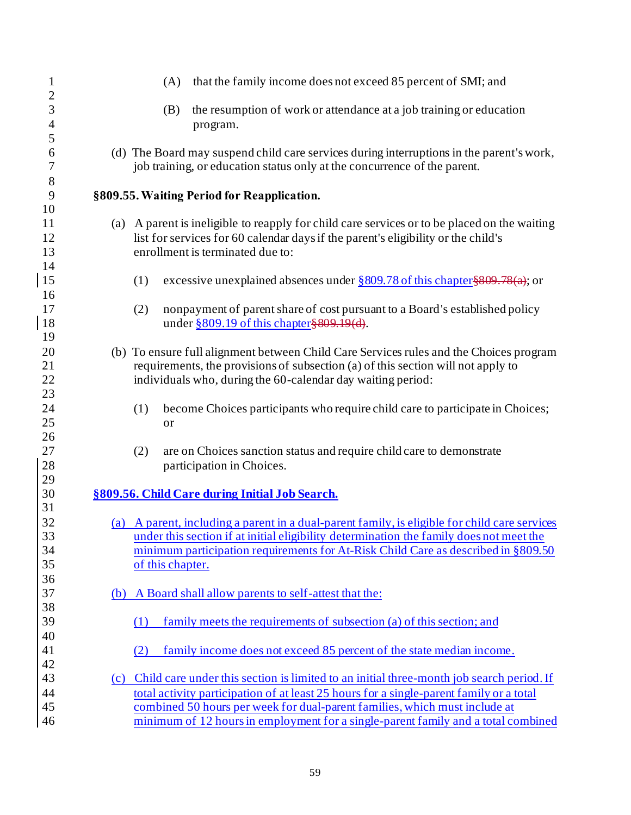| $\mathbf{1}$        |     | (A)              | that the family income does not exceed 85 percent of SMI; and                                 |
|---------------------|-----|------------------|-----------------------------------------------------------------------------------------------|
| $\overline{c}$<br>3 |     | (B)              | the resumption of work or attendance at a job training or education                           |
| $\overline{4}$      |     |                  | program.                                                                                      |
| 5                   |     |                  |                                                                                               |
| 6                   |     |                  | (d) The Board may suspend child care services during interruptions in the parent's work,      |
| 7                   |     |                  | job training, or education status only at the concurrence of the parent.                      |
| $\,$ $\,$           |     |                  |                                                                                               |
| 9                   |     |                  | §809.55. Waiting Period for Reapplication.                                                    |
| 10                  |     |                  |                                                                                               |
| 11                  |     |                  | (a) A parent is ineligible to reapply for child care services or to be placed on the waiting  |
| 12                  |     |                  | list for services for 60 calendar days if the parent's eligibility or the child's             |
| 13<br>14            |     |                  | enrollment is terminated due to:                                                              |
| 15                  |     | (1)              | excessive unexplained absences under $\S 809.78$ of this chapter $\S 809.78$ (a); or          |
| 16                  |     |                  |                                                                                               |
| 17                  |     | (2)              | nonpayment of parent share of cost pursuant to a Board's established policy                   |
| 18                  |     |                  | under $\S 809.19$ of this chapter $\S 809.19$ (d).                                            |
| 19                  |     |                  |                                                                                               |
| 20                  |     |                  | (b) To ensure full alignment between Child Care Services rules and the Choices program        |
| 21                  |     |                  | requirements, the provisions of subsection (a) of this section will not apply to              |
| $22\,$              |     |                  | individuals who, during the 60-calendar day waiting period:                                   |
| 23                  |     |                  |                                                                                               |
| 24                  |     | (1)              | become Choices participants who require child care to participate in Choices;                 |
| 25                  |     | or               |                                                                                               |
| 26                  |     |                  |                                                                                               |
| 27                  |     | (2)              | are on Choices sanction status and require child care to demonstrate                          |
| 28                  |     |                  | participation in Choices.                                                                     |
| 29<br>30            |     |                  |                                                                                               |
| 31                  |     |                  | §809.56. Child Care during Initial Job Search.                                                |
| 32                  |     |                  | (a) A parent, including a parent in a dual-parent family, is eligible for child care services |
| 33                  |     |                  | under this section if at initial eligibility determination the family does not meet the       |
| 34                  |     |                  | minimum participation requirements for At-Risk Child Care as described in §809.50             |
| 35                  |     | of this chapter. |                                                                                               |
| 36                  |     |                  |                                                                                               |
| 37                  | (b) |                  | A Board shall allow parents to self-attest that the:                                          |
| 38                  |     |                  |                                                                                               |
| 39                  |     | (1)              | family meets the requirements of subsection (a) of this section; and                          |
| 40                  |     |                  |                                                                                               |
| 41                  |     | (2)              | family income does not exceed 85 percent of the state median income.                          |
| 42                  |     |                  |                                                                                               |
| 43                  |     |                  | (c) Child care under this section is limited to an initial three-month job search period. If  |
| 44                  |     |                  | total activity participation of at least 25 hours for a single-parent family or a total       |
| 45                  |     |                  | combined 50 hours per week for dual-parent families, which must include at                    |
| 46                  |     |                  | minimum of 12 hours in employment for a single-parent family and a total combined             |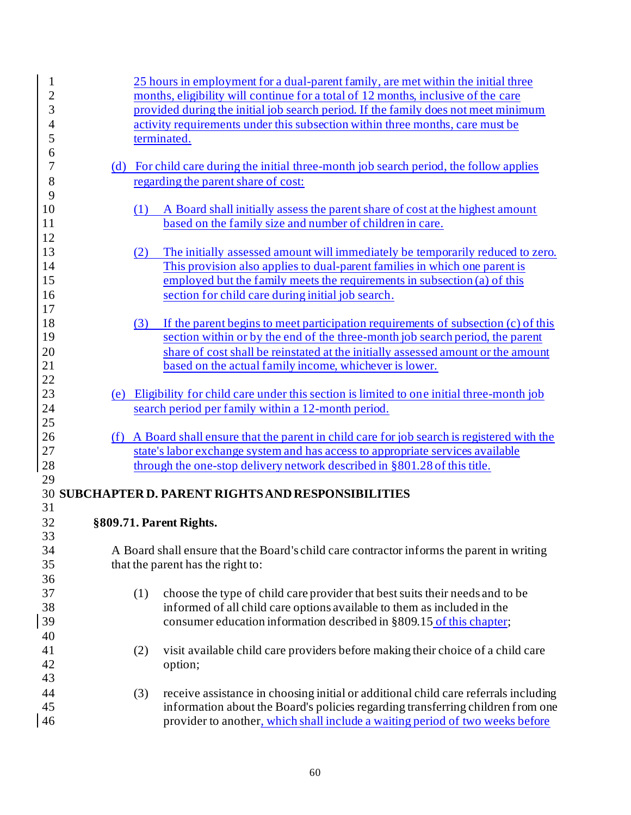| 1              |     | 25 hours in employment for a dual-parent family, are met within the initial three                                                                            |
|----------------|-----|--------------------------------------------------------------------------------------------------------------------------------------------------------------|
| $\overline{c}$ |     | months, eligibility will continue for a total of 12 months, inclusive of the care                                                                            |
| 3              |     | provided during the initial job search period. If the family does not meet minimum                                                                           |
| $\overline{4}$ |     | activity requirements under this subsection within three months, care must be                                                                                |
| 5              |     | terminated.                                                                                                                                                  |
| 6              |     |                                                                                                                                                              |
| 7              |     | (d) For child care during the initial three-month job search period, the follow applies                                                                      |
| 8              |     | regarding the parent share of cost:                                                                                                                          |
| 9              |     |                                                                                                                                                              |
| 10             | (1) | A Board shall initially assess the parent share of cost at the highest amount                                                                                |
| 11             |     | based on the family size and number of children in care.                                                                                                     |
| 12             |     |                                                                                                                                                              |
| 13             |     |                                                                                                                                                              |
| 14             | (2) | The initially assessed amount will immediately be temporarily reduced to zero.<br>This provision also applies to dual-parent families in which one parent is |
| 15             |     |                                                                                                                                                              |
|                |     | employed but the family meets the requirements in subsection (a) of this                                                                                     |
| 16             |     | section for child care during initial job search.                                                                                                            |
| 17             |     |                                                                                                                                                              |
| 18             | (3) | If the parent begins to meet participation requirements of subsection (c) of this                                                                            |
| 19             |     | section within or by the end of the three-month job search period, the parent                                                                                |
| 20             |     | share of cost shall be reinstated at the initially assessed amount or the amount                                                                             |
| 21             |     | based on the actual family income, whichever is lower.                                                                                                       |
| 22             |     |                                                                                                                                                              |
| 23             |     | (e) Eligibility for child care under this section is limited to one initial three-month job                                                                  |
| 24             |     | search period per family within a 12-month period.                                                                                                           |
| 25             |     |                                                                                                                                                              |
| 26             |     | (f) A Board shall ensure that the parent in child care for job search is registered with the                                                                 |
| 27             |     | state's labor exchange system and has access to appropriate services available                                                                               |
| 28             |     | through the one-stop delivery network described in §801.28 of this title.                                                                                    |
| 29             |     |                                                                                                                                                              |
|                |     | <b>30 SUBCHAPTER D. PARENT RIGHTS AND RESPONSIBILITIES</b>                                                                                                   |
| 31             |     |                                                                                                                                                              |
| 32             |     | §809.71. Parent Rights.                                                                                                                                      |
| 33             |     |                                                                                                                                                              |
| 34             |     | A Board shall ensure that the Board's child care contractor informs the parent in writing                                                                    |
| 35             |     | that the parent has the right to:                                                                                                                            |
| 36             |     |                                                                                                                                                              |
| 37             | (1) | choose the type of child care provider that best suits their needs and to be                                                                                 |
| 38             |     | informed of all child care options available to them as included in the                                                                                      |
| 39             |     | consumer education information described in §809.15 of this chapter;                                                                                         |
| 40             |     |                                                                                                                                                              |
| 41             | (2) | visit available child care providers before making their choice of a child care                                                                              |
| 42             |     | option;                                                                                                                                                      |
| 43             |     |                                                                                                                                                              |
| 44             |     |                                                                                                                                                              |
| 45             | (3) | receive assistance in choosing initial or additional child care referrals including                                                                          |
|                |     | information about the Board's policies regarding transferring children from one                                                                              |
| 46             |     | provider to another, which shall include a waiting period of two weeks before                                                                                |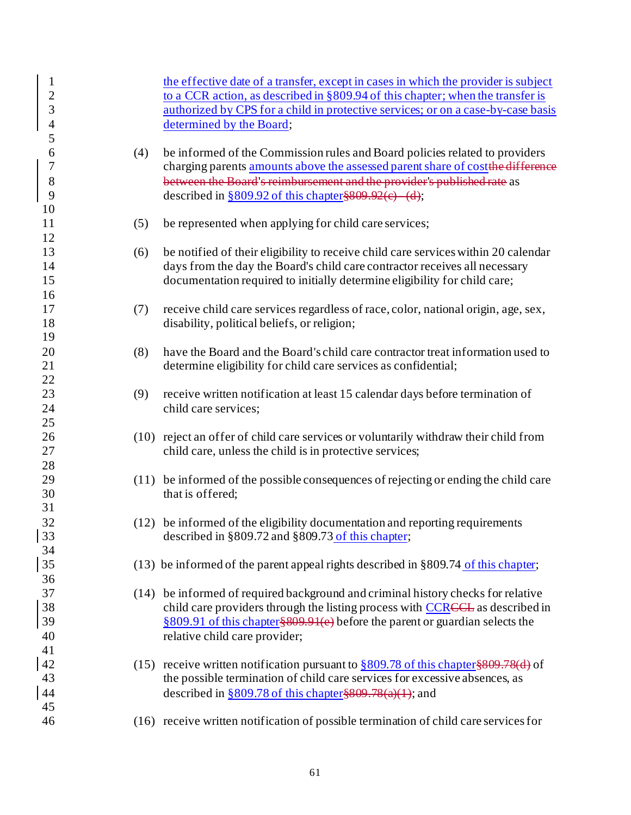| $\mathbf{1}$<br>$\overline{2}$<br>$\overline{3}$<br>$\overline{4}$<br>5 |     | the effective date of a transfer, except in cases in which the provider is subject<br>to a CCR action, as described in §809.94 of this chapter; when the transfer is<br>authorized by CPS for a child in protective services; or on a case-by-case basis<br>determined by the Board;                                      |
|-------------------------------------------------------------------------|-----|---------------------------------------------------------------------------------------------------------------------------------------------------------------------------------------------------------------------------------------------------------------------------------------------------------------------------|
| 6<br>$\boldsymbol{7}$<br>8<br>9                                         | (4) | be informed of the Commission rules and Board policies related to providers<br>charging parents amounts above the assessed parent share of cost the difference<br>between the Board's reimbursement and the provider's published rate as<br>described in $\frac{809.92 \text{ of this chapter}}{809.92 \text{ (e)}}$ (d); |
| 10<br>11<br>12                                                          | (5) | be represented when applying for child care services;                                                                                                                                                                                                                                                                     |
| 13<br>14<br>15<br>16                                                    | (6) | be notified of their eligibility to receive child care services within 20 calendar<br>days from the day the Board's child care contractor receives all necessary<br>documentation required to initially determine eligibility for child care;                                                                             |
| 17<br>18<br>19                                                          | (7) | receive child care services regardless of race, color, national origin, age, sex,<br>disability, political beliefs, or religion;                                                                                                                                                                                          |
| 20<br>21<br>22                                                          | (8) | have the Board and the Board's child care contractor treat information used to<br>determine eligibility for child care services as confidential;                                                                                                                                                                          |
| 23<br>24<br>25                                                          | (9) | receive written notification at least 15 calendar days before termination of<br>child care services;                                                                                                                                                                                                                      |
| 26<br>27<br>28                                                          |     | (10) reject an offer of child care services or voluntarily withdraw their child from<br>child care, unless the child is in protective services;                                                                                                                                                                           |
| 29<br>30<br>31                                                          |     | (11) be informed of the possible consequences of rejecting or ending the child care<br>that is offered;                                                                                                                                                                                                                   |
| 32<br>33<br>34                                                          |     | (12) be informed of the eligibility documentation and reporting requirements<br>described in $\S 809.72$ and $\S 809.73$ of this chapter;                                                                                                                                                                                 |
| 35<br>36                                                                |     | $(13)$ be informed of the parent appeal rights described in §809.74 of this chapter;                                                                                                                                                                                                                                      |
| 37<br>38<br>39<br>40<br>41                                              |     | (14) be informed of required background and criminal history checks for relative<br>child care providers through the listing process with CCRCCL as described in<br>§809.91 of this chapter§809.91(e) before the parent or guardian selects the<br>relative child care provider;                                          |
| 42<br>43<br>44                                                          |     | (15) receive written notification pursuant to $\S 809.78$ of this chapter $\S 809.78$ (d) of<br>the possible termination of child care services for excessive absences, as<br>described in $$809.78$ of this chapter $$809.78$ (a)(1); and                                                                                |
| 45<br>46                                                                |     | (16) receive written notification of possible termination of child care services for                                                                                                                                                                                                                                      |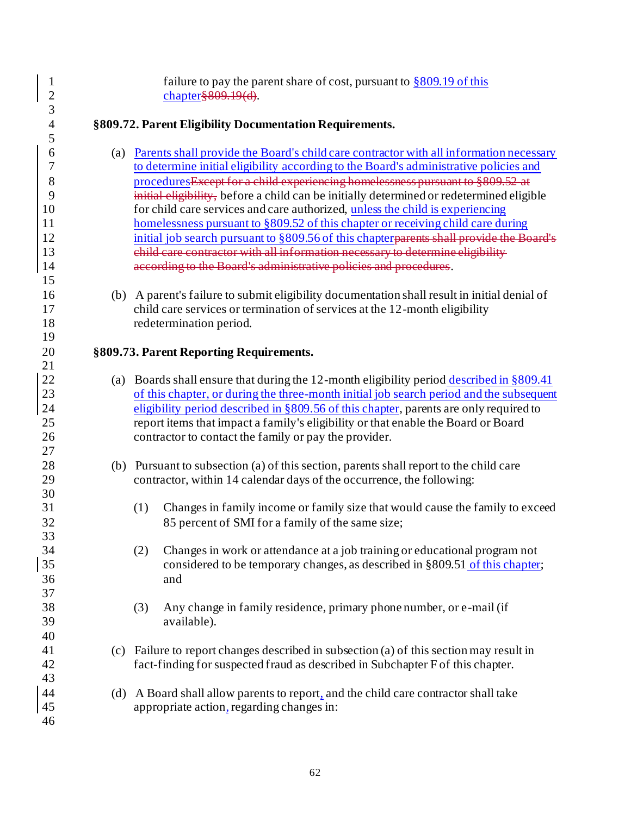| $\mathbf{1}$<br>$\overline{c}$ |     | failure to pay the parent share of cost, pursuant to $\S 809.19$ of this<br>chapter § 809.19(d). |
|--------------------------------|-----|--------------------------------------------------------------------------------------------------|
| 3                              |     |                                                                                                  |
| $\overline{\mathcal{A}}$       |     | §809.72. Parent Eligibility Documentation Requirements.                                          |
| 5                              |     |                                                                                                  |
| 6                              |     | (a) Parents shall provide the Board's child care contractor with all information necessary       |
| 7                              |     | to determine initial eligibility according to the Board's administrative policies and            |
| 8                              |     | procedures Except for a child experiencing homelessness pursuant to §809.52 at                   |
| 9                              |     | initial eligibility, before a child can be initially determined or redetermined eligible         |
| 10                             |     | for child care services and care authorized, unless the child is experiencing                    |
| 11                             |     | homelessness pursuant to §809.52 of this chapter or receiving child care during                  |
| 12                             |     | initial job search pursuant to §809.56 of this chapter parents shall provide the Board's         |
| 13                             |     | ehild care contractor with all information necessary to determine eligibility                    |
| 14                             |     | according to the Board's administrative policies and procedures.                                 |
| 15                             |     |                                                                                                  |
| 16                             |     | (b) A parent's failure to submit eligibility documentation shall result in initial denial of     |
| 17                             |     | child care services or termination of services at the 12-month eligibility                       |
| 18                             |     | redetermination period.                                                                          |
| 19                             |     |                                                                                                  |
| 20                             |     | §809.73. Parent Reporting Requirements.                                                          |
| 21                             |     |                                                                                                  |
| 22                             |     | (a) Boards shall ensure that during the 12-month eligibility period described in $\S 809.41$     |
| 23                             |     | of this chapter, or during the three-month initial job search period and the subsequent          |
| 24                             |     | eligibility period described in §809.56 of this chapter, parents are only required to            |
| 25                             |     | report items that impact a family's eligibility or that enable the Board or Board                |
| 26                             |     | contractor to contact the family or pay the provider.                                            |
| 27                             |     |                                                                                                  |
| 28                             |     | (b) Pursuant to subsection (a) of this section, parents shall report to the child care           |
| 29                             |     | contractor, within 14 calendar days of the occurrence, the following:                            |
| 30                             |     |                                                                                                  |
| 31                             |     | (1)<br>Changes in family income or family size that would cause the family to exceed             |
| 32                             |     | 85 percent of SMI for a family of the same size;                                                 |
| 33                             |     |                                                                                                  |
| 34                             |     | Changes in work or attendance at a job training or educational program not<br>(2)                |
| 35                             |     | considered to be temporary changes, as described in §809.51 of this chapter;                     |
| 36                             |     | and                                                                                              |
| 37                             |     |                                                                                                  |
| 38                             |     | Any change in family residence, primary phone number, or e-mail (if<br>(3)                       |
| 39                             |     | available).                                                                                      |
| 40                             |     |                                                                                                  |
| 41                             |     | (c) Failure to report changes described in subsection (a) of this section may result in          |
| 42                             |     | fact-finding for suspected fraud as described in Subchapter F of this chapter.                   |
| 43                             |     |                                                                                                  |
| 44                             | (d) | A Board shall allow parents to report, and the child care contractor shall take                  |
| 45                             |     | appropriate action, regarding changes in:                                                        |
| 46                             |     |                                                                                                  |
|                                |     |                                                                                                  |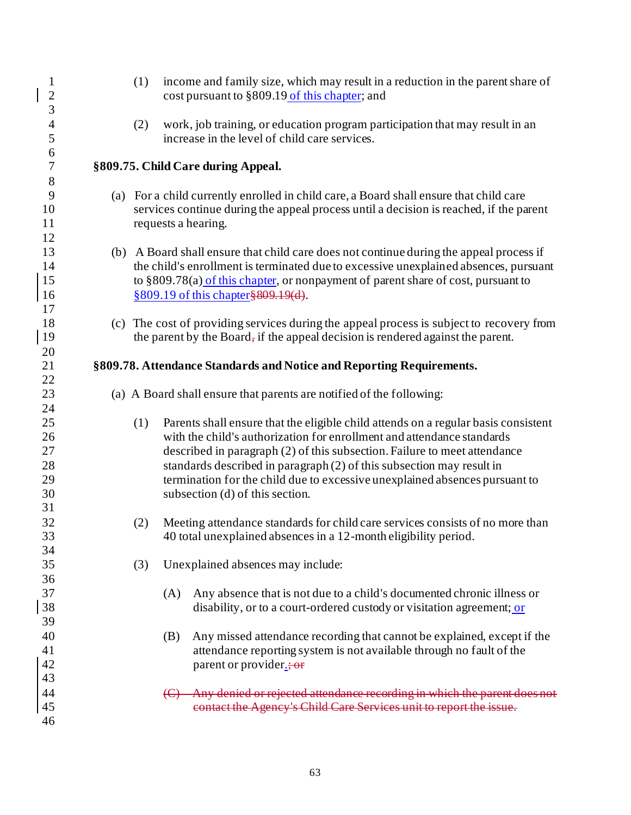| $\mathbf{1}$<br>$\overline{c}$         | (1) | income and family size, which may result in a reduction in the parent share of<br>cost pursuant to §809.19 of this chapter; and                                                                                                                                                                                                                                                                                                      |
|----------------------------------------|-----|--------------------------------------------------------------------------------------------------------------------------------------------------------------------------------------------------------------------------------------------------------------------------------------------------------------------------------------------------------------------------------------------------------------------------------------|
| $\overline{3}$<br>$\overline{4}$<br>5  | (2) | work, job training, or education program participation that may result in an<br>increase in the level of child care services.                                                                                                                                                                                                                                                                                                        |
| 6<br>$\boldsymbol{7}$<br>$8\,$         |     | §809.75. Child Care during Appeal.                                                                                                                                                                                                                                                                                                                                                                                                   |
| 9<br>10<br>11<br>12                    |     | (a) For a child currently enrolled in child care, a Board shall ensure that child care<br>services continue during the appeal process until a decision is reached, if the parent<br>requests a hearing.                                                                                                                                                                                                                              |
| 13<br>14<br>15<br>16<br>17             |     | (b) A Board shall ensure that child care does not continue during the appeal process if<br>the child's enrollment is terminated due to excessive unexplained absences, pursuant<br>to §809.78(a) of this chapter, or nonpayment of parent share of cost, pursuant to<br>§809.19 of this chapter §809.19(d).                                                                                                                          |
| 18<br>19<br>20                         |     | (c) The cost of providing services during the appeal process is subject to recovery from<br>the parent by the Board, if the appeal decision is rendered against the parent.                                                                                                                                                                                                                                                          |
| 21<br>22                               |     | §809.78. Attendance Standards and Notice and Reporting Requirements.                                                                                                                                                                                                                                                                                                                                                                 |
| 23<br>24                               |     | (a) A Board shall ensure that parents are notified of the following:                                                                                                                                                                                                                                                                                                                                                                 |
| 25<br>26<br>27<br>28<br>29<br>30<br>31 | (1) | Parents shall ensure that the eligible child attends on a regular basis consistent<br>with the child's authorization for enrollment and attendance standards<br>described in paragraph (2) of this subsection. Failure to meet attendance<br>standards described in paragraph (2) of this subsection may result in<br>termination for the child due to excessive unexplained absences pursuant to<br>subsection (d) of this section. |
| 32<br>33<br>34                         | (2) | Meeting attendance standards for child care services consists of no more than<br>40 total unexplained absences in a 12-month eligibility period.                                                                                                                                                                                                                                                                                     |
| 35<br>36                               | (3) | Unexplained absences may include:                                                                                                                                                                                                                                                                                                                                                                                                    |
| 37<br>38<br>39                         |     | Any absence that is not due to a child's documented chronic illness or<br>(A)<br>disability, or to a court-ordered custody or visitation agreement; or                                                                                                                                                                                                                                                                               |
| 40<br>41<br>42<br>43                   |     | Any missed attendance recording that cannot be explained, except if the<br>(B)<br>attendance reporting system is not available through no fault of the<br>parent or provider.; or                                                                                                                                                                                                                                                    |
| 44<br>45<br>46                         |     | Any denied or rejected attendance recording in which the parent does not<br>$\left( \bigoplus$<br>contact the Agency's Child Care Services unit to report the issue.                                                                                                                                                                                                                                                                 |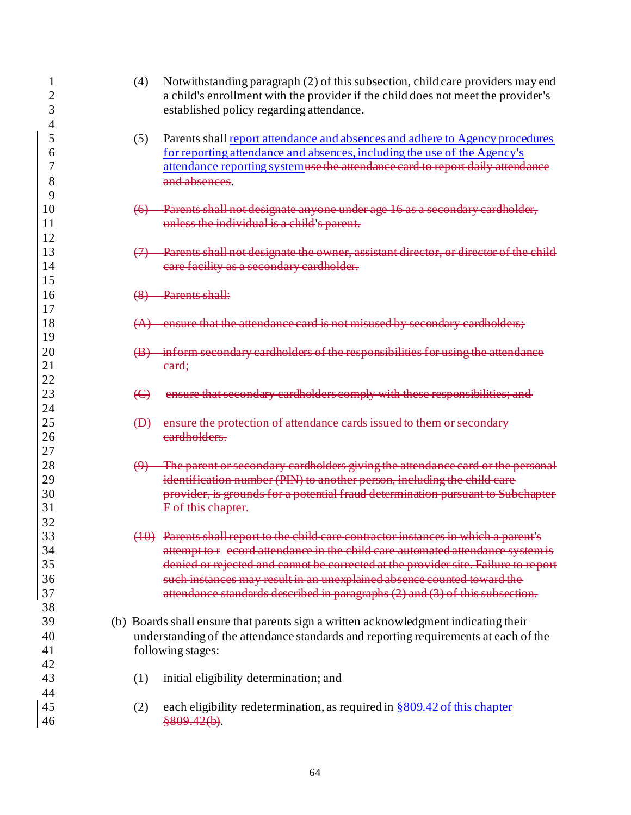| $\overline{2}$<br>3 | (4)                    | Notwithstanding paragraph (2) of this subsection, child care providers may end<br>a child's enrollment with the provider if the child does not meet the provider's<br>established policy regarding attendance. |
|---------------------|------------------------|----------------------------------------------------------------------------------------------------------------------------------------------------------------------------------------------------------------|
| 4                   |                        |                                                                                                                                                                                                                |
| 5                   | (5)                    | Parents shall report attendance and absences and adhere to Agency procedures                                                                                                                                   |
| 6<br>7              |                        | for reporting attendance and absences, including the use of the Agency's                                                                                                                                       |
|                     |                        | attendance reporting systemuse the attendance card to report daily attendance                                                                                                                                  |
| 8                   |                        | and absences.                                                                                                                                                                                                  |
| 9<br>10             |                        |                                                                                                                                                                                                                |
| 11                  | $\leftrightarrow$      | Parents shall not designate anyone under age 16 as a secondary cardholder,<br>unless the individual is a child's parent.                                                                                       |
|                     |                        |                                                                                                                                                                                                                |
| 12<br>13            |                        |                                                                                                                                                                                                                |
| 14                  |                        | Parents shall not designate the owner, assistant director, or director of the child-                                                                                                                           |
| 15                  |                        | eare facility as a secondary cardholder.                                                                                                                                                                       |
|                     |                        |                                                                                                                                                                                                                |
| 16<br>17            |                        | Parents shall:                                                                                                                                                                                                 |
|                     |                        |                                                                                                                                                                                                                |
| 18<br>19            | (A)                    | that the attendance card is not misused by secondary cardholders;                                                                                                                                              |
|                     |                        |                                                                                                                                                                                                                |
| 20                  |                        | inform secondary cardholders of the responsibilities for using the attendance                                                                                                                                  |
| 21<br>22            |                        | eard;                                                                                                                                                                                                          |
| 23                  | $\bigoplus$            |                                                                                                                                                                                                                |
| 24                  |                        | ensure that secondary cardholders comply with these responsibilities; and                                                                                                                                      |
| 25                  | $\bigoplus$            | ensure the protection of attendance cards issued to them or secondary                                                                                                                                          |
| 26                  |                        | eardholders.                                                                                                                                                                                                   |
| 27                  |                        |                                                                                                                                                                                                                |
| 28                  | $\boldsymbol{\varphi}$ | The parent or secondary cardholders giving the attendance card or the personal                                                                                                                                 |
| 29                  |                        | identification number (PIN) to another person, including the child care                                                                                                                                        |
| 30                  |                        | provider, is grounds for a potential fraud determination pursuant to Subchapter                                                                                                                                |
| 31                  |                        | F of this chapter.                                                                                                                                                                                             |
| 32                  |                        |                                                                                                                                                                                                                |
| 33                  |                        | (10) Parents shall report to the child care contractor instances in which a parent's                                                                                                                           |
| 34                  |                        | attempt to r ecord attendance in the child care automated attendance system is                                                                                                                                 |
| 35                  |                        | denied or rejected and cannot be corrected at the provider site. Failure to report                                                                                                                             |
| 36                  |                        | such instances may result in an unexplained absence counted toward the                                                                                                                                         |
| 37                  |                        | attendance standards described in paragraphs (2) and (3) of this subsection.                                                                                                                                   |
| 38                  |                        |                                                                                                                                                                                                                |
| 39                  |                        | (b) Boards shall ensure that parents sign a written acknowledgment indicating their                                                                                                                            |
| 40                  |                        | understanding of the attendance standards and reporting requirements at each of the                                                                                                                            |
| 41                  |                        | following stages:                                                                                                                                                                                              |
| 42                  |                        |                                                                                                                                                                                                                |
| 43                  | (1)                    | initial eligibility determination; and                                                                                                                                                                         |
| 44                  |                        |                                                                                                                                                                                                                |
| 45                  | (2)                    | each eligibility redetermination, as required in $\S 809.42$ of this chapter                                                                                                                                   |
| 46                  |                        | \$809.42(b).                                                                                                                                                                                                   |
|                     |                        |                                                                                                                                                                                                                |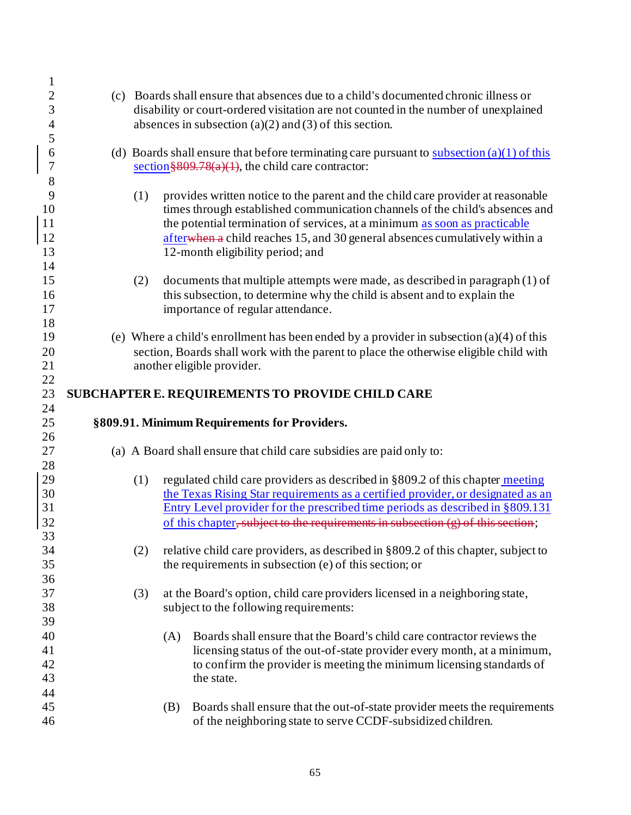| $\mathbf{1}$<br>$\overline{c}$ |     | (c) Boards shall ensure that absences due to a child's documented chronic illness or                      |
|--------------------------------|-----|-----------------------------------------------------------------------------------------------------------|
|                                |     |                                                                                                           |
| 3                              |     | disability or court-ordered visitation are not counted in the number of unexplained                       |
| $\overline{\mathcal{A}}$       |     | absences in subsection (a)(2) and (3) of this section.                                                    |
| 5                              |     |                                                                                                           |
| 6                              |     | (d) Boards shall ensure that before terminating care pursuant to $\frac{\text{subsection}(a)}{1}$ of this |
| $\sqrt{ }$                     |     | section $809.78(a)(1)$ , the child care contractor:                                                       |
| 8                              |     |                                                                                                           |
| 9                              | (1) | provides written notice to the parent and the child care provider at reasonable                           |
| 10                             |     | times through established communication channels of the child's absences and                              |
| 11                             |     | the potential termination of services, at a minimum as soon as practicable                                |
| 12                             |     | afterwhen a child reaches 15, and 30 general absences cumulatively within a                               |
| 13                             |     | 12-month eligibility period; and                                                                          |
| 14                             |     |                                                                                                           |
| 15                             | (2) | documents that multiple attempts were made, as described in paragraph (1) of                              |
| 16                             |     | this subsection, to determine why the child is absent and to explain the                                  |
| 17                             |     | importance of regular attendance.                                                                         |
| 18                             |     |                                                                                                           |
| 19                             |     | (e) Where a child's enrollment has been ended by a provider in subsection (a)(4) of this                  |
| 20                             |     | section, Boards shall work with the parent to place the otherwise eligible child with                     |
| 21                             |     | another eligible provider.                                                                                |
| 22                             |     |                                                                                                           |
| 23                             |     | SUBCHAPTER E. REQUIREMENTS TO PROVIDE CHILD CARE                                                          |
|                                |     |                                                                                                           |
|                                |     |                                                                                                           |
| 24                             |     |                                                                                                           |
| 25                             |     | §809.91. Minimum Requirements for Providers.                                                              |
| 26                             |     |                                                                                                           |
| 27                             |     | (a) A Board shall ensure that child care subsidies are paid only to:                                      |
| 28                             |     |                                                                                                           |
| 29                             | (1) | regulated child care providers as described in §809.2 of this chapter meeting                             |
| 30                             |     | the Texas Rising Star requirements as a certified provider, or designated as an                           |
| 31                             |     | Entry Level provider for the prescribed time periods as described in §809.131                             |
| 32                             |     | of this chapter, subject to the requirements in subsection (g) of this section;                           |
| 33                             |     |                                                                                                           |
| 34                             | (2) | relative child care providers, as described in §809.2 of this chapter, subject to                         |
| 35                             |     | the requirements in subsection (e) of this section; or                                                    |
| 36                             |     |                                                                                                           |
| 37                             | (3) | at the Board's option, child care providers licensed in a neighboring state,                              |
| 38                             |     | subject to the following requirements:                                                                    |
| 39                             |     |                                                                                                           |
| 40                             |     | Boards shall ensure that the Board's child care contractor reviews the<br>(A)                             |
| 41                             |     | licensing status of the out-of-state provider every month, at a minimum,                                  |
| 42                             |     | to confirm the provider is meeting the minimum licensing standards of                                     |
| 43                             |     | the state.                                                                                                |
| 44                             |     |                                                                                                           |
| 45                             |     | Boards shall ensure that the out-of-state provider meets the requirements<br>(B)                          |
| 46                             |     | of the neighboring state to serve CCDF-subsidized children.                                               |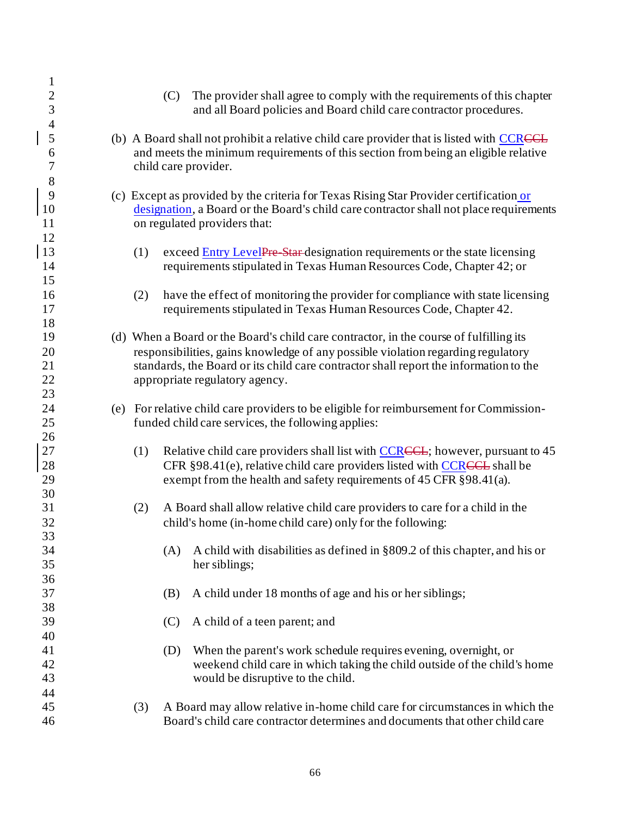| $\mathbf{1}$   |                                                                                          |
|----------------|------------------------------------------------------------------------------------------|
| $\overline{c}$ | The provider shall agree to comply with the requirements of this chapter<br>(C)          |
| $\overline{3}$ | and all Board policies and Board child care contractor procedures.                       |
| $\overline{4}$ |                                                                                          |
| 5              | (b) A Board shall not prohibit a relative child care provider that is listed with CCRCCL |
| 6              | and meets the minimum requirements of this section from being an eligible relative       |
| $\overline{7}$ | child care provider.                                                                     |
| 8              |                                                                                          |
| 9              | (c) Except as provided by the criteria for Texas Rising Star Provider certification or   |
| $10\,$         |                                                                                          |
| 11             | designation, a Board or the Board's child care contractor shall not place requirements   |
|                | on regulated providers that:                                                             |
| 12             |                                                                                          |
| 13             | exceed Entry LevelPre Star-designation requirements or the state licensing<br>(1)        |
| 14             | requirements stipulated in Texas Human Resources Code, Chapter 42; or                    |
| 15             |                                                                                          |
| 16             | have the effect of monitoring the provider for compliance with state licensing<br>(2)    |
| 17             | requirements stipulated in Texas Human Resources Code, Chapter 42.                       |
| 18             |                                                                                          |
| 19             | (d) When a Board or the Board's child care contractor, in the course of fulfilling its   |
| 20             | responsibilities, gains knowledge of any possible violation regarding regulatory         |
| 21             | standards, the Board or its child care contractor shall report the information to the    |
| 22             | appropriate regulatory agency.                                                           |
| 23             |                                                                                          |
| 24             | (e) For relative child care providers to be eligible for reimbursement for Commission-   |
| 25             | funded child care services, the following applies:                                       |
| 26             |                                                                                          |
|                |                                                                                          |
| 27             | Relative child care providers shall list with CCRCCL; however, pursuant to 45<br>(1)     |
| 28             | CFR §98.41(e), relative child care providers listed with CCRCCL shall be                 |
| 29             | exempt from the health and safety requirements of 45 CFR §98.41(a).                      |
| 30             |                                                                                          |
| 31             | A Board shall allow relative child care providers to care for a child in the<br>(2)      |
| 32             | child's home (in-home child care) only for the following:                                |
| 33             |                                                                                          |
| 34             | A child with disabilities as defined in §809.2 of this chapter, and his or<br>(A)        |
| 35             | her siblings;                                                                            |
| 36             |                                                                                          |
| 37             | A child under 18 months of age and his or her siblings;<br>(B)                           |
| 38             |                                                                                          |
| 39             | A child of a teen parent; and<br>(C)                                                     |
| 40             |                                                                                          |
| 41             | When the parent's work schedule requires evening, overnight, or<br>(D)                   |
| 42             | weekend child care in which taking the child outside of the child's home                 |
| 43             |                                                                                          |
|                | would be disruptive to the child.                                                        |
| 44             |                                                                                          |
| 45             | A Board may allow relative in-home child care for circumstances in which the<br>(3)      |
| 46             | Board's child care contractor determines and documents that other child care             |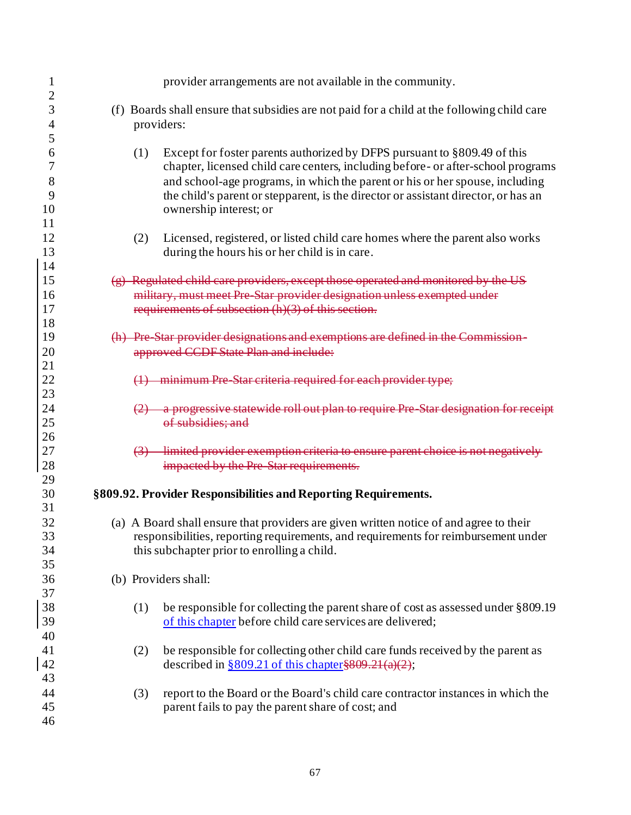| 1<br>$\overline{2}$   | provider arrangements are not available in the community.                                                                                                                                                                                                                                                                                 |
|-----------------------|-------------------------------------------------------------------------------------------------------------------------------------------------------------------------------------------------------------------------------------------------------------------------------------------------------------------------------------------|
| 3<br>4                | (f) Boards shall ensure that subsidies are not paid for a child at the following child care<br>providers:                                                                                                                                                                                                                                 |
| 5<br>6<br>7<br>8<br>9 | Except for foster parents authorized by DFPS pursuant to §809.49 of this<br>(1)<br>chapter, licensed child care centers, including before- or after-school programs<br>and school-age programs, in which the parent or his or her spouse, including<br>the child's parent or stepparent, is the director or assistant director, or has an |
| 10<br>11              | ownership interest; or                                                                                                                                                                                                                                                                                                                    |
| 12<br>13              | Licensed, registered, or listed child care homes where the parent also works<br>(2)<br>during the hours his or her child is in care.                                                                                                                                                                                                      |
| 14<br>15<br>16<br>17  | $(g)$ Regulated child care providers, except those operated and monitored by the US<br>military, must meet Pre-Star provider designation unless exempted under<br>requirements of subsection (h)(3) of this section.                                                                                                                      |
| 18<br>19<br>20        | (h) Pre Star provider designations and exemptions are defined in the Commis<br>approved CCDF State Plan and include:                                                                                                                                                                                                                      |
| 21<br>22<br>23        | minimum Pre Star criteria required for each provider type;                                                                                                                                                                                                                                                                                |
| 24<br>25<br>26        | a progressive statewide roll out plan to require Pre Star designation for receipt<br>of subsidies; and                                                                                                                                                                                                                                    |
| 27<br>28              | limited provider exemption criteria to ensure parent choice is not negatively<br>impacted by the Pre-Star requirements.                                                                                                                                                                                                                   |
| 29<br>30<br>31        | §809.92. Provider Responsibilities and Reporting Requirements.                                                                                                                                                                                                                                                                            |
| 32<br>33<br>34<br>35  | (a) A Board shall ensure that providers are given written notice of and agree to their<br>responsibilities, reporting requirements, and requirements for reimbursement under<br>this subchapter prior to enrolling a child.                                                                                                               |
| 36<br>37              | (b) Providers shall:                                                                                                                                                                                                                                                                                                                      |
| 38<br>39<br>40        | be responsible for collecting the parent share of cost as assessed under §809.19<br>(1)<br>of this chapter before child care services are delivered;                                                                                                                                                                                      |
| 41<br>42<br>43        | be responsible for collecting other child care funds received by the parent as<br>(2)<br>described in $\frac{809.21}{6}$ of this chapter \$809.21(a)(2);                                                                                                                                                                                  |
| 44<br>45<br>46        | (3)<br>report to the Board or the Board's child care contractor instances in which the<br>parent fails to pay the parent share of cost; and                                                                                                                                                                                               |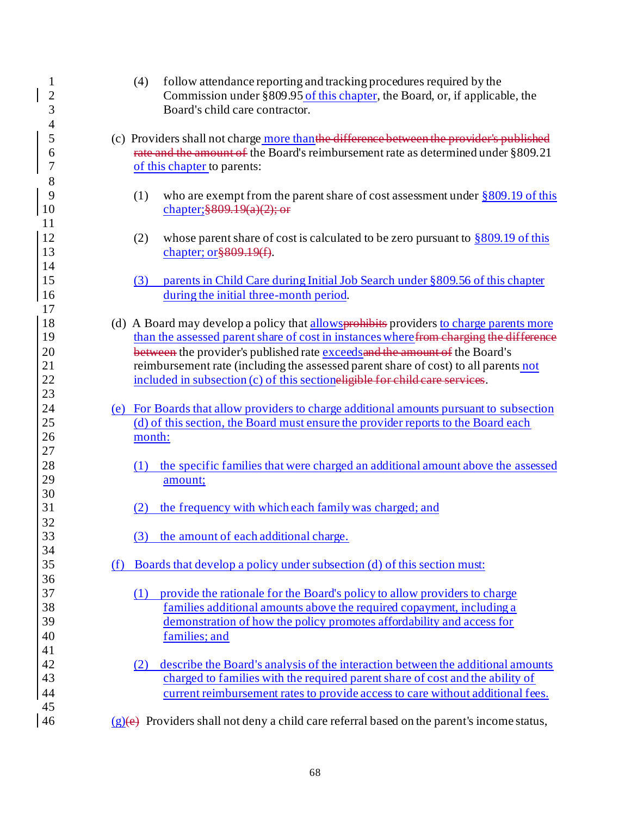| $\mathbf{1}$               | follow attendance reporting and tracking procedures required by the                                                                                                                                          |
|----------------------------|--------------------------------------------------------------------------------------------------------------------------------------------------------------------------------------------------------------|
| $\overline{2}$             | (4)                                                                                                                                                                                                          |
| 3                          | Commission under §809.95 of this chapter, the Board, or, if applicable, the                                                                                                                                  |
| $\overline{4}$             | Board's child care contractor.                                                                                                                                                                               |
| 5<br>6<br>7<br>8           | (c) Providers shall not charge more than the difference between the provider's published<br>rate and the amount of the Board's reimbursement rate as determined under §809.21<br>of this chapter to parents: |
| 9                          | who are exempt from the parent share of cost assessment under $\S 809.19$ of this                                                                                                                            |
| 10                         | (1)                                                                                                                                                                                                          |
| 11                         | chapter; $\frac{809.19(a)(2)}{o}$                                                                                                                                                                            |
| 12                         | whose parent share of cost is calculated to be zero pursuant to $\S 809.19$ of this                                                                                                                          |
| 13                         | (2)                                                                                                                                                                                                          |
| 14                         | chapter; $or$ §809.19 $(f)$ .                                                                                                                                                                                |
| 15                         | parents in Child Care during Initial Job Search under §809.56 of this chapter                                                                                                                                |
| 16                         | (3)                                                                                                                                                                                                          |
| 17                         | during the initial three-month period.                                                                                                                                                                       |
| 18                         | (d) A Board may develop a policy that allows probabilities providers to charge parents more                                                                                                                  |
| 19                         | than the assessed parent share of cost in instances where from charging the difference                                                                                                                       |
| 20                         | between the provider's published rate exceeds and the amount of the Board's                                                                                                                                  |
| 21                         | reimbursement rate (including the assessed parent share of cost) to all parents not                                                                                                                          |
| 22                         | included in subsection (c) of this sectioneligible for child care services.                                                                                                                                  |
| 23<br>24<br>25<br>26<br>27 | (e) For Boards that allow providers to charge additional amounts pursuant to subsection<br>(d) of this section, the Board must ensure the provider reports to the Board each<br>month:                       |
| 28                         | the specific families that were charged an additional amount above the assessed                                                                                                                              |
| 29                         | (1)                                                                                                                                                                                                          |
| 30                         | amount;                                                                                                                                                                                                      |
| 31                         | the frequency with which each family was charged; and                                                                                                                                                        |
| 32                         | (2)                                                                                                                                                                                                          |
| 33                         | the amount of each additional charge.                                                                                                                                                                        |
| 34                         | (3)                                                                                                                                                                                                          |
| 35                         | Boards that develop a policy under subsection (d) of this section must:                                                                                                                                      |
| 36                         | (f)                                                                                                                                                                                                          |
| 37                         | provide the rationale for the Board's policy to allow providers to charge                                                                                                                                    |
| 38                         | (1)                                                                                                                                                                                                          |
| 39                         | families additional amounts above the required copayment, including a                                                                                                                                        |
| 40                         | demonstration of how the policy promotes affordability and access for                                                                                                                                        |
| 41                         | families; and                                                                                                                                                                                                |
| 42                         | describe the Board's analysis of the interaction between the additional amounts                                                                                                                              |
| 43                         | (2)                                                                                                                                                                                                          |
| 44                         | charged to families with the required parent share of cost and the ability of                                                                                                                                |
| 45                         | current reimbursement rates to provide access to care without additional fees.                                                                                                                               |
| 46                         | $(g)(e)$ Providers shall not deny a child care referral based on the parent's income status,                                                                                                                 |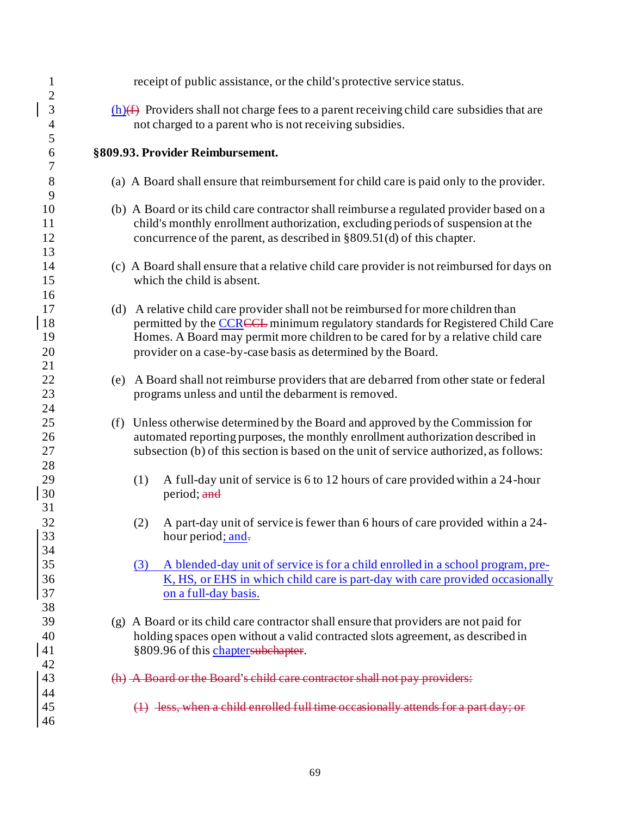| $\mathbf{1}$<br>$\overline{c}$ | receipt of public assistance, or the child's protective service status.                      |  |  |  |  |
|--------------------------------|----------------------------------------------------------------------------------------------|--|--|--|--|
| 3                              | $(h)(f)$ Providers shall not charge fees to a parent receiving child care subsidies that are |  |  |  |  |
| $\overline{4}$                 | not charged to a parent who is not receiving subsidies.                                      |  |  |  |  |
| 5                              |                                                                                              |  |  |  |  |
| 6                              | §809.93. Provider Reimbursement.                                                             |  |  |  |  |
| $\boldsymbol{7}$               |                                                                                              |  |  |  |  |
| 8                              | (a) A Board shall ensure that reimbursement for child care is paid only to the provider.     |  |  |  |  |
| 9                              |                                                                                              |  |  |  |  |
| 10                             | (b) A Board or its child care contractor shall reimburse a regulated provider based on a     |  |  |  |  |
| 11                             | child's monthly enrollment authorization, excluding periods of suspension at the             |  |  |  |  |
| 12                             | concurrence of the parent, as described in $\S 809.51(d)$ of this chapter.                   |  |  |  |  |
| 13                             |                                                                                              |  |  |  |  |
| 14                             | (c) A Board shall ensure that a relative child care provider is not reimbursed for days on   |  |  |  |  |
| 15                             | which the child is absent.                                                                   |  |  |  |  |
| 16                             |                                                                                              |  |  |  |  |
| 17                             | (d) A relative child care provider shall not be reimbursed for more children than            |  |  |  |  |
| 18                             | permitted by the CCRCCL minimum regulatory standards for Registered Child Care               |  |  |  |  |
| 19                             | Homes. A Board may permit more children to be cared for by a relative child care             |  |  |  |  |
| 20                             | provider on a case-by-case basis as determined by the Board.                                 |  |  |  |  |
| 21                             |                                                                                              |  |  |  |  |
| 22                             | (e) A Board shall not reimburse providers that are debarred from other state or federal      |  |  |  |  |
| 23                             | programs unless and until the debarment is removed.                                          |  |  |  |  |
| 24                             |                                                                                              |  |  |  |  |
| 25                             | (f) Unless otherwise determined by the Board and approved by the Commission for              |  |  |  |  |
| 26                             | automated reporting purposes, the monthly enrollment authorization described in              |  |  |  |  |
| 27                             | subsection (b) of this section is based on the unit of service authorized, as follows:       |  |  |  |  |
| 28                             |                                                                                              |  |  |  |  |
| 29                             | A full-day unit of service is 6 to 12 hours of care provided within a 24-hour<br>(1)         |  |  |  |  |
| 30                             | period; and                                                                                  |  |  |  |  |
| 31                             |                                                                                              |  |  |  |  |
|                                |                                                                                              |  |  |  |  |
| 32                             | A part-day unit of service is fewer than 6 hours of care provided within a 24-<br>(2)        |  |  |  |  |
| 33                             | hour period; and-                                                                            |  |  |  |  |
| 34                             |                                                                                              |  |  |  |  |
| 35                             | A blended-day unit of service is for a child enrolled in a school program, pre-<br>(3)       |  |  |  |  |
| 36                             | K, HS, or EHS in which child care is part-day with care provided occasionally                |  |  |  |  |
| 37                             | on a full-day basis.                                                                         |  |  |  |  |
| 38                             |                                                                                              |  |  |  |  |
| 39                             | (g) A Board or its child care contractor shall ensure that providers are not paid for        |  |  |  |  |
| 40                             | holding spaces open without a valid contracted slots agreement, as described in              |  |  |  |  |
| 41                             | §809.96 of this chaptersubchapter.                                                           |  |  |  |  |
| 42                             |                                                                                              |  |  |  |  |
| 43                             | (h) A Board or the Board's child care contractor shall not pay providers:                    |  |  |  |  |
| 44                             |                                                                                              |  |  |  |  |
| 45                             | $(1)$ less, when a child enrolled full time occasionally attends for a part day; or          |  |  |  |  |
| 46                             |                                                                                              |  |  |  |  |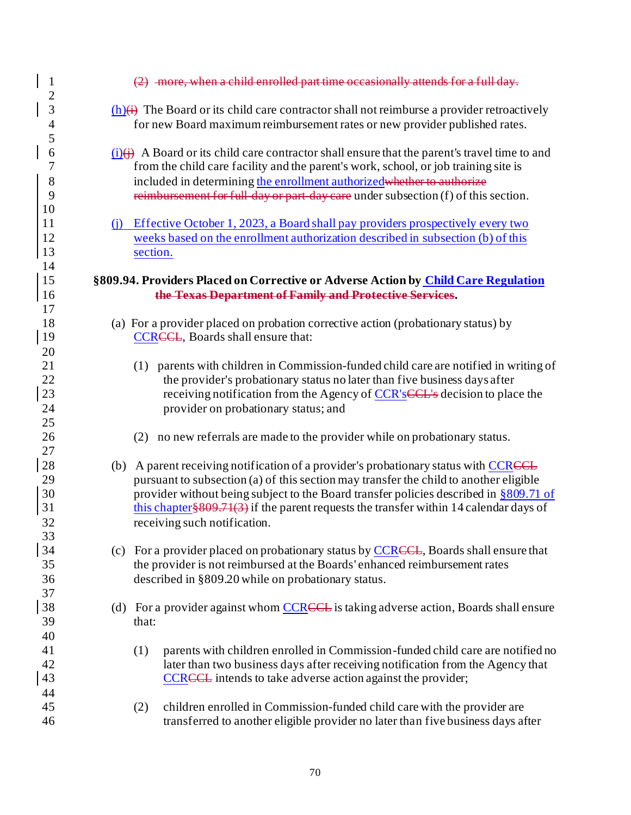| $\mathbf{1}$<br>$\mathbf{2}$     | $(2)$ -more, when a child enrolled part time occasionally attends for a full day.                                                                                                                                                                                                                                                                                                                    |  |
|----------------------------------|------------------------------------------------------------------------------------------------------------------------------------------------------------------------------------------------------------------------------------------------------------------------------------------------------------------------------------------------------------------------------------------------------|--|
| 3<br>4<br>5                      | $(h)(i)$ The Board or its child care contractor shall not reimburse a provider retroactively<br>for new Board maximum reimbursement rates or new provider published rates.                                                                                                                                                                                                                           |  |
| 6<br>7<br>8<br>9                 | $(i)$ A Board or its child care contractor shall ensure that the parent's travel time to and<br>from the child care facility and the parent's work, school, or job training site is<br>included in determining the enrollment authorized whether to authorize<br>reimbursement for full day or part day care under subsection (f) of this section.                                                   |  |
| 10<br>11<br>12<br>13<br>14       | Effective October 1, 2023, a Board shall pay providers prospectively every two<br>(i)<br>weeks based on the enrollment authorization described in subsection (b) of this<br>section.                                                                                                                                                                                                                 |  |
| 15<br>16                         | §809.94. Providers Placed on Corrective or Adverse Action by Child Care Regulation<br>the Texas Department of Family and Protective Services.                                                                                                                                                                                                                                                        |  |
| 17<br>18<br>19                   | (a) For a provider placed on probation corrective action (probationary status) by<br><b>CCREEL</b> , Boards shall ensure that:                                                                                                                                                                                                                                                                       |  |
| 20<br>21<br>22<br>23<br>24<br>25 | (1) parents with children in Commission-funded child care are notified in writing of<br>the provider's probationary status no later than five business days after<br>receiving notification from the Agency of CCR's CCL's decision to place the<br>provider on probationary status; and                                                                                                             |  |
| 26<br>27                         | no new referrals are made to the provider while on probationary status.<br>(2)                                                                                                                                                                                                                                                                                                                       |  |
| 28<br>29<br>30<br>31<br>32       | (b) A parent receiving notification of a provider's probationary status with CCRCCL<br>pursuant to subsection (a) of this section may transfer the child to another eligible<br>provider without being subject to the Board transfer policies described in $\S 809.71$ of<br>this chapter $809.71(3)$ if the parent requests the transfer within 14 calendar days of<br>receiving such notification. |  |
| 33<br>34<br>35<br>36             | (c) For a provider placed on probationary status by CCRCCL, Boards shall ensure that<br>the provider is not reimbursed at the Boards' enhanced reimbursement rates<br>described in §809.20 while on probationary status.                                                                                                                                                                             |  |
| 37<br>38<br>39                   | (d) For a provider against whom CCRCCL is taking adverse action, Boards shall ensure<br>that:                                                                                                                                                                                                                                                                                                        |  |
| 40<br>41<br>42<br>43             | parents with children enrolled in Commission-funded child care are notified no<br>(1)<br>later than two business days after receiving notification from the Agency that<br><b>CCRECL</b> intends to take adverse action against the provider;                                                                                                                                                        |  |
| 44<br>45<br>46                   | children enrolled in Commission-funded child care with the provider are<br>(2)<br>transferred to another eligible provider no later than five business days after                                                                                                                                                                                                                                    |  |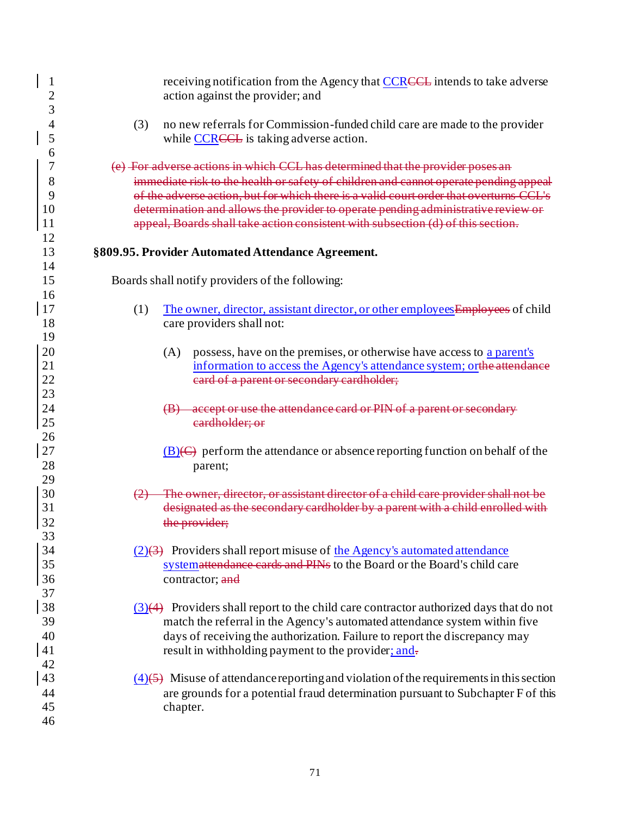| 1        | receiving notification from the Agency that CCRCCL intends to take adverse                          |
|----------|-----------------------------------------------------------------------------------------------------|
|          | action against the provider; and                                                                    |
| 3        |                                                                                                     |
| 4        | (3)<br>no new referrals for Commission-funded child care are made to the provider                   |
| 5        | while CCRCCL is taking adverse action.                                                              |
| 6<br>7   | (e) For adverse actions in which CCL has determined that the provider poses an                      |
| 8        | immediate risk to the health or safety of children and cannot operate pending appeal                |
| 9        | of the adverse action, but for which there is a valid court order that overturns CCL's              |
| 10       | determination and allows the provider to operate pending administrative review or                   |
| 11       | appeal, Boards shall take action consistent with subsection (d) of this section.                    |
| 12       |                                                                                                     |
| 13<br>14 | §809.95. Provider Automated Attendance Agreement.                                                   |
| 15<br>16 | Boards shall notify providers of the following:                                                     |
| 17       | (1)<br>The owner, director, assistant director, or other employees Employees of child               |
| 18       | care providers shall not:                                                                           |
| 19       |                                                                                                     |
| 20       | possess, have on the premises, or otherwise have access to a parent's<br>(A)                        |
| 21       | information to access the Agency's attendance system; or <del>the attendance</del>                  |
| 22       | eard of a parent or secondary cardholder;                                                           |
| 23       |                                                                                                     |
| 24       | accept or use the attendance card or PIN of a parent or secondary<br>$\left(\mathbf{B}\right)$      |
| 25       | eardholder; or                                                                                      |
| 26       |                                                                                                     |
| 27       | $\underline{B}(\overline{C})$ perform the attendance or absence reporting function on behalf of the |
| 28       | parent;                                                                                             |
| 29       | The owner, director, or assistant director of a child care provider shall not be                    |
| 30<br>31 | designated as the secondary cardholder by a parent with a child enrolled with                       |
| 32       | the provider;                                                                                       |
| 33       |                                                                                                     |
| 34       | $(2)(3)$ Providers shall report misuse of the Agency's automated attendance                         |
| 35       | systemattendance cards and PINs to the Board or the Board's child care                              |
| 36       | contractor; and                                                                                     |
| 37       |                                                                                                     |
| 38       | $(3)(4)$ Providers shall report to the child care contractor authorized days that do not            |
| 39       | match the referral in the Agency's automated attendance system within five                          |
| 40       | days of receiving the authorization. Failure to report the discrepancy may                          |
| 41       | result in withholding payment to the provider; and-                                                 |
| 42       |                                                                                                     |
| 43       | $\overline{(4)}$ Misuse of attendance reporting and violation of the requirements in this section   |
| 44       | are grounds for a potential fraud determination pursuant to Subchapter F of this                    |
| 45       | chapter.                                                                                            |
| 46       |                                                                                                     |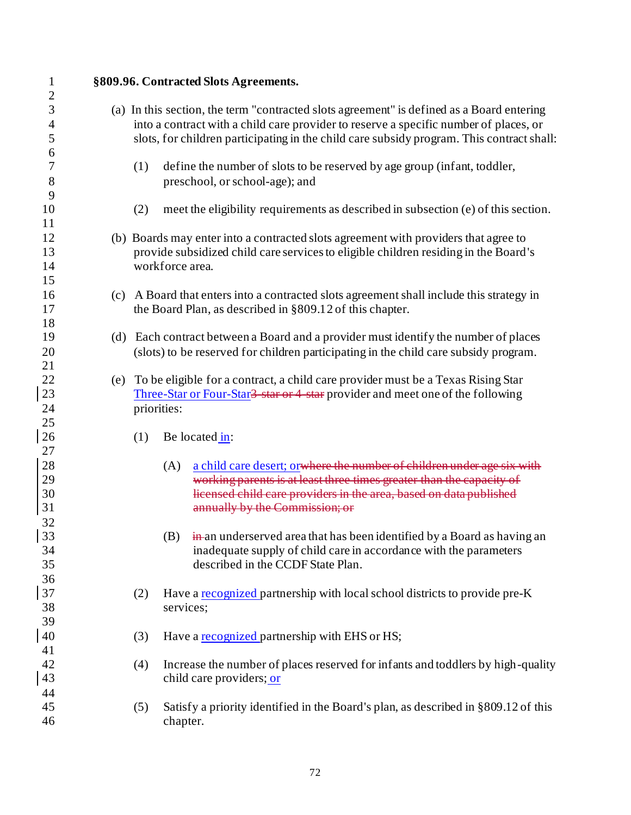| $\mathbf{1}$   |     |             |                 | §809.96. Contracted Slots Agreements.                                                      |
|----------------|-----|-------------|-----------------|--------------------------------------------------------------------------------------------|
| $\overline{c}$ |     |             |                 |                                                                                            |
| 3              |     |             |                 | (a) In this section, the term "contracted slots agreement" is defined as a Board entering  |
| $\overline{4}$ |     |             |                 | into a contract with a child care provider to reserve a specific number of places, or      |
| 5              |     |             |                 | slots, for children participating in the child care subsidy program. This contract shall:  |
| 6<br>7         |     | (1)         |                 | define the number of slots to be reserved by age group (infant, toddler,                   |
| 8              |     |             |                 | preschool, or school-age); and                                                             |
| 9              |     |             |                 |                                                                                            |
| 10             |     | (2)         |                 | meet the eligibility requirements as described in subsection (e) of this section.          |
| 11             |     |             |                 |                                                                                            |
| 12             |     |             |                 | (b) Boards may enter into a contracted slots agreement with providers that agree to        |
| 13             |     |             |                 | provide subsidized child care services to eligible children residing in the Board's        |
| 14             |     |             | workforce area. |                                                                                            |
| 15             |     |             |                 |                                                                                            |
| 16             |     |             |                 | (c) A Board that enters into a contracted slots agreement shall include this strategy in   |
| 17             |     |             |                 | the Board Plan, as described in §809.12 of this chapter.                                   |
| 18             |     |             |                 |                                                                                            |
| 19             | (d) |             |                 | Each contract between a Board and a provider must identify the number of places            |
| 20             |     |             |                 | (slots) to be reserved for children participating in the child care subsidy program.       |
| 21             |     |             |                 |                                                                                            |
| 22             | (e) |             |                 | To be eligible for a contract, a child care provider must be a Texas Rising Star           |
| 23             |     |             |                 | Three-Star or Four-Star <del>3 star or 4 star</del> provider and meet one of the following |
| 24             |     | priorities: |                 |                                                                                            |
| 25             |     |             |                 |                                                                                            |
| 26             |     | (1)         |                 | Be located in:                                                                             |
| 27             |     |             |                 |                                                                                            |
| 28             |     |             | (A)             | a child care desert; orwhere the number of children under age six with                     |
| 29             |     |             |                 | working parents is at least three times greater than the capacity of                       |
| 30             |     |             |                 | licensed child care providers in the area, based on data published                         |
| 31             |     |             |                 | annually by the Commission; or                                                             |
| 32             |     |             |                 |                                                                                            |
| 33             |     |             |                 | $(B)$ in an underserved area that has been identified by a Board as having an              |
| 34             |     |             |                 | inadequate supply of child care in accordance with the parameters                          |
| 35             |     |             |                 | described in the CCDF State Plan.                                                          |
| 36             |     |             |                 |                                                                                            |
| 37             |     | (2)         |                 | Have a recognized partnership with local school districts to provide pre-K                 |
| 38             |     |             | services;       |                                                                                            |
| 39             |     |             |                 |                                                                                            |
| 40             |     | (3)         |                 | Have a recognized partnership with EHS or HS;                                              |
| 41<br>42       |     |             |                 |                                                                                            |
|                |     | (4)         |                 | Increase the number of places reserved for infants and toddlers by high-quality            |
| 43             |     |             |                 | child care providers; or                                                                   |
| 44<br>45       |     |             |                 |                                                                                            |
| 46             |     | (5)         | chapter.        | Satisfy a priority identified in the Board's plan, as described in §809.12 of this         |
|                |     |             |                 |                                                                                            |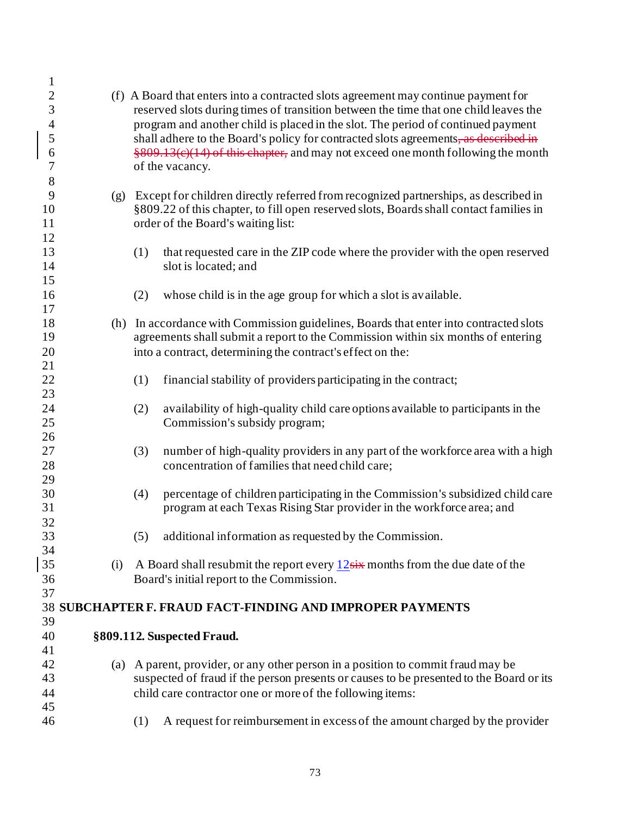| $\mathbf{1}$             |     |     |                                                                                         |
|--------------------------|-----|-----|-----------------------------------------------------------------------------------------|
| $\overline{2}$           |     |     | (f) A Board that enters into a contracted slots agreement may continue payment for      |
| 3                        |     |     | reserved slots during times of transition between the time that one child leaves the    |
| $\overline{\mathcal{A}}$ |     |     | program and another child is placed in the slot. The period of continued payment        |
| 5                        |     |     | shall adhere to the Board's policy for contracted slots agreements, as described in     |
| 6                        |     |     | §809.13(e)(14) of this chapter, and may not exceed one month following the month        |
| 7                        |     |     | of the vacancy.                                                                         |
| 8                        |     |     |                                                                                         |
| $\mathbf{9}$             | (g) |     | Except for children directly referred from recognized partnerships, as described in     |
| 10                       |     |     | §809.22 of this chapter, to fill open reserved slots, Boards shall contact families in  |
| 11                       |     |     | order of the Board's waiting list:                                                      |
| 12                       |     |     |                                                                                         |
| 13                       |     | (1) | that requested care in the ZIP code where the provider with the open reserved           |
| 14                       |     |     | slot is located; and                                                                    |
| 15                       |     |     |                                                                                         |
| 16                       |     | (2) | whose child is in the age group for which a slot is available.                          |
| 17<br>18                 | (h) |     | In accordance with Commission guidelines, Boards that enter into contracted slots       |
| 19                       |     |     | agreements shall submit a report to the Commission within six months of entering        |
| 20                       |     |     | into a contract, determining the contract's effect on the:                              |
| 21                       |     |     |                                                                                         |
| 22                       |     | (1) | financial stability of providers participating in the contract;                         |
| 23                       |     |     |                                                                                         |
| 24                       |     | (2) | availability of high-quality child care options available to participants in the        |
| 25                       |     |     | Commission's subsidy program;                                                           |
| 26                       |     |     |                                                                                         |
| 27                       |     | (3) | number of high-quality providers in any part of the workforce area with a high          |
| 28                       |     |     | concentration of families that need child care;                                         |
| 29                       |     |     |                                                                                         |
| 30                       |     | (4) | percentage of children participating in the Commission's subsidized child care          |
| 31                       |     |     | program at each Texas Rising Star provider in the workforce area; and                   |
| 32                       |     |     |                                                                                         |
| 33                       |     | (5) | additional information as requested by the Commission.                                  |
| 34<br>35                 | (i) |     | A Board shall resubmit the report every $12\pi x$ months from the due date of the       |
| 36                       |     |     | Board's initial report to the Commission.                                               |
| 37                       |     |     |                                                                                         |
|                          |     |     | 38 SUBCHAPTER F. FRAUD FACT-FINDING AND IMPROPER PAYMENTS                               |
| 39                       |     |     |                                                                                         |
| 40                       |     |     | §809.112. Suspected Fraud.                                                              |
| 41                       |     |     |                                                                                         |
| 42                       | (a) |     | A parent, provider, or any other person in a position to commit fraud may be            |
| 43                       |     |     | suspected of fraud if the person presents or causes to be presented to the Board or its |
| 44                       |     |     | child care contractor one or more of the following items:                               |
| 45                       |     |     |                                                                                         |
| 46                       |     | (1) | A request for reimbursement in excess of the amount charged by the provider             |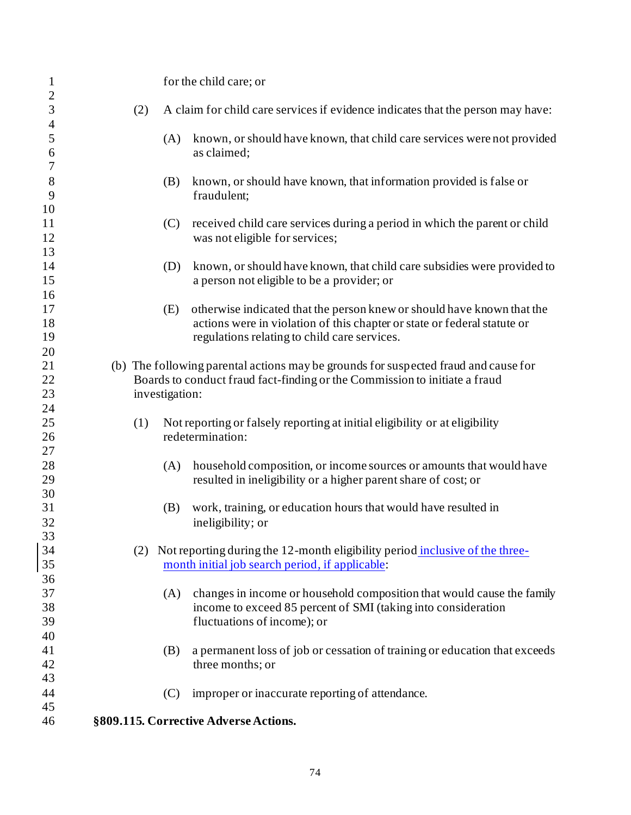| 3<br>(2)<br>A claim for child care services if evidence indicates that the person may have:<br>$\overline{\mathcal{L}}$<br>5<br>known, or should have known, that child care services were not provided<br>(A)<br>6<br>as claimed;<br>7<br>8<br>known, or should have known, that information provided is false or<br>(B)<br>9<br>fraudulent;<br>10<br>11<br>(C)<br>received child care services during a period in which the parent or child<br>12<br>was not eligible for services;<br>13<br>14<br>(D)<br>15<br>a person not eligible to be a provider; or<br>16<br>17<br>otherwise indicated that the person knew or should have known that the<br>(E)<br>18<br>actions were in violation of this chapter or state or federal statute or<br>19<br>regulations relating to child care services.<br>20<br>21<br>(b) The following parental actions may be grounds for suspected fraud and cause for<br>22<br>Boards to conduct fraud fact-finding or the Commission to initiate a fraud<br>23<br>investigation:<br>24<br>25<br>(1)<br>Not reporting or falsely reporting at initial eligibility or at eligibility<br>26<br>redetermination:<br>27<br>28<br>household composition, or income sources or amounts that would have<br>(A)<br>29<br>resulted in ineligibility or a higher parent share of cost; or<br>30<br>31<br>work, training, or education hours that would have resulted in<br>(B)<br>32<br>ineligibility; or<br>33<br>34<br>(2) Not reporting during the 12-month eligibility period inclusive of the three-<br>35<br>month initial job search period, if applicable:<br>36<br>37<br>changes in income or household composition that would cause the family<br>(A)<br>38<br>income to exceed 85 percent of SMI (taking into consideration<br>39<br>fluctuations of income); or<br>40<br>41<br>a permanent loss of job or cessation of training or education that exceeds<br>(B)<br>42<br>three months; or<br>43 | $\mathbf{1}$   |  | for the child care; or                                                  |
|-----------------------------------------------------------------------------------------------------------------------------------------------------------------------------------------------------------------------------------------------------------------------------------------------------------------------------------------------------------------------------------------------------------------------------------------------------------------------------------------------------------------------------------------------------------------------------------------------------------------------------------------------------------------------------------------------------------------------------------------------------------------------------------------------------------------------------------------------------------------------------------------------------------------------------------------------------------------------------------------------------------------------------------------------------------------------------------------------------------------------------------------------------------------------------------------------------------------------------------------------------------------------------------------------------------------------------------------------------------------------------------------------------------------------------------------------------------------------------------------------------------------------------------------------------------------------------------------------------------------------------------------------------------------------------------------------------------------------------------------------------------------------------------------------------------------------------------------------------------------------------------------------------------------------------------|----------------|--|-------------------------------------------------------------------------|
|                                                                                                                                                                                                                                                                                                                                                                                                                                                                                                                                                                                                                                                                                                                                                                                                                                                                                                                                                                                                                                                                                                                                                                                                                                                                                                                                                                                                                                                                                                                                                                                                                                                                                                                                                                                                                                                                                                                                   | $\overline{c}$ |  |                                                                         |
|                                                                                                                                                                                                                                                                                                                                                                                                                                                                                                                                                                                                                                                                                                                                                                                                                                                                                                                                                                                                                                                                                                                                                                                                                                                                                                                                                                                                                                                                                                                                                                                                                                                                                                                                                                                                                                                                                                                                   |                |  |                                                                         |
|                                                                                                                                                                                                                                                                                                                                                                                                                                                                                                                                                                                                                                                                                                                                                                                                                                                                                                                                                                                                                                                                                                                                                                                                                                                                                                                                                                                                                                                                                                                                                                                                                                                                                                                                                                                                                                                                                                                                   |                |  |                                                                         |
|                                                                                                                                                                                                                                                                                                                                                                                                                                                                                                                                                                                                                                                                                                                                                                                                                                                                                                                                                                                                                                                                                                                                                                                                                                                                                                                                                                                                                                                                                                                                                                                                                                                                                                                                                                                                                                                                                                                                   |                |  |                                                                         |
|                                                                                                                                                                                                                                                                                                                                                                                                                                                                                                                                                                                                                                                                                                                                                                                                                                                                                                                                                                                                                                                                                                                                                                                                                                                                                                                                                                                                                                                                                                                                                                                                                                                                                                                                                                                                                                                                                                                                   |                |  |                                                                         |
|                                                                                                                                                                                                                                                                                                                                                                                                                                                                                                                                                                                                                                                                                                                                                                                                                                                                                                                                                                                                                                                                                                                                                                                                                                                                                                                                                                                                                                                                                                                                                                                                                                                                                                                                                                                                                                                                                                                                   |                |  |                                                                         |
|                                                                                                                                                                                                                                                                                                                                                                                                                                                                                                                                                                                                                                                                                                                                                                                                                                                                                                                                                                                                                                                                                                                                                                                                                                                                                                                                                                                                                                                                                                                                                                                                                                                                                                                                                                                                                                                                                                                                   |                |  |                                                                         |
|                                                                                                                                                                                                                                                                                                                                                                                                                                                                                                                                                                                                                                                                                                                                                                                                                                                                                                                                                                                                                                                                                                                                                                                                                                                                                                                                                                                                                                                                                                                                                                                                                                                                                                                                                                                                                                                                                                                                   |                |  |                                                                         |
|                                                                                                                                                                                                                                                                                                                                                                                                                                                                                                                                                                                                                                                                                                                                                                                                                                                                                                                                                                                                                                                                                                                                                                                                                                                                                                                                                                                                                                                                                                                                                                                                                                                                                                                                                                                                                                                                                                                                   |                |  |                                                                         |
|                                                                                                                                                                                                                                                                                                                                                                                                                                                                                                                                                                                                                                                                                                                                                                                                                                                                                                                                                                                                                                                                                                                                                                                                                                                                                                                                                                                                                                                                                                                                                                                                                                                                                                                                                                                                                                                                                                                                   |                |  |                                                                         |
|                                                                                                                                                                                                                                                                                                                                                                                                                                                                                                                                                                                                                                                                                                                                                                                                                                                                                                                                                                                                                                                                                                                                                                                                                                                                                                                                                                                                                                                                                                                                                                                                                                                                                                                                                                                                                                                                                                                                   |                |  |                                                                         |
|                                                                                                                                                                                                                                                                                                                                                                                                                                                                                                                                                                                                                                                                                                                                                                                                                                                                                                                                                                                                                                                                                                                                                                                                                                                                                                                                                                                                                                                                                                                                                                                                                                                                                                                                                                                                                                                                                                                                   |                |  | known, or should have known, that child care subsidies were provided to |
|                                                                                                                                                                                                                                                                                                                                                                                                                                                                                                                                                                                                                                                                                                                                                                                                                                                                                                                                                                                                                                                                                                                                                                                                                                                                                                                                                                                                                                                                                                                                                                                                                                                                                                                                                                                                                                                                                                                                   |                |  |                                                                         |
|                                                                                                                                                                                                                                                                                                                                                                                                                                                                                                                                                                                                                                                                                                                                                                                                                                                                                                                                                                                                                                                                                                                                                                                                                                                                                                                                                                                                                                                                                                                                                                                                                                                                                                                                                                                                                                                                                                                                   |                |  |                                                                         |
|                                                                                                                                                                                                                                                                                                                                                                                                                                                                                                                                                                                                                                                                                                                                                                                                                                                                                                                                                                                                                                                                                                                                                                                                                                                                                                                                                                                                                                                                                                                                                                                                                                                                                                                                                                                                                                                                                                                                   |                |  |                                                                         |
|                                                                                                                                                                                                                                                                                                                                                                                                                                                                                                                                                                                                                                                                                                                                                                                                                                                                                                                                                                                                                                                                                                                                                                                                                                                                                                                                                                                                                                                                                                                                                                                                                                                                                                                                                                                                                                                                                                                                   |                |  |                                                                         |
|                                                                                                                                                                                                                                                                                                                                                                                                                                                                                                                                                                                                                                                                                                                                                                                                                                                                                                                                                                                                                                                                                                                                                                                                                                                                                                                                                                                                                                                                                                                                                                                                                                                                                                                                                                                                                                                                                                                                   |                |  |                                                                         |
|                                                                                                                                                                                                                                                                                                                                                                                                                                                                                                                                                                                                                                                                                                                                                                                                                                                                                                                                                                                                                                                                                                                                                                                                                                                                                                                                                                                                                                                                                                                                                                                                                                                                                                                                                                                                                                                                                                                                   |                |  |                                                                         |
|                                                                                                                                                                                                                                                                                                                                                                                                                                                                                                                                                                                                                                                                                                                                                                                                                                                                                                                                                                                                                                                                                                                                                                                                                                                                                                                                                                                                                                                                                                                                                                                                                                                                                                                                                                                                                                                                                                                                   |                |  |                                                                         |
|                                                                                                                                                                                                                                                                                                                                                                                                                                                                                                                                                                                                                                                                                                                                                                                                                                                                                                                                                                                                                                                                                                                                                                                                                                                                                                                                                                                                                                                                                                                                                                                                                                                                                                                                                                                                                                                                                                                                   |                |  |                                                                         |
|                                                                                                                                                                                                                                                                                                                                                                                                                                                                                                                                                                                                                                                                                                                                                                                                                                                                                                                                                                                                                                                                                                                                                                                                                                                                                                                                                                                                                                                                                                                                                                                                                                                                                                                                                                                                                                                                                                                                   |                |  |                                                                         |
|                                                                                                                                                                                                                                                                                                                                                                                                                                                                                                                                                                                                                                                                                                                                                                                                                                                                                                                                                                                                                                                                                                                                                                                                                                                                                                                                                                                                                                                                                                                                                                                                                                                                                                                                                                                                                                                                                                                                   |                |  |                                                                         |
|                                                                                                                                                                                                                                                                                                                                                                                                                                                                                                                                                                                                                                                                                                                                                                                                                                                                                                                                                                                                                                                                                                                                                                                                                                                                                                                                                                                                                                                                                                                                                                                                                                                                                                                                                                                                                                                                                                                                   |                |  |                                                                         |
|                                                                                                                                                                                                                                                                                                                                                                                                                                                                                                                                                                                                                                                                                                                                                                                                                                                                                                                                                                                                                                                                                                                                                                                                                                                                                                                                                                                                                                                                                                                                                                                                                                                                                                                                                                                                                                                                                                                                   |                |  |                                                                         |
|                                                                                                                                                                                                                                                                                                                                                                                                                                                                                                                                                                                                                                                                                                                                                                                                                                                                                                                                                                                                                                                                                                                                                                                                                                                                                                                                                                                                                                                                                                                                                                                                                                                                                                                                                                                                                                                                                                                                   |                |  |                                                                         |
|                                                                                                                                                                                                                                                                                                                                                                                                                                                                                                                                                                                                                                                                                                                                                                                                                                                                                                                                                                                                                                                                                                                                                                                                                                                                                                                                                                                                                                                                                                                                                                                                                                                                                                                                                                                                                                                                                                                                   |                |  |                                                                         |
|                                                                                                                                                                                                                                                                                                                                                                                                                                                                                                                                                                                                                                                                                                                                                                                                                                                                                                                                                                                                                                                                                                                                                                                                                                                                                                                                                                                                                                                                                                                                                                                                                                                                                                                                                                                                                                                                                                                                   |                |  |                                                                         |
|                                                                                                                                                                                                                                                                                                                                                                                                                                                                                                                                                                                                                                                                                                                                                                                                                                                                                                                                                                                                                                                                                                                                                                                                                                                                                                                                                                                                                                                                                                                                                                                                                                                                                                                                                                                                                                                                                                                                   |                |  |                                                                         |
|                                                                                                                                                                                                                                                                                                                                                                                                                                                                                                                                                                                                                                                                                                                                                                                                                                                                                                                                                                                                                                                                                                                                                                                                                                                                                                                                                                                                                                                                                                                                                                                                                                                                                                                                                                                                                                                                                                                                   |                |  |                                                                         |
|                                                                                                                                                                                                                                                                                                                                                                                                                                                                                                                                                                                                                                                                                                                                                                                                                                                                                                                                                                                                                                                                                                                                                                                                                                                                                                                                                                                                                                                                                                                                                                                                                                                                                                                                                                                                                                                                                                                                   |                |  |                                                                         |
|                                                                                                                                                                                                                                                                                                                                                                                                                                                                                                                                                                                                                                                                                                                                                                                                                                                                                                                                                                                                                                                                                                                                                                                                                                                                                                                                                                                                                                                                                                                                                                                                                                                                                                                                                                                                                                                                                                                                   |                |  |                                                                         |
|                                                                                                                                                                                                                                                                                                                                                                                                                                                                                                                                                                                                                                                                                                                                                                                                                                                                                                                                                                                                                                                                                                                                                                                                                                                                                                                                                                                                                                                                                                                                                                                                                                                                                                                                                                                                                                                                                                                                   |                |  |                                                                         |
|                                                                                                                                                                                                                                                                                                                                                                                                                                                                                                                                                                                                                                                                                                                                                                                                                                                                                                                                                                                                                                                                                                                                                                                                                                                                                                                                                                                                                                                                                                                                                                                                                                                                                                                                                                                                                                                                                                                                   |                |  |                                                                         |
|                                                                                                                                                                                                                                                                                                                                                                                                                                                                                                                                                                                                                                                                                                                                                                                                                                                                                                                                                                                                                                                                                                                                                                                                                                                                                                                                                                                                                                                                                                                                                                                                                                                                                                                                                                                                                                                                                                                                   |                |  |                                                                         |
|                                                                                                                                                                                                                                                                                                                                                                                                                                                                                                                                                                                                                                                                                                                                                                                                                                                                                                                                                                                                                                                                                                                                                                                                                                                                                                                                                                                                                                                                                                                                                                                                                                                                                                                                                                                                                                                                                                                                   |                |  |                                                                         |
|                                                                                                                                                                                                                                                                                                                                                                                                                                                                                                                                                                                                                                                                                                                                                                                                                                                                                                                                                                                                                                                                                                                                                                                                                                                                                                                                                                                                                                                                                                                                                                                                                                                                                                                                                                                                                                                                                                                                   |                |  |                                                                         |
|                                                                                                                                                                                                                                                                                                                                                                                                                                                                                                                                                                                                                                                                                                                                                                                                                                                                                                                                                                                                                                                                                                                                                                                                                                                                                                                                                                                                                                                                                                                                                                                                                                                                                                                                                                                                                                                                                                                                   |                |  |                                                                         |
|                                                                                                                                                                                                                                                                                                                                                                                                                                                                                                                                                                                                                                                                                                                                                                                                                                                                                                                                                                                                                                                                                                                                                                                                                                                                                                                                                                                                                                                                                                                                                                                                                                                                                                                                                                                                                                                                                                                                   |                |  |                                                                         |
|                                                                                                                                                                                                                                                                                                                                                                                                                                                                                                                                                                                                                                                                                                                                                                                                                                                                                                                                                                                                                                                                                                                                                                                                                                                                                                                                                                                                                                                                                                                                                                                                                                                                                                                                                                                                                                                                                                                                   |                |  |                                                                         |
|                                                                                                                                                                                                                                                                                                                                                                                                                                                                                                                                                                                                                                                                                                                                                                                                                                                                                                                                                                                                                                                                                                                                                                                                                                                                                                                                                                                                                                                                                                                                                                                                                                                                                                                                                                                                                                                                                                                                   |                |  |                                                                         |
| (C)                                                                                                                                                                                                                                                                                                                                                                                                                                                                                                                                                                                                                                                                                                                                                                                                                                                                                                                                                                                                                                                                                                                                                                                                                                                                                                                                                                                                                                                                                                                                                                                                                                                                                                                                                                                                                                                                                                                               | 44             |  | improper or inaccurate reporting of attendance.                         |
| 45                                                                                                                                                                                                                                                                                                                                                                                                                                                                                                                                                                                                                                                                                                                                                                                                                                                                                                                                                                                                                                                                                                                                                                                                                                                                                                                                                                                                                                                                                                                                                                                                                                                                                                                                                                                                                                                                                                                                |                |  |                                                                         |
| §809.115. Corrective Adverse Actions.<br>46                                                                                                                                                                                                                                                                                                                                                                                                                                                                                                                                                                                                                                                                                                                                                                                                                                                                                                                                                                                                                                                                                                                                                                                                                                                                                                                                                                                                                                                                                                                                                                                                                                                                                                                                                                                                                                                                                       |                |  |                                                                         |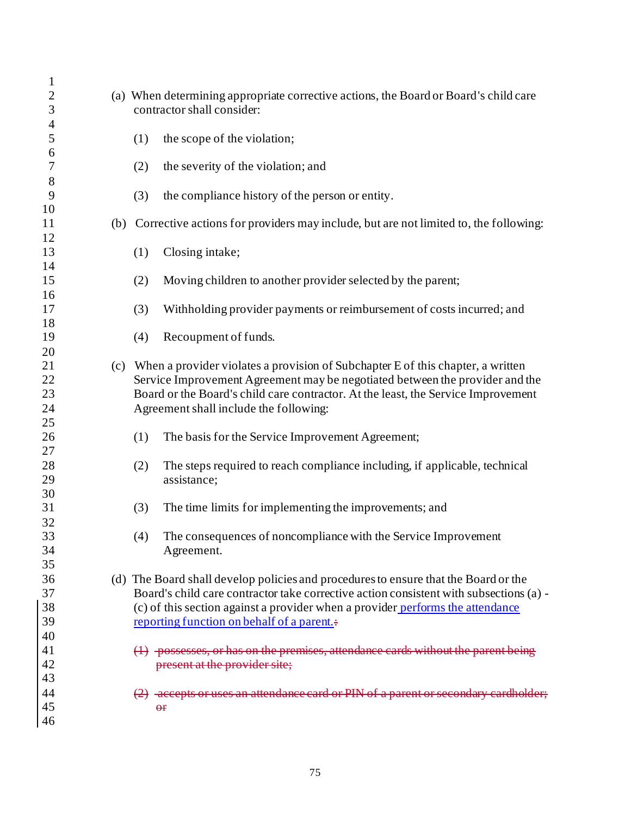| $\mathbf{1}$             |                                                                                          |
|--------------------------|------------------------------------------------------------------------------------------|
| $\overline{c}$           | (a) When determining appropriate corrective actions, the Board or Board's child care     |
| 3                        | contractor shall consider:                                                               |
| $\overline{\mathcal{A}}$ |                                                                                          |
| 5                        | (1)<br>the scope of the violation;                                                       |
| 6                        |                                                                                          |
| 7                        | the severity of the violation; and<br>(2)                                                |
| 8                        |                                                                                          |
| 9                        | (3)<br>the compliance history of the person or entity.                                   |
| 10                       |                                                                                          |
| 11                       | (b) Corrective actions for providers may include, but are not limited to, the following: |
| 12                       |                                                                                          |
| 13                       | Closing intake;<br>(1)                                                                   |
| 14                       |                                                                                          |
| 15                       | Moving children to another provider selected by the parent;<br>(2)                       |
| 16<br>17                 |                                                                                          |
| 18                       | Withholding provider payments or reimbursement of costs incurred; and<br>(3)             |
| 19                       | Recoupment of funds.<br>(4)                                                              |
| 20                       |                                                                                          |
| 21                       | (c) When a provider violates a provision of Subchapter E of this chapter, a written      |
| 22                       | Service Improvement Agreement may be negotiated between the provider and the             |
| 23                       | Board or the Board's child care contractor. At the least, the Service Improvement        |
| 24                       | Agreement shall include the following:                                                   |
| 25                       |                                                                                          |
| 26                       | (1)<br>The basis for the Service Improvement Agreement;                                  |
| 27                       |                                                                                          |
| 28                       | The steps required to reach compliance including, if applicable, technical<br>(2)        |
| 29                       | assistance;                                                                              |
| 30                       |                                                                                          |
| 31                       | The time limits for implementing the improvements; and<br>(3)                            |
| 32                       |                                                                                          |
| 33                       | (4)<br>The consequences of noncompliance with the Service Improvement                    |
| 34                       | Agreement.                                                                               |
| 35                       |                                                                                          |
| 36                       | (d) The Board shall develop policies and procedures to ensure that the Board or the      |
| 37                       | Board's child care contractor take corrective action consistent with subsections (a) -   |
| 38                       | (c) of this section against a provider when a provider performs the attendance           |
| 39                       | reporting function on behalf of a parent.                                                |
| 40                       |                                                                                          |
| 41                       | $(1)$ -possesses, or has on the premises, attendance cards without the parent being      |
| 42                       | present at the provider site;                                                            |
| 43                       |                                                                                          |
| 44                       | (2) accepts or uses an attendance card or PIN of a parent or secondary cardholder;       |
| 45                       | $\Theta$ f                                                                               |
| 46                       |                                                                                          |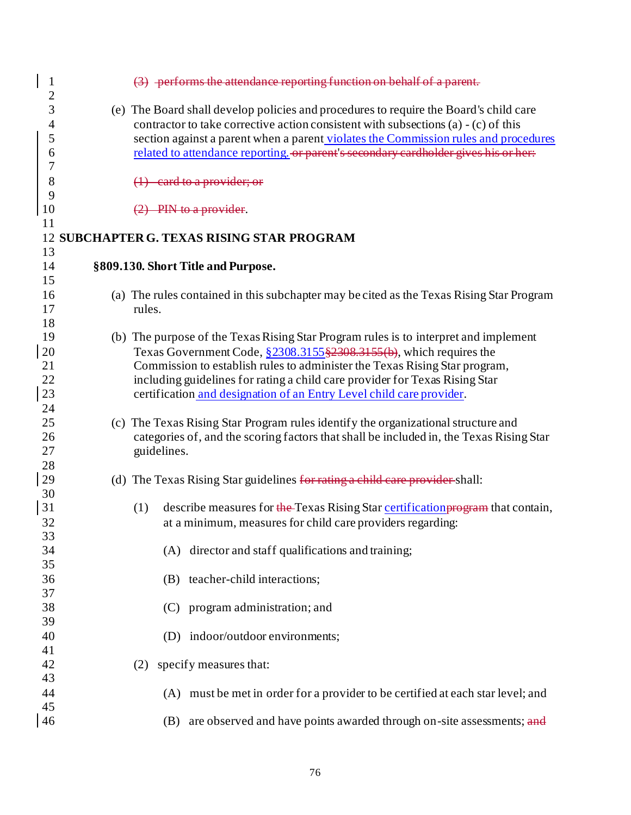| $\mathbf{1}$<br>$\overline{c}$ | (3) performs the attendance reporting function on behalf of a parent.                                                                                                         |
|--------------------------------|-------------------------------------------------------------------------------------------------------------------------------------------------------------------------------|
| 3<br>$\overline{\mathcal{A}}$  | (e) The Board shall develop policies and procedures to require the Board's child care<br>contractor to take corrective action consistent with subsections (a) $-$ (c) of this |
| 5                              | section against a parent when a parent violates the Commission rules and procedures                                                                                           |
| 6                              | related to attendance reporting. or parent's secondary cardholder gives his or her:                                                                                           |
| 7                              |                                                                                                                                                                               |
| 8                              | $(1)$ card to a provider; or                                                                                                                                                  |
| 9<br>10                        | $(2)$ PIN to a provider.                                                                                                                                                      |
| 11                             |                                                                                                                                                                               |
|                                | <b>12 SUBCHAPTER G. TEXAS RISING STAR PROGRAM</b>                                                                                                                             |
| 13                             |                                                                                                                                                                               |
| 14                             | §809.130. Short Title and Purpose.                                                                                                                                            |
| 15                             |                                                                                                                                                                               |
| 16                             | (a) The rules contained in this subchapter may be cited as the Texas Rising Star Program                                                                                      |
| 17                             | rules.                                                                                                                                                                        |
| 18                             |                                                                                                                                                                               |
| 19                             | (b) The purpose of the Texas Rising Star Program rules is to interpret and implement                                                                                          |
| 20                             | Texas Government Code, §2308.3155 §2308.3155 (b), which requires the                                                                                                          |
| 21                             | Commission to establish rules to administer the Texas Rising Star program,                                                                                                    |
| 22                             | including guidelines for rating a child care provider for Texas Rising Star                                                                                                   |
| 23                             | certification and designation of an Entry Level child care provider.                                                                                                          |
| 24                             |                                                                                                                                                                               |
| 25                             | (c) The Texas Rising Star Program rules identify the organizational structure and                                                                                             |
| 26                             | categories of, and the scoring factors that shall be included in, the Texas Rising Star                                                                                       |
| 27                             | guidelines.                                                                                                                                                                   |
| 28                             |                                                                                                                                                                               |
| 29                             | (d) The Texas Rising Star guidelines for rating a child care provider-shall:                                                                                                  |
| 30                             |                                                                                                                                                                               |
| 31                             | describe measures for the Texas Rising Star certification program that contain,<br>(1)                                                                                        |
| 32                             | at a minimum, measures for child care providers regarding:                                                                                                                    |
| 33                             |                                                                                                                                                                               |
| 34                             | (A) director and staff qualifications and training;                                                                                                                           |
| 35                             |                                                                                                                                                                               |
| 36                             | (B) teacher-child interactions;                                                                                                                                               |
| 37                             |                                                                                                                                                                               |
| 38                             | (C) program administration; and                                                                                                                                               |
| 39                             |                                                                                                                                                                               |
| 40                             | (D) indoor/outdoor environments;                                                                                                                                              |
| 41                             |                                                                                                                                                                               |
| 42                             | specify measures that:<br>(2)                                                                                                                                                 |
| 43                             |                                                                                                                                                                               |
| 44                             | (A) must be met in order for a provider to be certified at each star level; and                                                                                               |
| 45                             |                                                                                                                                                                               |
| 46                             | are observed and have points awarded through on-site assessments; and<br>(B)                                                                                                  |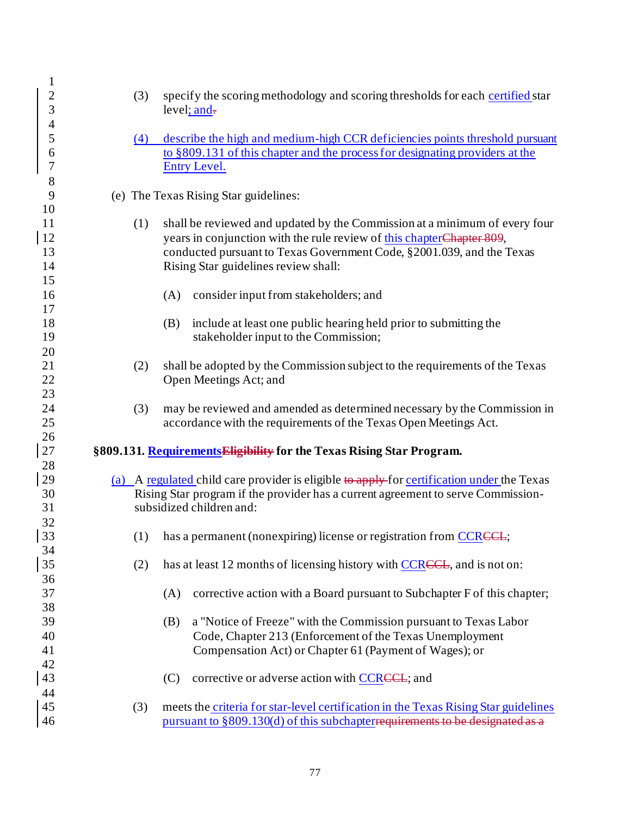| $\mathbf 1$<br>$\overline{c}$<br>3          | (3) | specify the scoring methodology and scoring thresholds for each certified star<br>level; and-                                                                                                                                                                         |
|---------------------------------------------|-----|-----------------------------------------------------------------------------------------------------------------------------------------------------------------------------------------------------------------------------------------------------------------------|
| $\overline{\mathcal{A}}$<br>5<br>6<br>7     | (4) | describe the high and medium-high CCR deficiencies points threshold pursuant<br>to §809.131 of this chapter and the process for designating providers at the<br><b>Entry Level.</b>                                                                                   |
| 8<br>9                                      |     | (e) The Texas Rising Star guidelines:                                                                                                                                                                                                                                 |
| 10<br>11<br><sup>12</sup><br>13<br>14<br>15 | (1) | shall be reviewed and updated by the Commission at a minimum of every four<br>years in conjunction with the rule review of this chapter Chapter 809,<br>conducted pursuant to Texas Government Code, §2001.039, and the Texas<br>Rising Star guidelines review shall: |
| 16                                          |     | (A)<br>consider input from stakeholders; and                                                                                                                                                                                                                          |
| 17<br>18<br>19                              |     | include at least one public hearing held prior to submitting the<br>(B)<br>stakeholder input to the Commission;                                                                                                                                                       |
| 20<br>21<br>22<br>23                        | (2) | shall be adopted by the Commission subject to the requirements of the Texas<br>Open Meetings Act; and                                                                                                                                                                 |
| 24<br>25                                    | (3) | may be reviewed and amended as determined necessary by the Commission in<br>accordance with the requirements of the Texas Open Meetings Act.                                                                                                                          |
| 26<br>27                                    |     | §809.131. Requirements Eligibility for the Texas Rising Star Program.                                                                                                                                                                                                 |
| 28<br>29<br>30<br>31                        |     | (a) A regulated child care provider is eligible to apply for certification under the Texas<br>Rising Star program if the provider has a current agreement to serve Commission-<br>subsidized children and:                                                            |
| 32<br>33                                    | (1) | has a permanent (nonexpiring) license or registration from CCRCCL;                                                                                                                                                                                                    |
| 34<br>35                                    | (2) | has at least 12 months of licensing history with CCRCCL, and is not on:                                                                                                                                                                                               |
| 36<br>37<br>38                              |     | corrective action with a Board pursuant to Subchapter F of this chapter;<br>(A)                                                                                                                                                                                       |
| 39<br>40<br>41<br>42                        |     | a "Notice of Freeze" with the Commission pursuant to Texas Labor<br>(B)<br>Code, Chapter 213 (Enforcement of the Texas Unemployment<br>Compensation Act) or Chapter 61 (Payment of Wages); or                                                                         |
| 43                                          |     | corrective or adverse action with CCRCCL; and<br>(C)                                                                                                                                                                                                                  |
| 44<br>45<br>46                              | (3) | meets the criteria for star-level certification in the Texas Rising Star guidelines<br>pursuant to §809.130(d) of this subchapterrequirements to be designated                                                                                                        |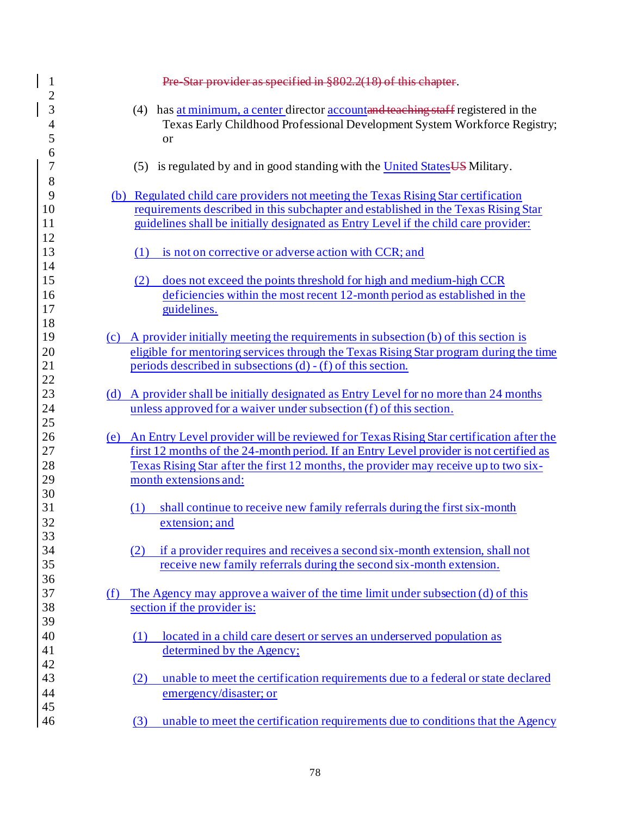| $\mathbf{1}$                                         | Pre Star provider as specified in §802.2(18) of this chapter.                                                                                                                                                                                                                                         |
|------------------------------------------------------|-------------------------------------------------------------------------------------------------------------------------------------------------------------------------------------------------------------------------------------------------------------------------------------------------------|
| $\overline{c}$<br>3<br>$\overline{\mathcal{A}}$<br>5 | (4) has at minimum, a center director accountand teaching staff registered in the<br>Texas Early Childhood Professional Development System Workforce Registry;<br>or                                                                                                                                  |
| 6<br>$\overline{7}$<br>8                             | (5) is regulated by and in good standing with the United States US Military.                                                                                                                                                                                                                          |
| 9<br>10<br>11                                        | (b) Regulated child care providers not meeting the Texas Rising Star certification<br>requirements described in this subchapter and established in the Texas Rising Star<br>guidelines shall be initially designated as Entry Level if the child care provider:                                       |
| 12<br>13<br>14                                       | is not on corrective or adverse action with CCR; and<br>(1)                                                                                                                                                                                                                                           |
| 15<br>16<br>17                                       | does not exceed the points threshold for high and medium-high CCR<br>(2)<br>deficiencies within the most recent 12-month period as established in the<br>guidelines.                                                                                                                                  |
| 18<br>19<br>20<br>21<br>22                           | (c) A provider initially meeting the requirements in subsection $(b)$ of this section is<br>eligible for mentoring services through the Texas Rising Star program during the time<br>periods described in subsections $(d) - (f)$ of this section.                                                    |
| 23<br>24<br>25                                       | (d) A provider shall be initially designated as Entry Level for no more than 24 months<br>unless approved for a waiver under subsection (f) of this section.                                                                                                                                          |
| 26<br>27<br>28<br>29                                 | (e) An Entry Level provider will be reviewed for Texas Rising Star certification after the<br>first 12 months of the 24-month period. If an Entry Level provider is not certified as<br>Texas Rising Star after the first 12 months, the provider may receive up to two six-<br>month extensions and: |
| 30<br>31<br>32<br>33                                 | shall continue to receive new family referrals during the first six-month<br>(1)<br>extension; and                                                                                                                                                                                                    |
| 34<br>35<br>36                                       | if a provider requires and receives a second six-month extension, shall not<br>(2)<br>receive new family referrals during the second six-month extension.                                                                                                                                             |
| 37<br>38                                             | The Agency may approve a waiver of the time limit under subsection (d) of this<br>(f)<br>section if the provider is:                                                                                                                                                                                  |
| 39<br>40<br>41<br>42                                 | located in a child care desert or serves an underserved population as<br>(1)<br>determined by the Agency;                                                                                                                                                                                             |
| 43<br>44                                             | unable to meet the certification requirements due to a federal or state declared<br>(2)<br>emergency/disaster; or                                                                                                                                                                                     |
| 45<br>46                                             | unable to meet the certification requirements due to conditions that the Agency<br>(3)                                                                                                                                                                                                                |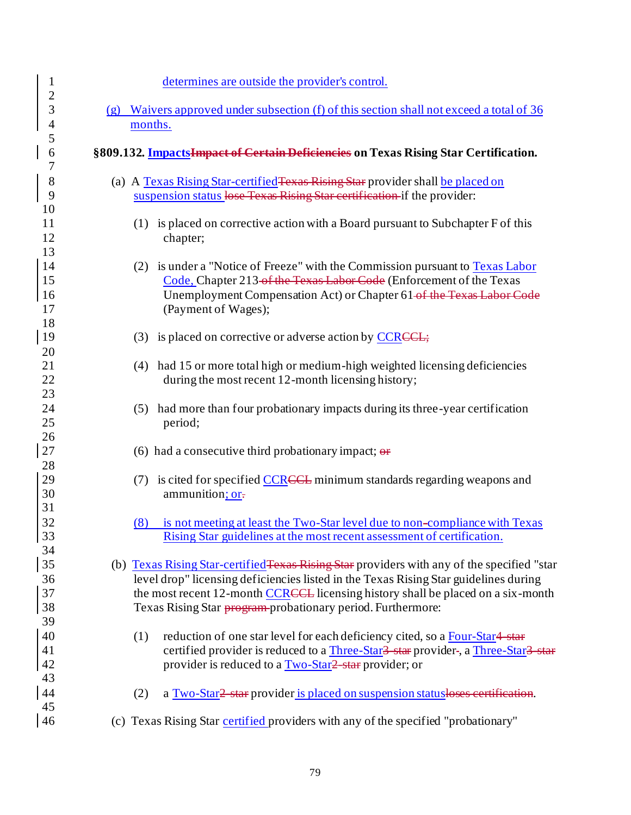| $\mathbf{1}$               | determines are outside the provider's control.                                                                                                                                                                                                                                                                                         |
|----------------------------|----------------------------------------------------------------------------------------------------------------------------------------------------------------------------------------------------------------------------------------------------------------------------------------------------------------------------------------|
| $\overline{c}$<br>3        | Waivers approved under subsection (f) of this section shall not exceed a total of 36<br>(g)                                                                                                                                                                                                                                            |
| $\overline{4}$             | months.                                                                                                                                                                                                                                                                                                                                |
| 5                          |                                                                                                                                                                                                                                                                                                                                        |
| 6<br>7                     | §809.132. ImpactsImpact of Certain Deficiencies on Texas Rising Star Certification.                                                                                                                                                                                                                                                    |
| $8\,$<br>9                 | (a) A Texas Rising Star-certified Texas Rising Star provider shall be placed on<br>suspension status lose Texas Rising Star certification if the provider:                                                                                                                                                                             |
| 10<br>11<br>12<br>13       | (1) is placed on corrective action with a Board pursuant to Subchapter F of this<br>chapter;                                                                                                                                                                                                                                           |
| 14<br>15<br>16<br>17<br>18 | (2) is under a "Notice of Freeze" with the Commission pursuant to Texas Labor<br>Code, Chapter 213 of the Texas Labor Code (Enforcement of the Texas<br>Unemployment Compensation Act) or Chapter 61-of the Texas Labor Code<br>(Payment of Wages);                                                                                    |
| 19<br>20                   | (3) is placed on corrective or adverse action by $\text{CCRE}$ ;                                                                                                                                                                                                                                                                       |
| 21<br>22<br>23             | (4) had 15 or more total high or medium-high weighted licensing deficiencies<br>during the most recent 12-month licensing history;                                                                                                                                                                                                     |
| 24<br>25<br>26             | (5) had more than four probationary impacts during its three-year certification<br>period;                                                                                                                                                                                                                                             |
| 27<br>28                   | (6) had a consecutive third probationary impact; $\theta$                                                                                                                                                                                                                                                                              |
| 29<br>30<br>31             | (7) is cited for specified CCRCCL minimum standards regarding weapons and<br>ammunition; or-                                                                                                                                                                                                                                           |
| 32<br>33<br>34             | is not meeting at least the Two-Star level due to non-compliance with Texas<br>(8)<br>Rising Star guidelines at the most recent assessment of certification.                                                                                                                                                                           |
| 35<br>36<br>37<br>38       | (b) Texas Rising Star-certified Texas Rising Star providers with any of the specified "star<br>level drop" licensing deficiencies listed in the Texas Rising Star guidelines during<br>the most recent 12-month CCRCCL licensing history shall be placed on a six-month<br>Texas Rising Star program-probationary period. Furthermore: |
| 39<br>40<br>41<br>42<br>43 | reduction of one star level for each deficiency cited, so a Four-Star4-star<br>(1)<br>certified provider is reduced to a Three-Star <sup>3</sup> star provider-, a Three-Star <sup>3</sup> star<br>provider is reduced to a Two-Star? star provider; or                                                                                |
| 44<br>45                   | a Two-Star <sub>2</sub> star provider is placed on suspension statusloses certification.<br>(2)                                                                                                                                                                                                                                        |
| 46                         | (c) Texas Rising Star certified providers with any of the specified "probationary"                                                                                                                                                                                                                                                     |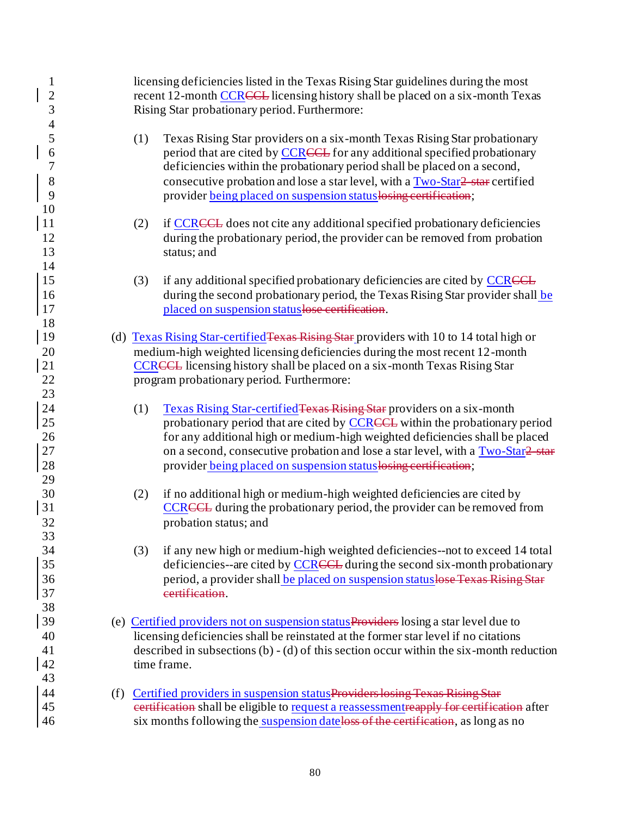| $\mathbf{1}$<br>$\overline{\mathbf{c}}$<br>3 |     | licensing deficiencies listed in the Texas Rising Star guidelines during the most<br>recent 12-month CCRCCL licensing history shall be placed on a six-month Texas<br>Rising Star probationary period. Furthermore:                                                                                                                                                                                 |
|----------------------------------------------|-----|-----------------------------------------------------------------------------------------------------------------------------------------------------------------------------------------------------------------------------------------------------------------------------------------------------------------------------------------------------------------------------------------------------|
| $\frac{4}{5}$<br>6<br>7<br>8<br>9<br>10      |     | (1)<br>Texas Rising Star providers on a six-month Texas Rising Star probationary<br>period that are cited by CCRCCL for any additional specified probationary<br>deficiencies within the probationary period shall be placed on a second,<br>consecutive probation and lose a star level, with a Two-Star2 star certified<br>provider being placed on suspension status losing certification;       |
| 11<br>12<br>13<br>14                         |     | if CCRCCL does not cite any additional specified probationary deficiencies<br>(2)<br>during the probationary period, the provider can be removed from probation<br>status; and                                                                                                                                                                                                                      |
| 15<br>16<br>17<br>18                         |     | if any additional specified probationary deficiencies are cited by CCRCCL<br>(3)<br>during the second probationary period, the Texas Rising Star provider shall be<br>placed on suspension status lose certification.                                                                                                                                                                               |
| <sup>19</sup><br>20<br>21<br>22<br>23        |     | (d) Texas Rising Star-certified Texas Rising Star providers with 10 to 14 total high or<br>medium-high weighted licensing deficiencies during the most recent 12-month<br><b>CCRECL</b> licensing history shall be placed on a six-month Texas Rising Star<br>program probationary period. Furthermore:                                                                                             |
| 24<br>25<br>26<br>27<br>28<br>29             |     | Texas Rising Star-certified Texas Rising Star providers on a six-month<br>(1)<br>probationary period that are cited by CCRCCL within the probationary period<br>for any additional high or medium-high weighted deficiencies shall be placed<br>on a second, consecutive probation and lose a star level, with a Two-Star? star<br>provider being placed on suspension status losing certification; |
| 30<br>31<br>32<br>33                         |     | if no additional high or medium-high weighted deficiencies are cited by<br>(2)<br><b>CCRECL</b> during the probationary period, the provider can be removed from<br>probation status; and                                                                                                                                                                                                           |
| 34<br>35<br>36<br>37<br>38                   |     | if any new high or medium-high weighted deficiencies--not to exceed 14 total<br>(3)<br>deficiencies--are cited by CCRCCL during the second six-month probationary<br>period, a provider shall be placed on suspension statuslose Texas Rising Star<br>eertification.                                                                                                                                |
| 39<br>40<br>41<br>42<br>43                   |     | (e) Certified providers not on suspension statusProviders losing a star level due to<br>licensing deficiencies shall be reinstated at the former star level if no citations<br>described in subsections $(b) - (d)$ of this section occur within the six-month reduction<br>time frame.                                                                                                             |
| 44<br>45<br>46                               | (f) | Certified providers in suspension statusProviders losing Texas Rising Star<br>eertification shall be eligible to request a reassessment reapply for certification after<br>six months following the suspension dateloss of the certification, as long as no                                                                                                                                         |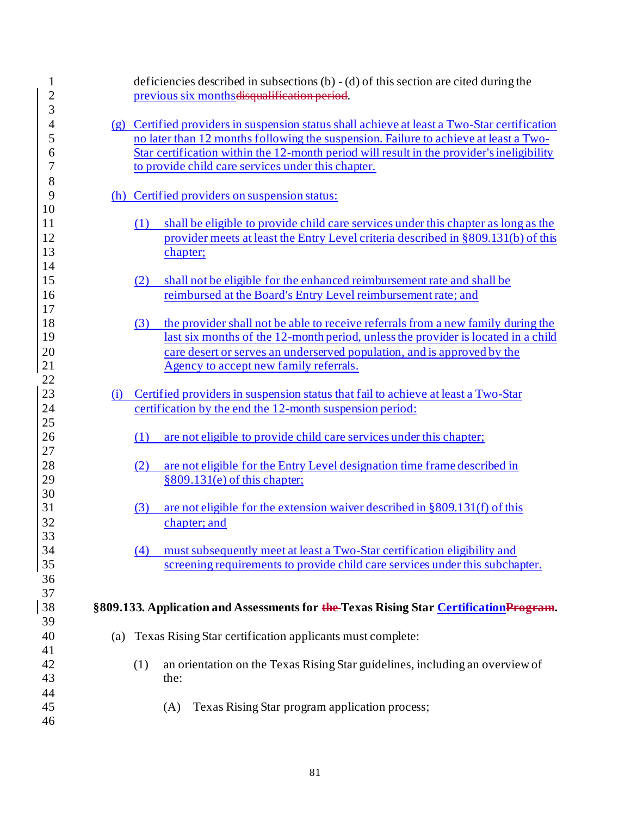| $\mathbf{1}$<br>$\overline{c}$<br>3 |     | deficiencies described in subsections $(b) - (d)$ of this section are cited during the<br>previous six months disqualification period.                                                                                                                                                                                                  |
|-------------------------------------|-----|-----------------------------------------------------------------------------------------------------------------------------------------------------------------------------------------------------------------------------------------------------------------------------------------------------------------------------------------|
| $\overline{4}$<br>5<br>6<br>7       |     | (g) Certified providers in suspension status shall achieve at least a Two-Star certification<br>no later than 12 months following the suspension. Failure to achieve at least a Two-<br>Star certification within the 12-month period will result in the provider's ineligibility<br>to provide child care services under this chapter. |
| 8<br>9                              |     | (h) Certified providers on suspension status:                                                                                                                                                                                                                                                                                           |
| 10<br>11<br>12<br>13<br>14          |     | shall be eligible to provide child care services under this chapter as long as the<br>(1)<br>provider meets at least the Entry Level criteria described in §809.131(b) of this<br>chapter;                                                                                                                                              |
| 15<br>16<br>17                      |     | shall not be eligible for the enhanced reimbursement rate and shall be<br>(2)<br>reimbursed at the Board's Entry Level reimbursement rate; and                                                                                                                                                                                          |
| 18<br>19<br>20<br>21                |     | the provider shall not be able to receive referrals from a new family during the<br>(3)<br>last six months of the 12-month period, unless the provider is located in a child<br>care desert or serves an underserved population, and is approved by the<br>Agency to accept new family referrals.                                       |
| 22<br>23                            | (i) | Certified providers in suspension status that fail to achieve at least a Two-Star                                                                                                                                                                                                                                                       |
| 24                                  |     | certification by the end the 12-month suspension period:                                                                                                                                                                                                                                                                                |
| 25<br>26<br>27                      |     | are not eligible to provide child care services under this chapter;<br>(1)                                                                                                                                                                                                                                                              |
| 28<br>29                            |     | are not eligible for the Entry Level designation time frame described in<br>(2)<br>$§809.131(e)$ of this chapter;                                                                                                                                                                                                                       |
| 30<br>31<br>32                      |     | are not eligible for the extension waiver described in §809.131(f) of this<br>(3)<br>chapter; and                                                                                                                                                                                                                                       |
| 33<br>34<br>35<br>36                |     | must subsequently meet at least a Two-Star certification eligibility and<br>(4)<br>screening requirements to provide child care services under this subchapter.                                                                                                                                                                         |
| 37<br>38<br>39                      |     | §809.133. Application and Assessments for the Texas Rising Star CertificationProgram.                                                                                                                                                                                                                                                   |
| 40<br>41                            |     | (a) Texas Rising Star certification applicants must complete:                                                                                                                                                                                                                                                                           |
| 42<br>43                            |     | an orientation on the Texas Rising Star guidelines, including an overview of<br>(1)<br>the:                                                                                                                                                                                                                                             |
| 44<br>45<br>46                      |     | Texas Rising Star program application process;<br>(A)                                                                                                                                                                                                                                                                                   |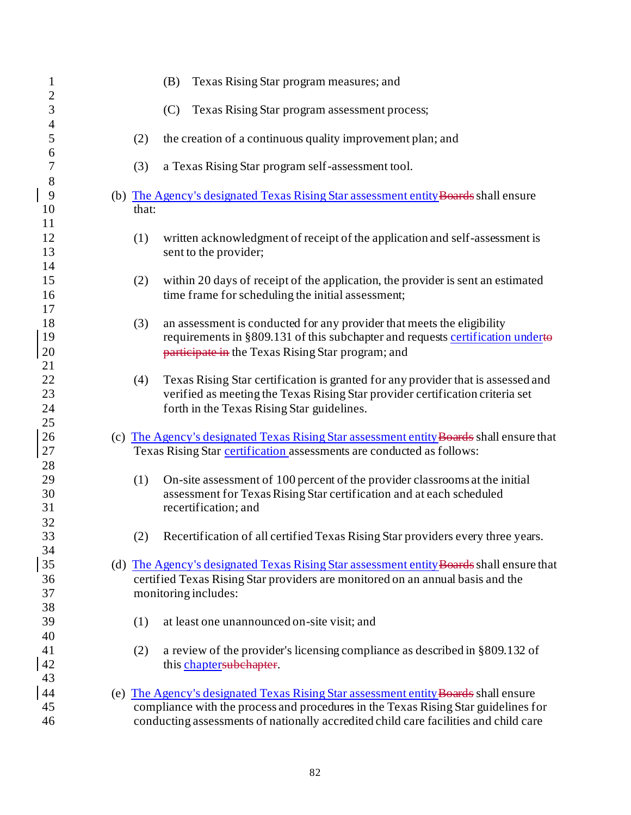| $\mathbf{1}$        | Texas Rising Star program measures; and<br>(B)                                                                                              |
|---------------------|---------------------------------------------------------------------------------------------------------------------------------------------|
| $\overline{c}$      |                                                                                                                                             |
| 3<br>$\overline{4}$ | (C)<br>Texas Rising Star program assessment process;                                                                                        |
| 5                   | (2)<br>the creation of a continuous quality improvement plan; and                                                                           |
| 6<br>$\overline{7}$ | a Texas Rising Star program self-assessment tool.<br>(3)                                                                                    |
| 8<br>$\overline{9}$ |                                                                                                                                             |
| 10                  | (b) The Agency's designated Texas Rising Star assessment entity Boards shall ensure<br>that:                                                |
| 11                  |                                                                                                                                             |
| 12<br>13            | written acknowledgment of receipt of the application and self-assessment is<br>(1)                                                          |
| 14                  | sent to the provider;                                                                                                                       |
| 15<br>16            | (2)<br>within 20 days of receipt of the application, the provider is sent an estimated<br>time frame for scheduling the initial assessment; |
| 17                  |                                                                                                                                             |
| 18                  | an assessment is conducted for any provider that meets the eligibility<br>(3)                                                               |
| 19                  | requirements in §809.131 of this subchapter and requests certification underto                                                              |
| 20                  | participate in the Texas Rising Star program; and                                                                                           |
| 21<br>22            | Texas Rising Star certification is granted for any provider that is assessed and                                                            |
| 23                  | (4)<br>verified as meeting the Texas Rising Star provider certification criteria set                                                        |
| 24                  | forth in the Texas Rising Star guidelines.                                                                                                  |
| 25                  |                                                                                                                                             |
| 26                  | (c) The Agency's designated Texas Rising Star assessment entity Boards shall ensure that                                                    |
| 27                  | Texas Rising Star certification assessments are conducted as follows:                                                                       |
| 28                  |                                                                                                                                             |
| 29                  | On-site assessment of 100 percent of the provider classrooms at the initial<br>(1)                                                          |
| 30                  | assessment for Texas Rising Star certification and at each scheduled                                                                        |
| 31                  | recertification; and                                                                                                                        |
| 32                  |                                                                                                                                             |
| 33<br>34            | (2) Recertification of all certified Texas Rising Star providers every three years.                                                         |
| 35                  | (d) The Agency's designated Texas Rising Star assessment entity Boards shall ensure that                                                    |
| 36                  | certified Texas Rising Star providers are monitored on an annual basis and the                                                              |
| 37                  | monitoring includes:                                                                                                                        |
| 38                  |                                                                                                                                             |
| 39                  | at least one unannounced on-site visit; and<br>(1)                                                                                          |
| 40                  |                                                                                                                                             |
| 41                  | (2)<br>a review of the provider's licensing compliance as described in §809.132 of                                                          |
| 42                  | this chaptersubchapter.                                                                                                                     |
| 43                  |                                                                                                                                             |
| 44                  | (e) The Agency's designated Texas Rising Star assessment entity <b>Boards</b> shall ensure                                                  |
| 45                  | compliance with the process and procedures in the Texas Rising Star guidelines for                                                          |
| 46                  | conducting assessments of nationally accredited child care facilities and child care                                                        |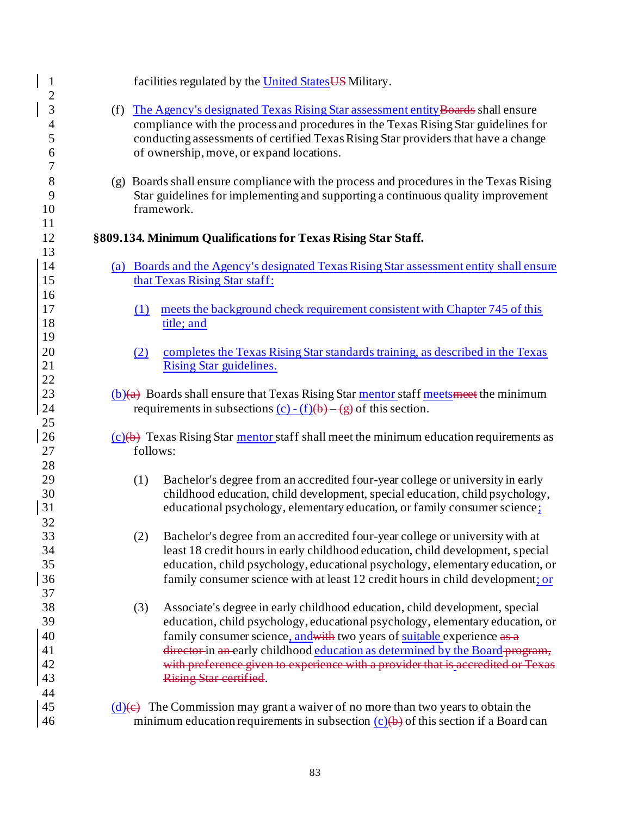| $\mathbf{1}$<br>$\overline{2}$                               | facilities regulated by the United States US Military.                                                                                                                                                                                                                                                                                                                                                                                      |
|--------------------------------------------------------------|---------------------------------------------------------------------------------------------------------------------------------------------------------------------------------------------------------------------------------------------------------------------------------------------------------------------------------------------------------------------------------------------------------------------------------------------|
| $\overline{3}$<br>$\overline{4}$<br>5<br>6<br>$\overline{7}$ | (f) The Agency's designated Texas Rising Star assessment entity Boards shall ensure<br>compliance with the process and procedures in the Texas Rising Star guidelines for<br>conducting assessments of certified Texas Rising Star providers that have a change<br>of ownership, move, or expand locations.                                                                                                                                 |
| 8<br>9<br>10<br>11                                           | (g) Boards shall ensure compliance with the process and procedures in the Texas Rising<br>Star guidelines for implementing and supporting a continuous quality improvement<br>framework.                                                                                                                                                                                                                                                    |
| 12                                                           | §809.134. Minimum Qualifications for Texas Rising Star Staff.                                                                                                                                                                                                                                                                                                                                                                               |
| 13<br>14<br>15<br>16<br>17                                   | (a) Boards and the Agency's designated Texas Rising Star assessment entity shall ensure<br>that Texas Rising Star staff:<br>meets the background check requirement consistent with Chapter 745 of this<br>(1)                                                                                                                                                                                                                               |
| 18<br>19<br>20<br>21<br>22                                   | title; and<br>completes the Texas Rising Star standards training, as described in the Texas<br>(2)<br>Rising Star guidelines.                                                                                                                                                                                                                                                                                                               |
| 23<br>24<br>25                                               | $(b)(a)$ Boards shall ensure that Texas Rising Star mentor staff meets meet the minimum<br>requirements in subsections $(c) - (f)(b) - (g)$ of this section.                                                                                                                                                                                                                                                                                |
| 26<br>27<br>28                                               | $(c)(b)$ Texas Rising Star mentor staff shall meet the minimum education requirements as<br>follows:                                                                                                                                                                                                                                                                                                                                        |
| 29<br>30<br>31<br>32                                         | Bachelor's degree from an accredited four-year college or university in early<br>(1)<br>childhood education, child development, special education, child psychology,<br>educational psychology, elementary education, or family consumer science:                                                                                                                                                                                           |
| 33<br>34<br>35<br>36<br>37                                   | (2)<br>Bachelor's degree from an accredited four-year college or university with at<br>least 18 credit hours in early childhood education, child development, special<br>education, child psychology, educational psychology, elementary education, or<br>family consumer science with at least 12 credit hours in child development; or                                                                                                    |
| 38<br>39<br>40<br>41<br>42<br>43<br>44                       | Associate's degree in early childhood education, child development, special<br>(3)<br>education, child psychology, educational psychology, elementary education, or<br>family consumer science, and with two years of suitable experience as a<br>director in an early childhood education as determined by the Board program,<br>with preference given to experience with a provider that is accredited or Texas<br>Rising Star certified. |
| 45<br>46                                                     | (d)(e) The Commission may grant a waiver of no more than two years to obtain the<br>minimum education requirements in subsection $(c)(b)$ of this section if a Board can                                                                                                                                                                                                                                                                    |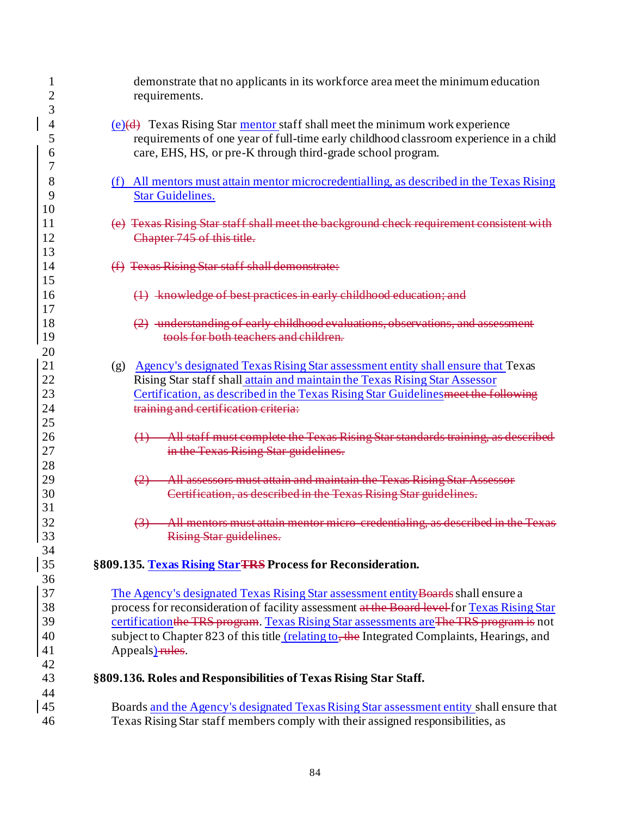| $\overline{c}$ | demonstrate that no applicants in its workforce area meet the minimum education<br>requirements.                |
|----------------|-----------------------------------------------------------------------------------------------------------------|
| 3              |                                                                                                                 |
| 4              | $(e)(d)$ Texas Rising Star mentor staff shall meet the minimum work experience                                  |
| 5              | requirements of one year of full-time early childhood classroom experience in a child                           |
| 6              | care, EHS, HS, or pre-K through third-grade school program.                                                     |
| 7              |                                                                                                                 |
| 8              | (f) All mentors must attain mentor microcredentialling, as described in the Texas Rising                        |
| 9              | <b>Star Guidelines.</b>                                                                                         |
| 10             |                                                                                                                 |
| 11             | (e) Texas Rising Star staff shall meet the background check requirement consistent with                         |
| 12             | Chapter 745 of this title.                                                                                      |
| 13             |                                                                                                                 |
| 14             | (f) Texas Rising Star staff shall demonstrate:                                                                  |
| 15             |                                                                                                                 |
| 16             | (1) knowledge of best practices in early childhood education; and                                               |
| 17             |                                                                                                                 |
| 18             | (2) understanding of early childhood evaluations, observations, and assessment                                  |
| 19             | tools for both teachers and children.                                                                           |
| 20             |                                                                                                                 |
| 21             | (g) Agency's designated Texas Rising Star assessment entity shall ensure that Texas                             |
| 22             | Rising Star staff shall attain and maintain the Texas Rising Star Assessor                                      |
| 23             | Certification, as described in the Texas Rising Star Guidelines meet the following                              |
| 24             | training and certification criteria:                                                                            |
| 25             |                                                                                                                 |
| 26             | All staff must complete the Texas Rising Star standards training, as described<br>$\leftrightarrow$             |
| 27             | in the Texas Rising Star guidelines.                                                                            |
| 28             |                                                                                                                 |
| 29             | All assessors must attain and maintain the Texas Rising Star Assessor<br>$\leftrightarrow$                      |
| 30             | Certification, as described in the Texas Rising Star guidelines.                                                |
| 31             |                                                                                                                 |
| 32             | All mentors must attain mentor micro-credentialing, as described in the Texas<br>$\boldsymbol{\leftrightarrow}$ |
| 33             | Rising Star guidelines.                                                                                         |
| 34             |                                                                                                                 |
| 35             | §809.135. Texas Rising Star TRS Process for Reconsideration.                                                    |
| 36             |                                                                                                                 |
| 37             | The Agency's designated Texas Rising Star assessment entity Boards shall ensure a                               |
| 38             | process for reconsideration of facility assessment at the Board level for Texas Rising Star                     |
| 39             | certification the TRS program. Texas Rising Star assessments are The TRS program is not                         |
| 40             | subject to Chapter 823 of this title (relating to, the Integrated Complaints, Hearings, and                     |
| 41             | Appeals)-rules.                                                                                                 |
| 42             |                                                                                                                 |
| 43             | §809.136. Roles and Responsibilities of Texas Rising Star Staff.                                                |
| 44             |                                                                                                                 |
| 45             | Boards and the Agency's designated Texas Rising Star assessment entity shall ensure that                        |
| 46             | Texas Rising Star staff members comply with their assigned responsibilities, as                                 |